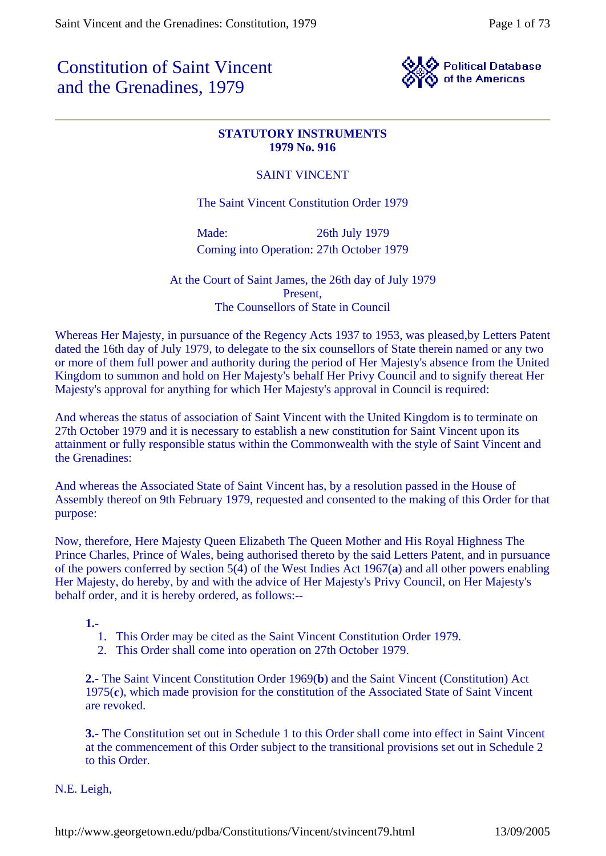# Constitution of Saint Vincent and the Grenadines, 1979



## **STATUTORY INSTRUMENTS 1979 No. 916**

### SAINT VINCENT

The Saint Vincent Constitution Order 1979

Made: 26th July 1979 Coming into Operation: 27th October 1979

At the Court of Saint James, the 26th day of July 1979 Present, The Counsellors of State in Council

Whereas Her Majesty, in pursuance of the Regency Acts 1937 to 1953, was pleased,by Letters Patent dated the 16th day of July 1979, to delegate to the six counsellors of State therein named or any two or more of them full power and authority during the period of Her Majesty's absence from the United Kingdom to summon and hold on Her Majesty's behalf Her Privy Council and to signify thereat Her Majesty's approval for anything for which Her Majesty's approval in Council is required:

And whereas the status of association of Saint Vincent with the United Kingdom is to terminate on 27th October 1979 and it is necessary to establish a new constitution for Saint Vincent upon its attainment or fully responsible status within the Commonwealth with the style of Saint Vincent and the Grenadines:

And whereas the Associated State of Saint Vincent has, by a resolution passed in the House of Assembly thereof on 9th February 1979, requested and consented to the making of this Order for that purpose:

Now, therefore, Here Majesty Queen Elizabeth The Queen Mother and His Royal Highness The Prince Charles, Prince of Wales, being authorised thereto by the said Letters Patent, and in pursuance of the powers conferred by section 5(4) of the West Indies Act 1967(**a**) and all other powers enabling Her Majesty, do hereby, by and with the advice of Her Majesty's Privy Council, on Her Majesty's behalf order, and it is hereby ordered, as follows:--

**1.-**

- 1. This Order may be cited as the Saint Vincent Constitution Order 1979.
- 2. This Order shall come into operation on 27th October 1979.

**2.-** The Saint Vincent Constitution Order 1969(**b**) and the Saint Vincent (Constitution) Act 1975(**c**), which made provision for the constitution of the Associated State of Saint Vincent are revoked.

**3.-** The Constitution set out in Schedule 1 to this Order shall come into effect in Saint Vincent at the commencement of this Order subject to the transitional provisions set out in Schedule 2 to this Order.

N.E. Leigh,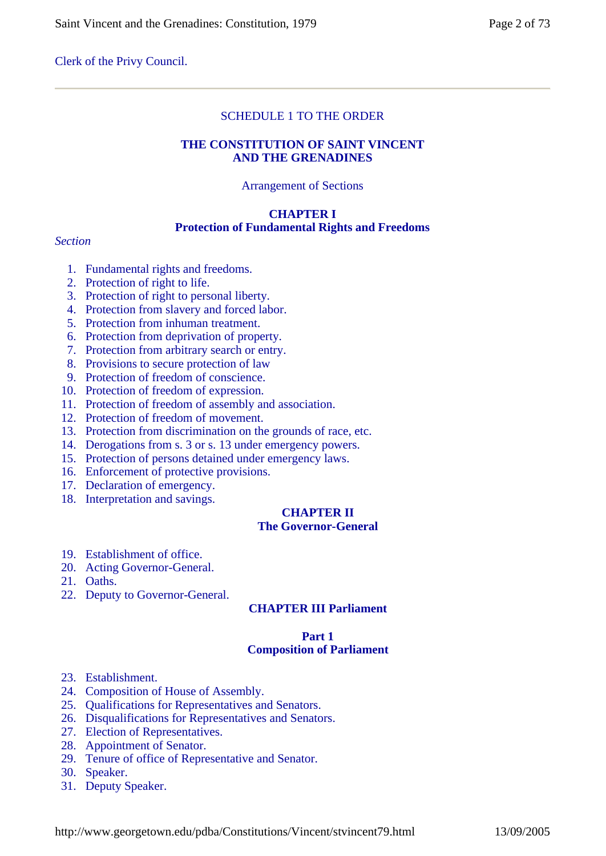Clerk of the Privy Council.

### SCHEDULE 1 TO THE ORDER

#### **THE CONSTITUTION OF SAINT VINCENT AND THE GRENADINES**

#### Arrangement of Sections

# **CHAPTER I**

# **Protection of Fundamental Rights and Freedoms**

#### *Section*

- 1. Fundamental rights and freedoms.
- 2. Protection of right to life.
- 3. Protection of right to personal liberty.
- 4. Protection from slavery and forced labor.
- 5. Protection from inhuman treatment.
- 6. Protection from deprivation of property.
- 7. Protection from arbitrary search or entry.
- 8. Provisions to secure protection of law
- 9. Protection of freedom of conscience.
- 10. Protection of freedom of expression.
- 11. Protection of freedom of assembly and association.
- 12. Protection of freedom of movement.
- 13. Protection from discrimination on the grounds of race, etc.
- 14. Derogations from s. 3 or s. 13 under emergency powers.
- 15. Protection of persons detained under emergency laws.
- 16. Enforcement of protective provisions.
- 17. Declaration of emergency.
- 18. Interpretation and savings.

### **CHAPTER II The Governor-General**

- 19. Establishment of office.
- 20. Acting Governor-General.
- 21. Oaths.
- 22. Deputy to Governor-General.

# **CHAPTER III Parliament**

#### **Part 1 Composition of Parliament**

- 23. Establishment.
- 24. Composition of House of Assembly.
- 25. Qualifications for Representatives and Senators.
- 26. Disqualifications for Representatives and Senators.
- 27. Election of Representatives.
- 28. Appointment of Senator.
- 29. Tenure of office of Representative and Senator.
- 30. Speaker.
- 31. Deputy Speaker.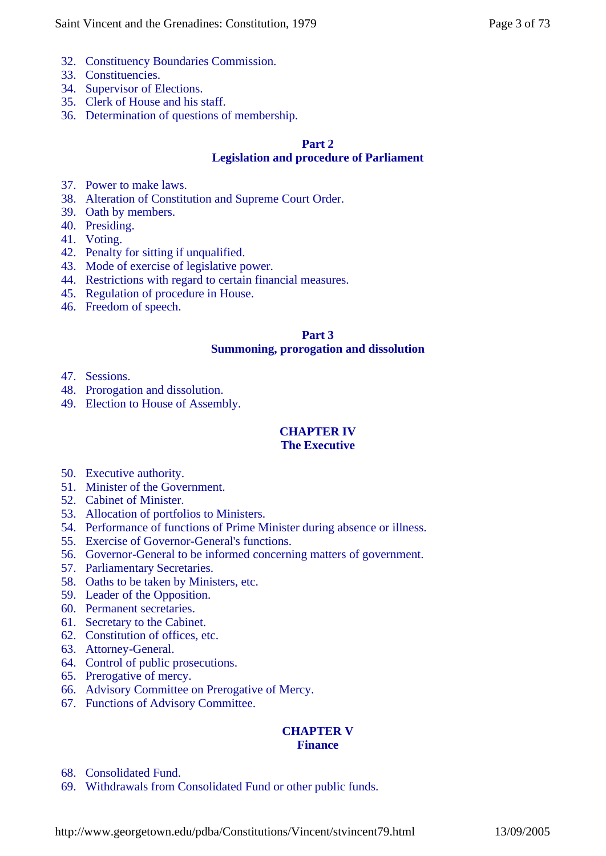- 32. Constituency Boundaries Commission.
- 33. Constituencies.
- 34. Supervisor of Elections.
- 35. Clerk of House and his staff.
- 36. Determination of questions of membership.

#### **Part 2 Legislation and procedure of Parliament**

- 37. Power to make laws.
- 38. Alteration of Constitution and Supreme Court Order.
- 39. Oath by members.
- 40. Presiding.
- 41. Voting.
- 42. Penalty for sitting if unqualified.
- 43. Mode of exercise of legislative power.
- 44. Restrictions with regard to certain financial measures.
- 45. Regulation of procedure in House.
- 46. Freedom of speech.

## **Part 3**

#### **Summoning, prorogation and dissolution**

- 47. Sessions.
- 48. Prorogation and dissolution.
- 49. Election to House of Assembly.

# **CHAPTER IV**

#### **The Executive**

- 50. Executive authority.
- 51. Minister of the Government.
- 52. Cabinet of Minister.
- 53. Allocation of portfolios to Ministers.
- 54. Performance of functions of Prime Minister during absence or illness.
- 55. Exercise of Governor-General's functions.
- 56. Governor-General to be informed concerning matters of government.
- 57. Parliamentary Secretaries.
- 58. Oaths to be taken by Ministers, etc.
- 59. Leader of the Opposition.
- 60. Permanent secretaries.
- 61. Secretary to the Cabinet.
- 62. Constitution of offices, etc.
- 63. Attorney-General.
- 64. Control of public prosecutions.
- 65. Prerogative of mercy.
- 66. Advisory Committee on Prerogative of Mercy.
- 67. Functions of Advisory Committee.

#### **CHAPTER V Finance**

- 68. Consolidated Fund.
- 69. Withdrawals from Consolidated Fund or other public funds.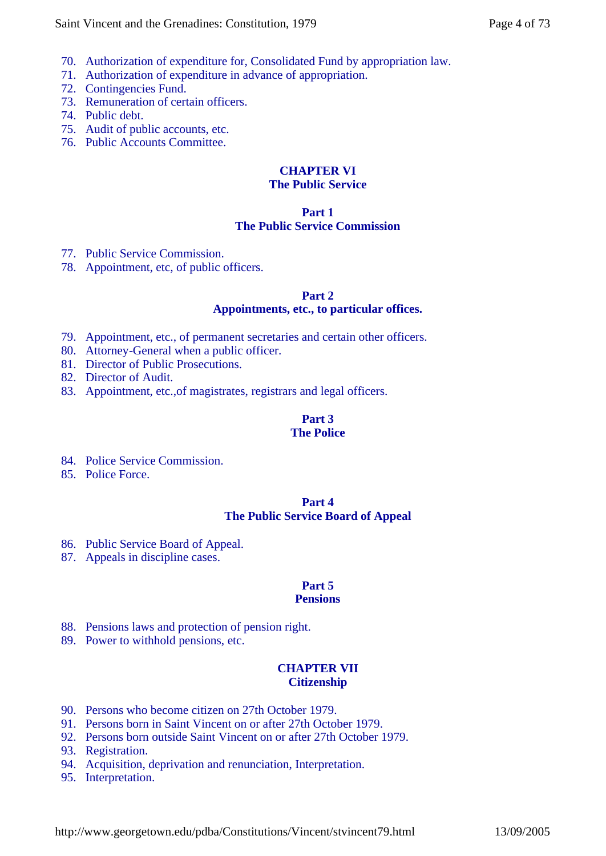- 70. Authorization of expenditure for, Consolidated Fund by appropriation law.
- 71. Authorization of expenditure in advance of appropriation.
- 72. Contingencies Fund.
- 73. Remuneration of certain officers.
- 74. Public debt.
- 75. Audit of public accounts, etc.
- 76. Public Accounts Committee.

#### **CHAPTER VI The Public Service**

### **Part 1 The Public Service Commission**

- 77. Public Service Commission.
- 78. Appointment, etc, of public officers.

#### **Part 2**

#### **Appointments, etc., to particular offices.**

- 79. Appointment, etc., of permanent secretaries and certain other officers.
- 80. Attorney-General when a public officer.
- 81. Director of Public Prosecutions.
- 82. Director of Audit.
- 83. Appointment, etc.,of magistrates, registrars and legal officers.

# **Part 3**

# **The Police**

- 84. Police Service Commission.
- 85. Police Force.

#### **Part 4 The Public Service Board of Appeal**

- 86. Public Service Board of Appeal.
- 87. Appeals in discipline cases.

# **Part 5**

# **Pensions**

- 88. Pensions laws and protection of pension right.
- 89. Power to withhold pensions, etc.

#### **CHAPTER VII Citizenship**

- 90. Persons who become citizen on 27th October 1979.
- 91. Persons born in Saint Vincent on or after 27th October 1979.
- 92. Persons born outside Saint Vincent on or after 27th October 1979.
- 93. Registration.
- 94. Acquisition, deprivation and renunciation, Interpretation.
- 95. Interpretation.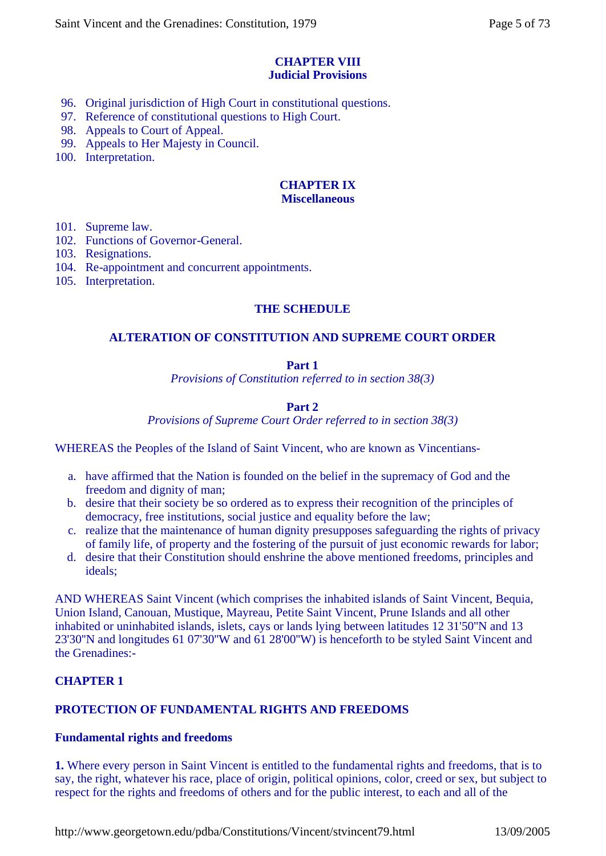#### **CHAPTER VIII Judicial Provisions**

- 96. Original jurisdiction of High Court in constitutional questions.
- 97. Reference of constitutional questions to High Court.
- 98. Appeals to Court of Appeal.
- 99. Appeals to Her Majesty in Council.
- 100. Interpretation.

#### **CHAPTER IX Miscellaneous**

- 101. Supreme law.
- 102. Functions of Governor-General.
- 103. Resignations.
- 104. Re-appointment and concurrent appointments.
- 105. Interpretation.

#### **THE SCHEDULE**

#### **ALTERATION OF CONSTITUTION AND SUPREME COURT ORDER**

#### **Part 1**

*Provisions of Constitution referred to in section 38(3)*

#### **Part 2**

*Provisions of Supreme Court Order referred to in section 38(3)*

WHEREAS the Peoples of the Island of Saint Vincent, who are known as Vincentians-

- a. have affirmed that the Nation is founded on the belief in the supremacy of God and the freedom and dignity of man;
- b. desire that their society be so ordered as to express their recognition of the principles of democracy, free institutions, social justice and equality before the law;
- c. realize that the maintenance of human dignity presupposes safeguarding the rights of privacy of family life, of property and the fostering of the pursuit of just economic rewards for labor;
- d. desire that their Constitution should enshrine the above mentioned freedoms, principles and ideals;

AND WHEREAS Saint Vincent (which comprises the inhabited islands of Saint Vincent, Bequia, Union Island, Canouan, Mustique, Mayreau, Petite Saint Vincent, Prune Islands and all other inhabited or uninhabited islands, islets, cays or lands lying between latitudes 12 31'50''N and 13 23'30''N and longitudes 61 07'30''W and 61 28'00''W) is henceforth to be styled Saint Vincent and the Grenadines:-

## **CHAPTER 1**

### **PROTECTION OF FUNDAMENTAL RIGHTS AND FREEDOMS**

#### **Fundamental rights and freedoms**

**1.** Where every person in Saint Vincent is entitled to the fundamental rights and freedoms, that is to say, the right, whatever his race, place of origin, political opinions, color, creed or sex, but subject to respect for the rights and freedoms of others and for the public interest, to each and all of the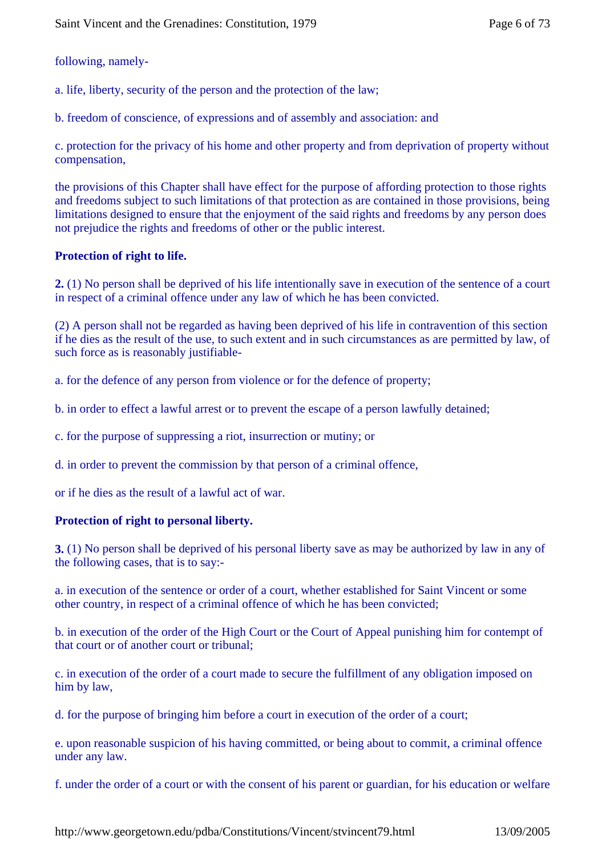following, namely-

a. life, liberty, security of the person and the protection of the law;

b. freedom of conscience, of expressions and of assembly and association: and

c. protection for the privacy of his home and other property and from deprivation of property without compensation,

the provisions of this Chapter shall have effect for the purpose of affording protection to those rights and freedoms subject to such limitations of that protection as are contained in those provisions, being limitations designed to ensure that the enjoyment of the said rights and freedoms by any person does not prejudice the rights and freedoms of other or the public interest.

### **Protection of right to life.**

**2.** (1) No person shall be deprived of his life intentionally save in execution of the sentence of a court in respect of a criminal offence under any law of which he has been convicted.

(2) A person shall not be regarded as having been deprived of his life in contravention of this section if he dies as the result of the use, to such extent and in such circumstances as are permitted by law, of such force as is reasonably justifiable-

a. for the defence of any person from violence or for the defence of property;

b. in order to effect a lawful arrest or to prevent the escape of a person lawfully detained;

c. for the purpose of suppressing a riot, insurrection or mutiny; or

d. in order to prevent the commission by that person of a criminal offence,

or if he dies as the result of a lawful act of war.

## **Protection of right to personal liberty.**

**3.** (1) No person shall be deprived of his personal liberty save as may be authorized by law in any of the following cases, that is to say:-

a. in execution of the sentence or order of a court, whether established for Saint Vincent or some other country, in respect of a criminal offence of which he has been convicted;

b. in execution of the order of the High Court or the Court of Appeal punishing him for contempt of that court or of another court or tribunal;

c. in execution of the order of a court made to secure the fulfillment of any obligation imposed on him by law,

d. for the purpose of bringing him before a court in execution of the order of a court;

e. upon reasonable suspicion of his having committed, or being about to commit, a criminal offence under any law.

f. under the order of a court or with the consent of his parent or guardian, for his education or welfare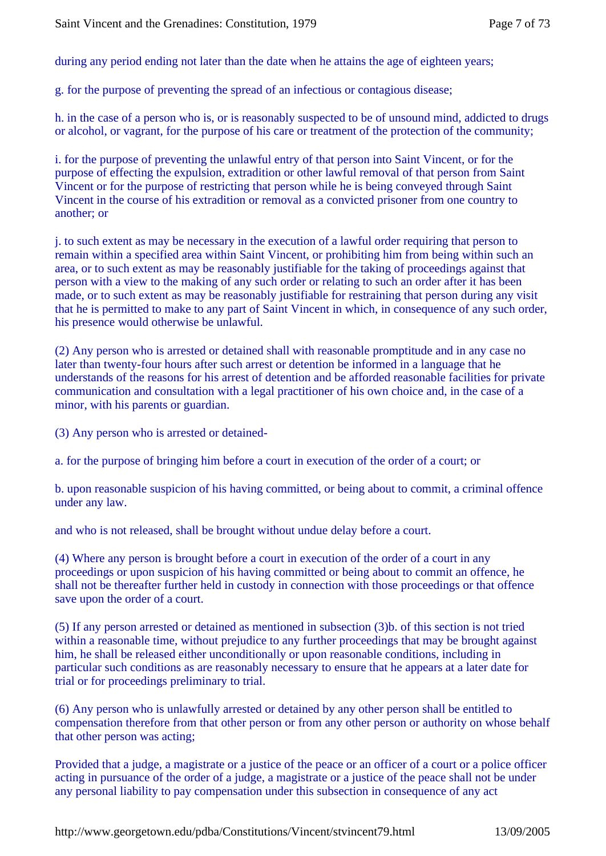during any period ending not later than the date when he attains the age of eighteen years;

g. for the purpose of preventing the spread of an infectious or contagious disease;

h. in the case of a person who is, or is reasonably suspected to be of unsound mind, addicted to drugs or alcohol, or vagrant, for the purpose of his care or treatment of the protection of the community;

i. for the purpose of preventing the unlawful entry of that person into Saint Vincent, or for the purpose of effecting the expulsion, extradition or other lawful removal of that person from Saint Vincent or for the purpose of restricting that person while he is being conveyed through Saint Vincent in the course of his extradition or removal as a convicted prisoner from one country to another; or

j. to such extent as may be necessary in the execution of a lawful order requiring that person to remain within a specified area within Saint Vincent, or prohibiting him from being within such an area, or to such extent as may be reasonably justifiable for the taking of proceedings against that person with a view to the making of any such order or relating to such an order after it has been made, or to such extent as may be reasonably justifiable for restraining that person during any visit that he is permitted to make to any part of Saint Vincent in which, in consequence of any such order, his presence would otherwise be unlawful.

(2) Any person who is arrested or detained shall with reasonable promptitude and in any case no later than twenty-four hours after such arrest or detention be informed in a language that he understands of the reasons for his arrest of detention and be afforded reasonable facilities for private communication and consultation with a legal practitioner of his own choice and, in the case of a minor, with his parents or guardian.

(3) Any person who is arrested or detained-

a. for the purpose of bringing him before a court in execution of the order of a court; or

b. upon reasonable suspicion of his having committed, or being about to commit, a criminal offence under any law.

and who is not released, shall be brought without undue delay before a court.

(4) Where any person is brought before a court in execution of the order of a court in any proceedings or upon suspicion of his having committed or being about to commit an offence, he shall not be thereafter further held in custody in connection with those proceedings or that offence save upon the order of a court.

(5) If any person arrested or detained as mentioned in subsection (3)b. of this section is not tried within a reasonable time, without prejudice to any further proceedings that may be brought against him, he shall be released either unconditionally or upon reasonable conditions, including in particular such conditions as are reasonably necessary to ensure that he appears at a later date for trial or for proceedings preliminary to trial.

(6) Any person who is unlawfully arrested or detained by any other person shall be entitled to compensation therefore from that other person or from any other person or authority on whose behalf that other person was acting;

Provided that a judge, a magistrate or a justice of the peace or an officer of a court or a police officer acting in pursuance of the order of a judge, a magistrate or a justice of the peace shall not be under any personal liability to pay compensation under this subsection in consequence of any act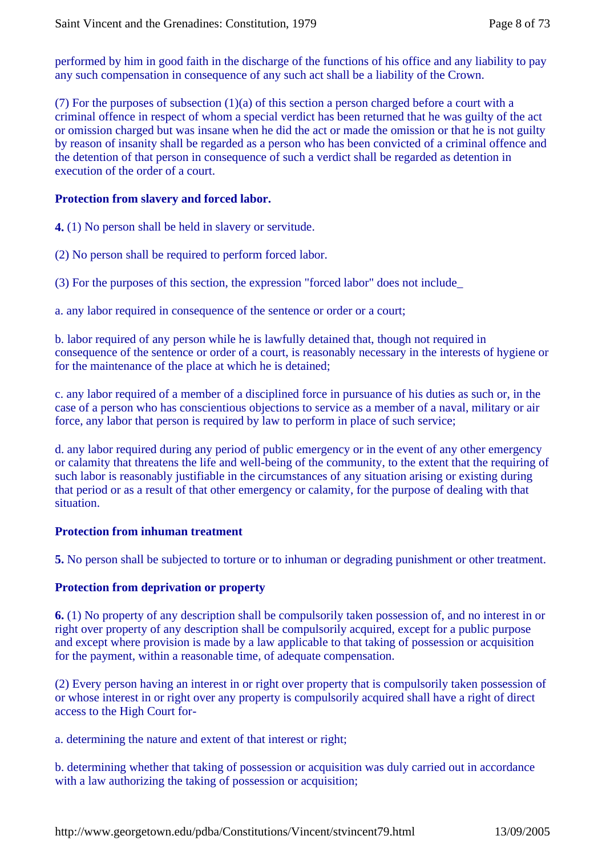performed by him in good faith in the discharge of the functions of his office and any liability to pay any such compensation in consequence of any such act shall be a liability of the Crown.

(7) For the purposes of subsection (1)(a) of this section a person charged before a court with a criminal offence in respect of whom a special verdict has been returned that he was guilty of the act or omission charged but was insane when he did the act or made the omission or that he is not guilty by reason of insanity shall be regarded as a person who has been convicted of a criminal offence and the detention of that person in consequence of such a verdict shall be regarded as detention in execution of the order of a court.

#### **Protection from slavery and forced labor.**

**4.** (1) No person shall be held in slavery or servitude.

(2) No person shall be required to perform forced labor.

(3) For the purposes of this section, the expression "forced labor" does not include\_

a. any labor required in consequence of the sentence or order or a court;

b. labor required of any person while he is lawfully detained that, though not required in consequence of the sentence or order of a court, is reasonably necessary in the interests of hygiene or for the maintenance of the place at which he is detained;

c. any labor required of a member of a disciplined force in pursuance of his duties as such or, in the case of a person who has conscientious objections to service as a member of a naval, military or air force, any labor that person is required by law to perform in place of such service;

d. any labor required during any period of public emergency or in the event of any other emergency or calamity that threatens the life and well-being of the community, to the extent that the requiring of such labor is reasonably justifiable in the circumstances of any situation arising or existing during that period or as a result of that other emergency or calamity, for the purpose of dealing with that situation.

#### **Protection from inhuman treatment**

**5.** No person shall be subjected to torture or to inhuman or degrading punishment or other treatment.

#### **Protection from deprivation or property**

**6.** (1) No property of any description shall be compulsorily taken possession of, and no interest in or right over property of any description shall be compulsorily acquired, except for a public purpose and except where provision is made by a law applicable to that taking of possession or acquisition for the payment, within a reasonable time, of adequate compensation.

(2) Every person having an interest in or right over property that is compulsorily taken possession of or whose interest in or right over any property is compulsorily acquired shall have a right of direct access to the High Court for-

a. determining the nature and extent of that interest or right;

b. determining whether that taking of possession or acquisition was duly carried out in accordance with a law authorizing the taking of possession or acquisition;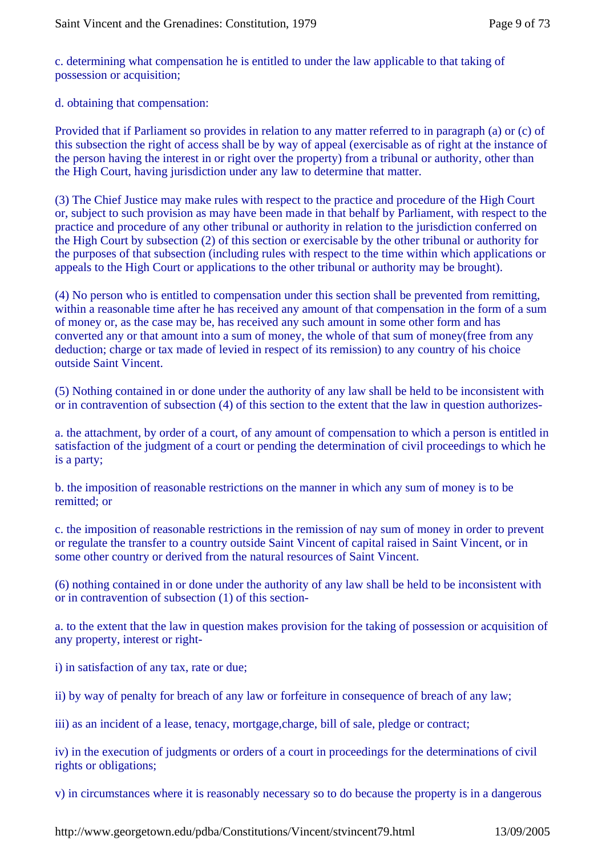c. determining what compensation he is entitled to under the law applicable to that taking of possession or acquisition;

d. obtaining that compensation:

Provided that if Parliament so provides in relation to any matter referred to in paragraph (a) or (c) of this subsection the right of access shall be by way of appeal (exercisable as of right at the instance of the person having the interest in or right over the property) from a tribunal or authority, other than the High Court, having jurisdiction under any law to determine that matter.

(3) The Chief Justice may make rules with respect to the practice and procedure of the High Court or, subject to such provision as may have been made in that behalf by Parliament, with respect to the practice and procedure of any other tribunal or authority in relation to the jurisdiction conferred on the High Court by subsection (2) of this section or exercisable by the other tribunal or authority for the purposes of that subsection (including rules with respect to the time within which applications or appeals to the High Court or applications to the other tribunal or authority may be brought).

(4) No person who is entitled to compensation under this section shall be prevented from remitting, within a reasonable time after he has received any amount of that compensation in the form of a sum of money or, as the case may be, has received any such amount in some other form and has converted any or that amount into a sum of money, the whole of that sum of money(free from any deduction; charge or tax made of levied in respect of its remission) to any country of his choice outside Saint Vincent.

(5) Nothing contained in or done under the authority of any law shall be held to be inconsistent with or in contravention of subsection (4) of this section to the extent that the law in question authorizes-

a. the attachment, by order of a court, of any amount of compensation to which a person is entitled in satisfaction of the judgment of a court or pending the determination of civil proceedings to which he is a party;

b. the imposition of reasonable restrictions on the manner in which any sum of money is to be remitted; or

c. the imposition of reasonable restrictions in the remission of nay sum of money in order to prevent or regulate the transfer to a country outside Saint Vincent of capital raised in Saint Vincent, or in some other country or derived from the natural resources of Saint Vincent.

(6) nothing contained in or done under the authority of any law shall be held to be inconsistent with or in contravention of subsection (1) of this section-

a. to the extent that the law in question makes provision for the taking of possession or acquisition of any property, interest or right-

i) in satisfaction of any tax, rate or due;

ii) by way of penalty for breach of any law or forfeiture in consequence of breach of any law;

iii) as an incident of a lease, tenacy, mortgage,charge, bill of sale, pledge or contract;

iv) in the execution of judgments or orders of a court in proceedings for the determinations of civil rights or obligations;

v) in circumstances where it is reasonably necessary so to do because the property is in a dangerous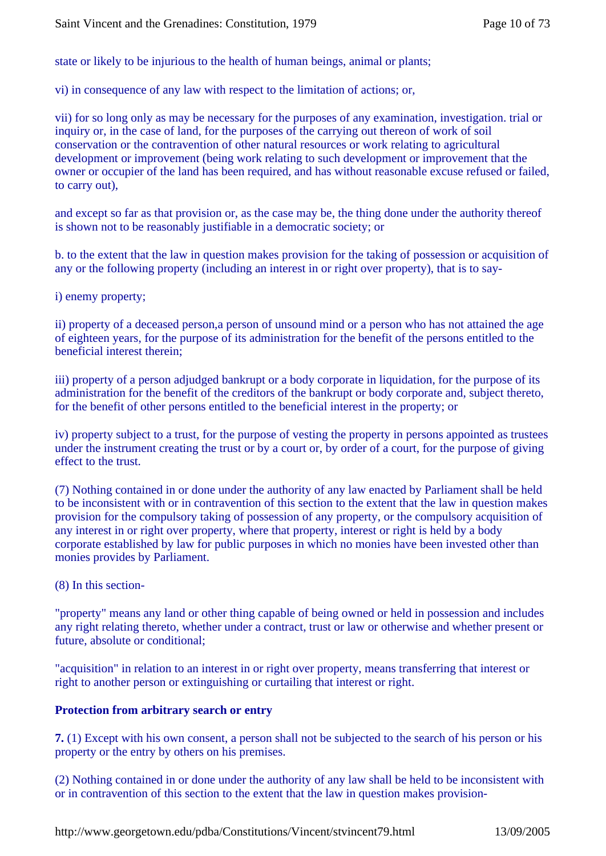state or likely to be injurious to the health of human beings, animal or plants;

vi) in consequence of any law with respect to the limitation of actions; or,

vii) for so long only as may be necessary for the purposes of any examination, investigation. trial or inquiry or, in the case of land, for the purposes of the carrying out thereon of work of soil conservation or the contravention of other natural resources or work relating to agricultural development or improvement (being work relating to such development or improvement that the owner or occupier of the land has been required, and has without reasonable excuse refused or failed, to carry out),

and except so far as that provision or, as the case may be, the thing done under the authority thereof is shown not to be reasonably justifiable in a democratic society; or

b. to the extent that the law in question makes provision for the taking of possession or acquisition of any or the following property (including an interest in or right over property), that is to say-

i) enemy property;

ii) property of a deceased person,a person of unsound mind or a person who has not attained the age of eighteen years, for the purpose of its administration for the benefit of the persons entitled to the beneficial interest therein;

iii) property of a person adjudged bankrupt or a body corporate in liquidation, for the purpose of its administration for the benefit of the creditors of the bankrupt or body corporate and, subject thereto, for the benefit of other persons entitled to the beneficial interest in the property; or

iv) property subject to a trust, for the purpose of vesting the property in persons appointed as trustees under the instrument creating the trust or by a court or, by order of a court, for the purpose of giving effect to the trust.

(7) Nothing contained in or done under the authority of any law enacted by Parliament shall be held to be inconsistent with or in contravention of this section to the extent that the law in question makes provision for the compulsory taking of possession of any property, or the compulsory acquisition of any interest in or right over property, where that property, interest or right is held by a body corporate established by law for public purposes in which no monies have been invested other than monies provides by Parliament.

(8) In this section-

"property" means any land or other thing capable of being owned or held in possession and includes any right relating thereto, whether under a contract, trust or law or otherwise and whether present or future, absolute or conditional;

"acquisition" in relation to an interest in or right over property, means transferring that interest or right to another person or extinguishing or curtailing that interest or right.

#### **Protection from arbitrary search or entry**

**7.** (1) Except with his own consent, a person shall not be subjected to the search of his person or his property or the entry by others on his premises.

(2) Nothing contained in or done under the authority of any law shall be held to be inconsistent with or in contravention of this section to the extent that the law in question makes provision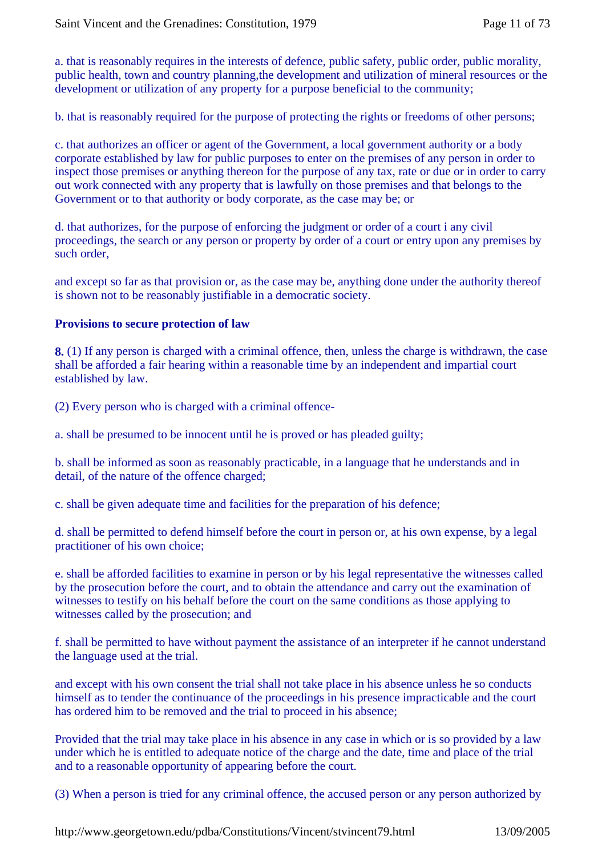a. that is reasonably requires in the interests of defence, public safety, public order, public morality, public health, town and country planning,the development and utilization of mineral resources or the development or utilization of any property for a purpose beneficial to the community;

b. that is reasonably required for the purpose of protecting the rights or freedoms of other persons;

c. that authorizes an officer or agent of the Government, a local government authority or a body corporate established by law for public purposes to enter on the premises of any person in order to inspect those premises or anything thereon for the purpose of any tax, rate or due or in order to carry out work connected with any property that is lawfully on those premises and that belongs to the Government or to that authority or body corporate, as the case may be; or

d. that authorizes, for the purpose of enforcing the judgment or order of a court i any civil proceedings, the search or any person or property by order of a court or entry upon any premises by such order,

and except so far as that provision or, as the case may be, anything done under the authority thereof is shown not to be reasonably justifiable in a democratic society.

#### **Provisions to secure protection of law**

**8.** (1) If any person is charged with a criminal offence, then, unless the charge is withdrawn, the case shall be afforded a fair hearing within a reasonable time by an independent and impartial court established by law.

(2) Every person who is charged with a criminal offence-

a. shall be presumed to be innocent until he is proved or has pleaded guilty;

b. shall be informed as soon as reasonably practicable, in a language that he understands and in detail, of the nature of the offence charged;

c. shall be given adequate time and facilities for the preparation of his defence;

d. shall be permitted to defend himself before the court in person or, at his own expense, by a legal practitioner of his own choice;

e. shall be afforded facilities to examine in person or by his legal representative the witnesses called by the prosecution before the court, and to obtain the attendance and carry out the examination of witnesses to testify on his behalf before the court on the same conditions as those applying to witnesses called by the prosecution; and

f. shall be permitted to have without payment the assistance of an interpreter if he cannot understand the language used at the trial.

and except with his own consent the trial shall not take place in his absence unless he so conducts himself as to tender the continuance of the proceedings in his presence impracticable and the court has ordered him to be removed and the trial to proceed in his absence;

Provided that the trial may take place in his absence in any case in which or is so provided by a law under which he is entitled to adequate notice of the charge and the date, time and place of the trial and to a reasonable opportunity of appearing before the court.

(3) When a person is tried for any criminal offence, the accused person or any person authorized by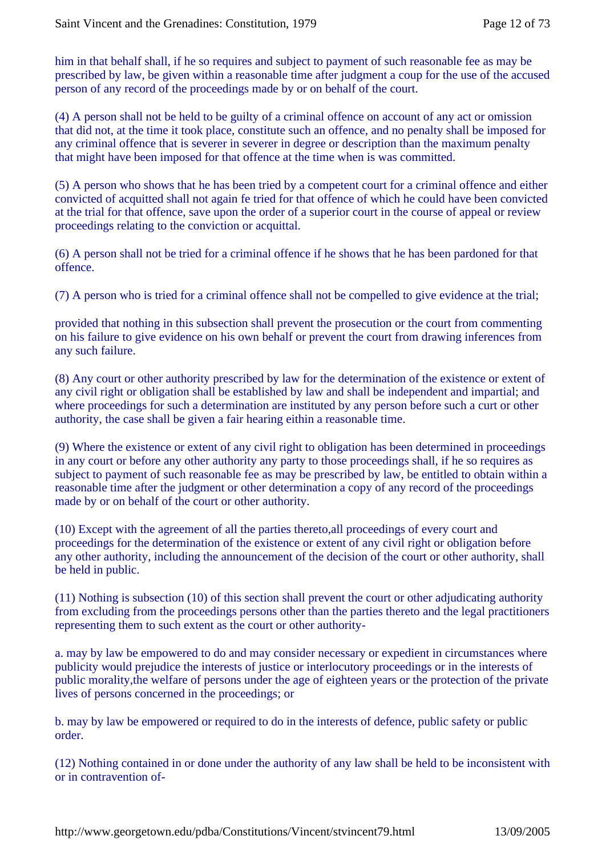him in that behalf shall, if he so requires and subject to payment of such reasonable fee as may be prescribed by law, be given within a reasonable time after judgment a coup for the use of the accused person of any record of the proceedings made by or on behalf of the court.

(4) A person shall not be held to be guilty of a criminal offence on account of any act or omission that did not, at the time it took place, constitute such an offence, and no penalty shall be imposed for any criminal offence that is severer in severer in degree or description than the maximum penalty that might have been imposed for that offence at the time when is was committed.

(5) A person who shows that he has been tried by a competent court for a criminal offence and either convicted of acquitted shall not again fe tried for that offence of which he could have been convicted at the trial for that offence, save upon the order of a superior court in the course of appeal or review proceedings relating to the conviction or acquittal.

(6) A person shall not be tried for a criminal offence if he shows that he has been pardoned for that offence.

(7) A person who is tried for a criminal offence shall not be compelled to give evidence at the trial;

provided that nothing in this subsection shall prevent the prosecution or the court from commenting on his failure to give evidence on his own behalf or prevent the court from drawing inferences from any such failure.

(8) Any court or other authority prescribed by law for the determination of the existence or extent of any civil right or obligation shall be established by law and shall be independent and impartial; and where proceedings for such a determination are instituted by any person before such a curt or other authority, the case shall be given a fair hearing eithin a reasonable time.

(9) Where the existence or extent of any civil right to obligation has been determined in proceedings in any court or before any other authority any party to those proceedings shall, if he so requires as subject to payment of such reasonable fee as may be prescribed by law, be entitled to obtain within a reasonable time after the judgment or other determination a copy of any record of the proceedings made by or on behalf of the court or other authority.

(10) Except with the agreement of all the parties thereto,all proceedings of every court and proceedings for the determination of the existence or extent of any civil right or obligation before any other authority, including the announcement of the decision of the court or other authority, shall be held in public.

(11) Nothing is subsection (10) of this section shall prevent the court or other adjudicating authority from excluding from the proceedings persons other than the parties thereto and the legal practitioners representing them to such extent as the court or other authority-

a. may by law be empowered to do and may consider necessary or expedient in circumstances where publicity would prejudice the interests of justice or interlocutory proceedings or in the interests of public morality,the welfare of persons under the age of eighteen years or the protection of the private lives of persons concerned in the proceedings; or

b. may by law be empowered or required to do in the interests of defence, public safety or public order.

(12) Nothing contained in or done under the authority of any law shall be held to be inconsistent with or in contravention of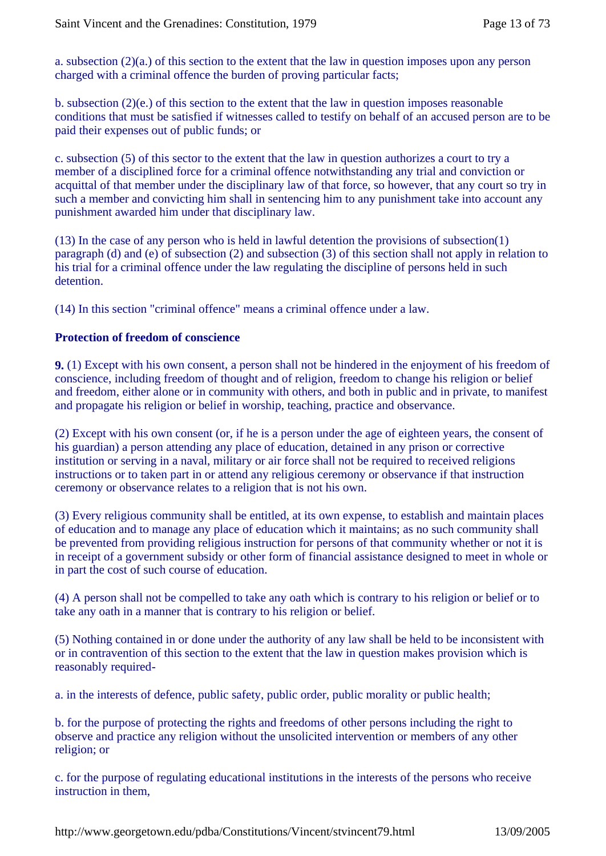a. subsection (2)(a.) of this section to the extent that the law in question imposes upon any person charged with a criminal offence the burden of proving particular facts;

b. subsection  $(2)(e)$  of this section to the extent that the law in question imposes reasonable conditions that must be satisfied if witnesses called to testify on behalf of an accused person are to be paid their expenses out of public funds; or

c. subsection (5) of this sector to the extent that the law in question authorizes a court to try a member of a disciplined force for a criminal offence notwithstanding any trial and conviction or acquittal of that member under the disciplinary law of that force, so however, that any court so try in such a member and convicting him shall in sentencing him to any punishment take into account any punishment awarded him under that disciplinary law.

(13) In the case of any person who is held in lawful detention the provisions of subsection(1) paragraph (d) and (e) of subsection (2) and subsection (3) of this section shall not apply in relation to his trial for a criminal offence under the law regulating the discipline of persons held in such detention.

(14) In this section "criminal offence" means a criminal offence under a law.

### **Protection of freedom of conscience**

**9.** (1) Except with his own consent, a person shall not be hindered in the enjoyment of his freedom of conscience, including freedom of thought and of religion, freedom to change his religion or belief and freedom, either alone or in community with others, and both in public and in private, to manifest and propagate his religion or belief in worship, teaching, practice and observance.

(2) Except with his own consent (or, if he is a person under the age of eighteen years, the consent of his guardian) a person attending any place of education, detained in any prison or corrective institution or serving in a naval, military or air force shall not be required to received religions instructions or to taken part in or attend any religious ceremony or observance if that instruction ceremony or observance relates to a religion that is not his own.

(3) Every religious community shall be entitled, at its own expense, to establish and maintain places of education and to manage any place of education which it maintains; as no such community shall be prevented from providing religious instruction for persons of that community whether or not it is in receipt of a government subsidy or other form of financial assistance designed to meet in whole or in part the cost of such course of education.

(4) A person shall not be compelled to take any oath which is contrary to his religion or belief or to take any oath in a manner that is contrary to his religion or belief.

(5) Nothing contained in or done under the authority of any law shall be held to be inconsistent with or in contravention of this section to the extent that the law in question makes provision which is reasonably required-

a. in the interests of defence, public safety, public order, public morality or public health;

b. for the purpose of protecting the rights and freedoms of other persons including the right to observe and practice any religion without the unsolicited intervention or members of any other religion; or

c. for the purpose of regulating educational institutions in the interests of the persons who receive instruction in them,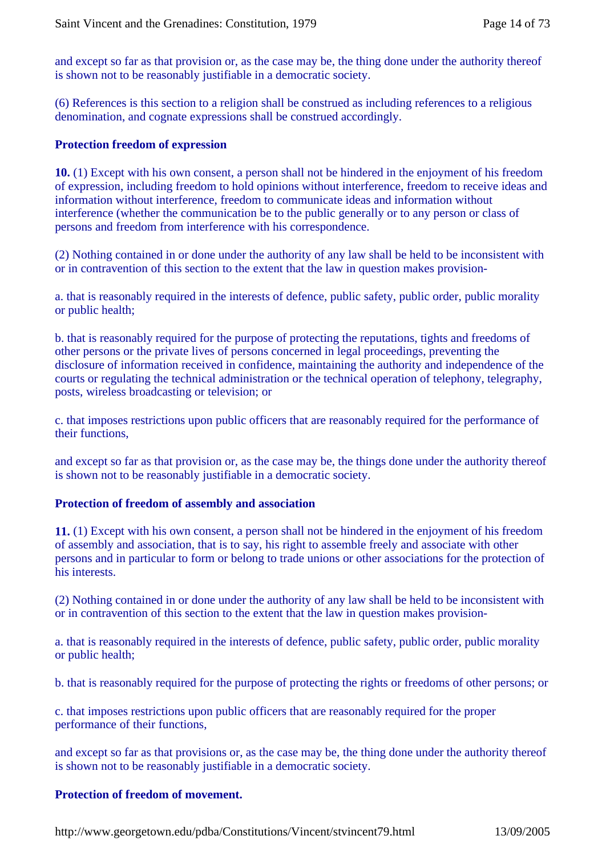and except so far as that provision or, as the case may be, the thing done under the authority thereof is shown not to be reasonably justifiable in a democratic society.

(6) References is this section to a religion shall be construed as including references to a religious denomination, and cognate expressions shall be construed accordingly.

#### **Protection freedom of expression**

**10.** (1) Except with his own consent, a person shall not be hindered in the enjoyment of his freedom of expression, including freedom to hold opinions without interference, freedom to receive ideas and information without interference, freedom to communicate ideas and information without interference (whether the communication be to the public generally or to any person or class of persons and freedom from interference with his correspondence.

(2) Nothing contained in or done under the authority of any law shall be held to be inconsistent with or in contravention of this section to the extent that the law in question makes provision-

a. that is reasonably required in the interests of defence, public safety, public order, public morality or public health;

b. that is reasonably required for the purpose of protecting the reputations, tights and freedoms of other persons or the private lives of persons concerned in legal proceedings, preventing the disclosure of information received in confidence, maintaining the authority and independence of the courts or regulating the technical administration or the technical operation of telephony, telegraphy, posts, wireless broadcasting or television; or

c. that imposes restrictions upon public officers that are reasonably required for the performance of their functions,

and except so far as that provision or, as the case may be, the things done under the authority thereof is shown not to be reasonably justifiable in a democratic society.

#### **Protection of freedom of assembly and association**

**11.** (1) Except with his own consent, a person shall not be hindered in the enjoyment of his freedom of assembly and association, that is to say, his right to assemble freely and associate with other persons and in particular to form or belong to trade unions or other associations for the protection of his interests.

(2) Nothing contained in or done under the authority of any law shall be held to be inconsistent with or in contravention of this section to the extent that the law in question makes provision-

a. that is reasonably required in the interests of defence, public safety, public order, public morality or public health;

b. that is reasonably required for the purpose of protecting the rights or freedoms of other persons; or

c. that imposes restrictions upon public officers that are reasonably required for the proper performance of their functions,

and except so far as that provisions or, as the case may be, the thing done under the authority thereof is shown not to be reasonably justifiable in a democratic society.

#### **Protection of freedom of movement.**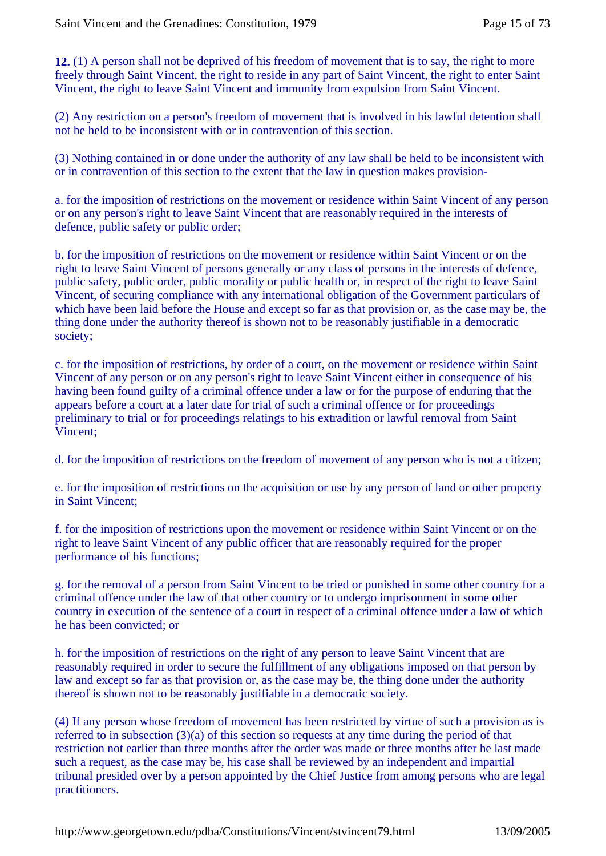**12.** (1) A person shall not be deprived of his freedom of movement that is to say, the right to more freely through Saint Vincent, the right to reside in any part of Saint Vincent, the right to enter Saint Vincent, the right to leave Saint Vincent and immunity from expulsion from Saint Vincent.

(2) Any restriction on a person's freedom of movement that is involved in his lawful detention shall not be held to be inconsistent with or in contravention of this section.

(3) Nothing contained in or done under the authority of any law shall be held to be inconsistent with or in contravention of this section to the extent that the law in question makes provision-

a. for the imposition of restrictions on the movement or residence within Saint Vincent of any person or on any person's right to leave Saint Vincent that are reasonably required in the interests of defence, public safety or public order;

b. for the imposition of restrictions on the movement or residence within Saint Vincent or on the right to leave Saint Vincent of persons generally or any class of persons in the interests of defence, public safety, public order, public morality or public health or, in respect of the right to leave Saint Vincent, of securing compliance with any international obligation of the Government particulars of which have been laid before the House and except so far as that provision or, as the case may be, the thing done under the authority thereof is shown not to be reasonably justifiable in a democratic society;

c. for the imposition of restrictions, by order of a court, on the movement or residence within Saint Vincent of any person or on any person's right to leave Saint Vincent either in consequence of his having been found guilty of a criminal offence under a law or for the purpose of enduring that the appears before a court at a later date for trial of such a criminal offence or for proceedings preliminary to trial or for proceedings relatings to his extradition or lawful removal from Saint Vincent;

d. for the imposition of restrictions on the freedom of movement of any person who is not a citizen;

e. for the imposition of restrictions on the acquisition or use by any person of land or other property in Saint Vincent;

f. for the imposition of restrictions upon the movement or residence within Saint Vincent or on the right to leave Saint Vincent of any public officer that are reasonably required for the proper performance of his functions;

g. for the removal of a person from Saint Vincent to be tried or punished in some other country for a criminal offence under the law of that other country or to undergo imprisonment in some other country in execution of the sentence of a court in respect of a criminal offence under a law of which he has been convicted; or

h. for the imposition of restrictions on the right of any person to leave Saint Vincent that are reasonably required in order to secure the fulfillment of any obligations imposed on that person by law and except so far as that provision or, as the case may be, the thing done under the authority thereof is shown not to be reasonably justifiable in a democratic society.

(4) If any person whose freedom of movement has been restricted by virtue of such a provision as is referred to in subsection (3)(a) of this section so requests at any time during the period of that restriction not earlier than three months after the order was made or three months after he last made such a request, as the case may be, his case shall be reviewed by an independent and impartial tribunal presided over by a person appointed by the Chief Justice from among persons who are legal practitioners.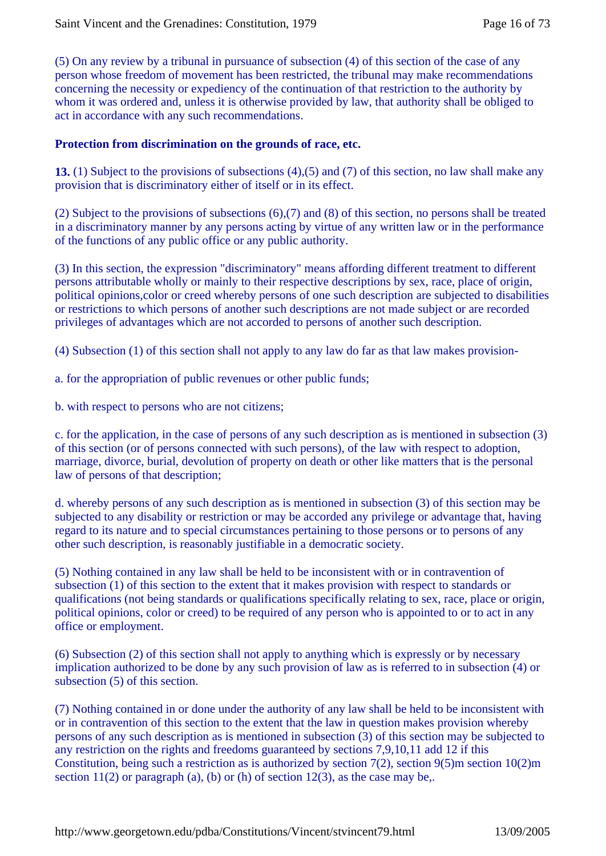(5) On any review by a tribunal in pursuance of subsection (4) of this section of the case of any person whose freedom of movement has been restricted, the tribunal may make recommendations concerning the necessity or expediency of the continuation of that restriction to the authority by whom it was ordered and, unless it is otherwise provided by law, that authority shall be obliged to act in accordance with any such recommendations.

### **Protection from discrimination on the grounds of race, etc.**

**13.** (1) Subject to the provisions of subsections (4),(5) and (7) of this section, no law shall make any provision that is discriminatory either of itself or in its effect.

(2) Subject to the provisions of subsections (6),(7) and (8) of this section, no persons shall be treated in a discriminatory manner by any persons acting by virtue of any written law or in the performance of the functions of any public office or any public authority.

(3) In this section, the expression "discriminatory" means affording different treatment to different persons attributable wholly or mainly to their respective descriptions by sex, race, place of origin, political opinions,color or creed whereby persons of one such description are subjected to disabilities or restrictions to which persons of another such descriptions are not made subject or are recorded privileges of advantages which are not accorded to persons of another such description.

(4) Subsection (1) of this section shall not apply to any law do far as that law makes provision-

a. for the appropriation of public revenues or other public funds;

b. with respect to persons who are not citizens;

c. for the application, in the case of persons of any such description as is mentioned in subsection (3) of this section (or of persons connected with such persons), of the law with respect to adoption, marriage, divorce, burial, devolution of property on death or other like matters that is the personal law of persons of that description;

d. whereby persons of any such description as is mentioned in subsection (3) of this section may be subjected to any disability or restriction or may be accorded any privilege or advantage that, having regard to its nature and to special circumstances pertaining to those persons or to persons of any other such description, is reasonably justifiable in a democratic society.

(5) Nothing contained in any law shall be held to be inconsistent with or in contravention of subsection (1) of this section to the extent that it makes provision with respect to standards or qualifications (not being standards or qualifications specifically relating to sex, race, place or origin, political opinions, color or creed) to be required of any person who is appointed to or to act in any office or employment.

(6) Subsection (2) of this section shall not apply to anything which is expressly or by necessary implication authorized to be done by any such provision of law as is referred to in subsection (4) or subsection (5) of this section.

(7) Nothing contained in or done under the authority of any law shall be held to be inconsistent with or in contravention of this section to the extent that the law in question makes provision whereby persons of any such description as is mentioned in subsection (3) of this section may be subjected to any restriction on the rights and freedoms guaranteed by sections 7,9,10,11 add 12 if this Constitution, being such a restriction as is authorized by section 7(2), section 9(5)m section 10(2)m section 11(2) or paragraph (a), (b) or (h) of section 12(3), as the case may be,.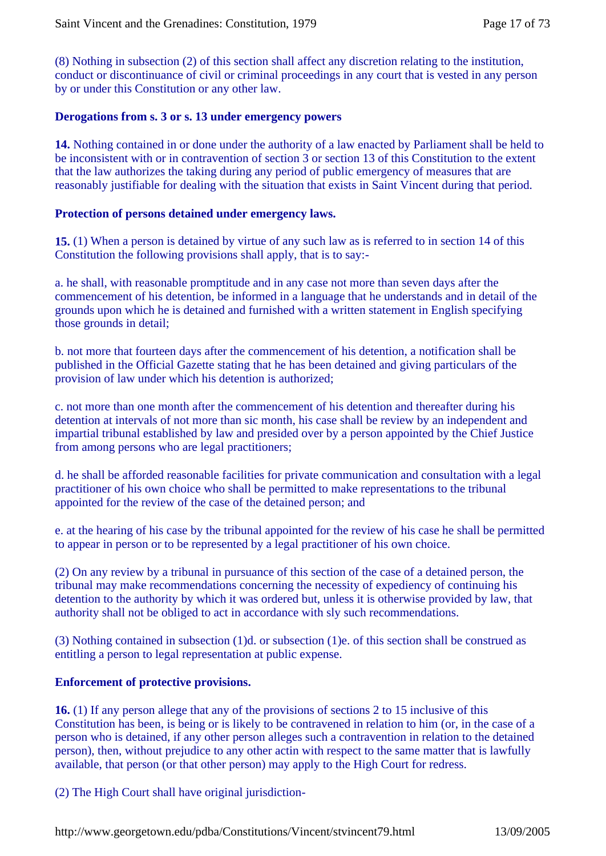(8) Nothing in subsection (2) of this section shall affect any discretion relating to the institution, conduct or discontinuance of civil or criminal proceedings in any court that is vested in any person by or under this Constitution or any other law.

#### **Derogations from s. 3 or s. 13 under emergency powers**

**14.** Nothing contained in or done under the authority of a law enacted by Parliament shall be held to be inconsistent with or in contravention of section 3 or section 13 of this Constitution to the extent that the law authorizes the taking during any period of public emergency of measures that are reasonably justifiable for dealing with the situation that exists in Saint Vincent during that period.

#### **Protection of persons detained under emergency laws.**

**15.** (1) When a person is detained by virtue of any such law as is referred to in section 14 of this Constitution the following provisions shall apply, that is to say:-

a. he shall, with reasonable promptitude and in any case not more than seven days after the commencement of his detention, be informed in a language that he understands and in detail of the grounds upon which he is detained and furnished with a written statement in English specifying those grounds in detail;

b. not more that fourteen days after the commencement of his detention, a notification shall be published in the Official Gazette stating that he has been detained and giving particulars of the provision of law under which his detention is authorized;

c. not more than one month after the commencement of his detention and thereafter during his detention at intervals of not more than sic month, his case shall be review by an independent and impartial tribunal established by law and presided over by a person appointed by the Chief Justice from among persons who are legal practitioners;

d. he shall be afforded reasonable facilities for private communication and consultation with a legal practitioner of his own choice who shall be permitted to make representations to the tribunal appointed for the review of the case of the detained person; and

e. at the hearing of his case by the tribunal appointed for the review of his case he shall be permitted to appear in person or to be represented by a legal practitioner of his own choice.

(2) On any review by a tribunal in pursuance of this section of the case of a detained person, the tribunal may make recommendations concerning the necessity of expediency of continuing his detention to the authority by which it was ordered but, unless it is otherwise provided by law, that authority shall not be obliged to act in accordance with sly such recommendations.

(3) Nothing contained in subsection (1)d. or subsection (1)e. of this section shall be construed as entitling a person to legal representation at public expense.

#### **Enforcement of protective provisions.**

**16.** (1) If any person allege that any of the provisions of sections 2 to 15 inclusive of this Constitution has been, is being or is likely to be contravened in relation to him (or, in the case of a person who is detained, if any other person alleges such a contravention in relation to the detained person), then, without prejudice to any other actin with respect to the same matter that is lawfully available, that person (or that other person) may apply to the High Court for redress.

(2) The High Court shall have original jurisdiction-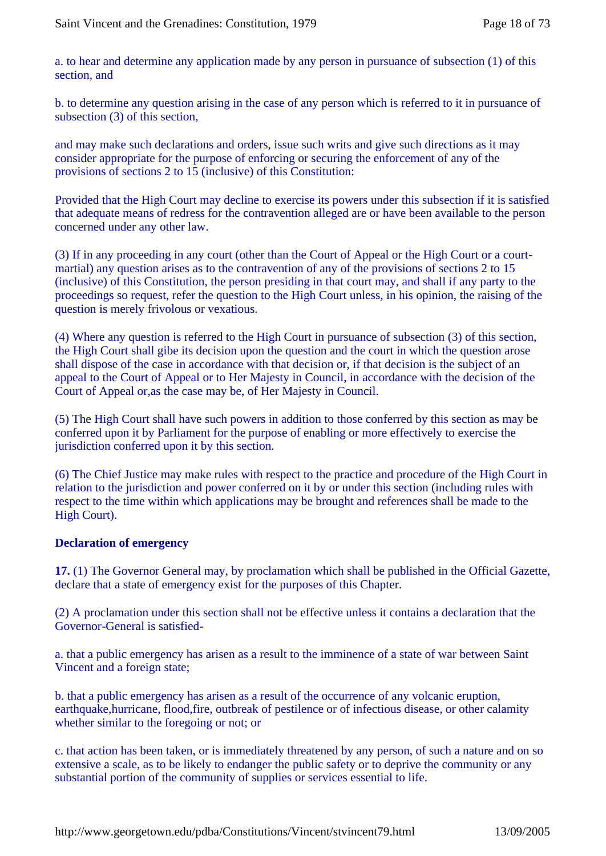a. to hear and determine any application made by any person in pursuance of subsection (1) of this section, and

b. to determine any question arising in the case of any person which is referred to it in pursuance of subsection (3) of this section,

and may make such declarations and orders, issue such writs and give such directions as it may consider appropriate for the purpose of enforcing or securing the enforcement of any of the provisions of sections 2 to 15 (inclusive) of this Constitution:

Provided that the High Court may decline to exercise its powers under this subsection if it is satisfied that adequate means of redress for the contravention alleged are or have been available to the person concerned under any other law.

(3) If in any proceeding in any court (other than the Court of Appeal or the High Court or a courtmartial) any question arises as to the contravention of any of the provisions of sections 2 to 15 (inclusive) of this Constitution, the person presiding in that court may, and shall if any party to the proceedings so request, refer the question to the High Court unless, in his opinion, the raising of the question is merely frivolous or vexatious.

(4) Where any question is referred to the High Court in pursuance of subsection (3) of this section, the High Court shall gibe its decision upon the question and the court in which the question arose shall dispose of the case in accordance with that decision or, if that decision is the subject of an appeal to the Court of Appeal or to Her Majesty in Council, in accordance with the decision of the Court of Appeal or,as the case may be, of Her Majesty in Council.

(5) The High Court shall have such powers in addition to those conferred by this section as may be conferred upon it by Parliament for the purpose of enabling or more effectively to exercise the jurisdiction conferred upon it by this section.

(6) The Chief Justice may make rules with respect to the practice and procedure of the High Court in relation to the jurisdiction and power conferred on it by or under this section (including rules with respect to the time within which applications may be brought and references shall be made to the High Court).

## **Declaration of emergency**

**17.** (1) The Governor General may, by proclamation which shall be published in the Official Gazette, declare that a state of emergency exist for the purposes of this Chapter.

(2) A proclamation under this section shall not be effective unless it contains a declaration that the Governor-General is satisfied-

a. that a public emergency has arisen as a result to the imminence of a state of war between Saint Vincent and a foreign state;

b. that a public emergency has arisen as a result of the occurrence of any volcanic eruption, earthquake,hurricane, flood,fire, outbreak of pestilence or of infectious disease, or other calamity whether similar to the foregoing or not; or

c. that action has been taken, or is immediately threatened by any person, of such a nature and on so extensive a scale, as to be likely to endanger the public safety or to deprive the community or any substantial portion of the community of supplies or services essential to life.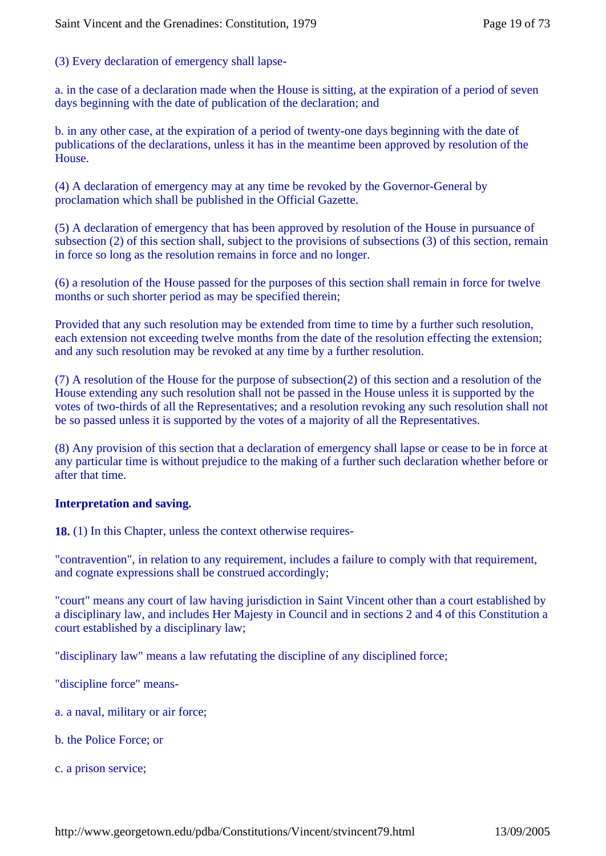(3) Every declaration of emergency shall lapse-

a. in the case of a declaration made when the House is sitting, at the expiration of a period of seven days beginning with the date of publication of the declaration; and

b. in any other case, at the expiration of a period of twenty-one days beginning with the date of publications of the declarations, unless it has in the meantime been approved by resolution of the House.

(4) A declaration of emergency may at any time be revoked by the Governor-General by proclamation which shall be published in the Official Gazette.

(5) A declaration of emergency that has been approved by resolution of the House in pursuance of subsection (2) of this section shall, subject to the provisions of subsections (3) of this section, remain in force so long as the resolution remains in force and no longer.

(6) a resolution of the House passed for the purposes of this section shall remain in force for twelve months or such shorter period as may be specified therein;

Provided that any such resolution may be extended from time to time by a further such resolution, each extension not exceeding twelve months from the date of the resolution effecting the extension; and any such resolution may be revoked at any time by a further resolution.

(7) A resolution of the House for the purpose of subsection(2) of this section and a resolution of the House extending any such resolution shall not be passed in the House unless it is supported by the votes of two-thirds of all the Representatives; and a resolution revoking any such resolution shall not be so passed unless it is supported by the votes of a majority of all the Representatives.

(8) Any provision of this section that a declaration of emergency shall lapse or cease to be in force at any particular time is without prejudice to the making of a further such declaration whether before or after that time.

#### **Interpretation and saving.**

**18.** (1) In this Chapter, unless the context otherwise requires-

"contravention", in relation to any requirement, includes a failure to comply with that requirement, and cognate expressions shall be construed accordingly;

"court" means any court of law having jurisdiction in Saint Vincent other than a court established by a disciplinary law, and includes Her Majesty in Council and in sections 2 and 4 of this Constitution a court established by a disciplinary law;

"disciplinary law" means a law refutating the discipline of any disciplined force;

"discipline force" means-

- a. a naval, military or air force;
- b. the Police Force; or
- c. a prison service;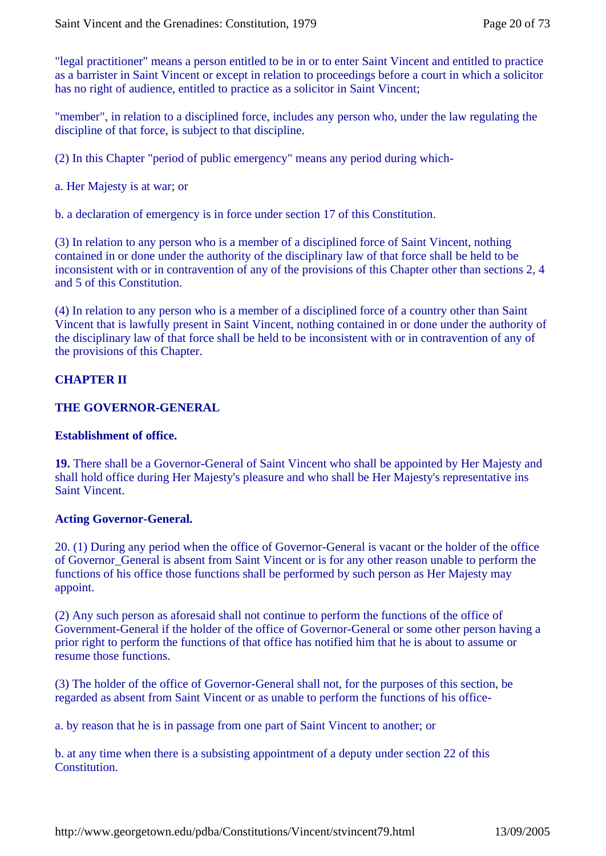"legal practitioner" means a person entitled to be in or to enter Saint Vincent and entitled to practice as a barrister in Saint Vincent or except in relation to proceedings before a court in which a solicitor has no right of audience, entitled to practice as a solicitor in Saint Vincent;

"member", in relation to a disciplined force, includes any person who, under the law regulating the discipline of that force, is subject to that discipline.

(2) In this Chapter "period of public emergency" means any period during which-

a. Her Majesty is at war; or

b. a declaration of emergency is in force under section 17 of this Constitution.

(3) In relation to any person who is a member of a disciplined force of Saint Vincent, nothing contained in or done under the authority of the disciplinary law of that force shall be held to be inconsistent with or in contravention of any of the provisions of this Chapter other than sections 2, 4 and 5 of this Constitution.

(4) In relation to any person who is a member of a disciplined force of a country other than Saint Vincent that is lawfully present in Saint Vincent, nothing contained in or done under the authority of the disciplinary law of that force shall be held to be inconsistent with or in contravention of any of the provisions of this Chapter.

### **CHAPTER II**

#### **THE GOVERNOR-GENERAL**

#### **Establishment of office.**

**19.** There shall be a Governor-General of Saint Vincent who shall be appointed by Her Majesty and shall hold office during Her Majesty's pleasure and who shall be Her Majesty's representative ins Saint Vincent.

#### **Acting Governor-General.**

20. (1) During any period when the office of Governor-General is vacant or the holder of the office of Governor\_General is absent from Saint Vincent or is for any other reason unable to perform the functions of his office those functions shall be performed by such person as Her Majesty may appoint.

(2) Any such person as aforesaid shall not continue to perform the functions of the office of Government-General if the holder of the office of Governor-General or some other person having a prior right to perform the functions of that office has notified him that he is about to assume or resume those functions.

(3) The holder of the office of Governor-General shall not, for the purposes of this section, be regarded as absent from Saint Vincent or as unable to perform the functions of his office-

a. by reason that he is in passage from one part of Saint Vincent to another; or

b. at any time when there is a subsisting appointment of a deputy under section 22 of this Constitution.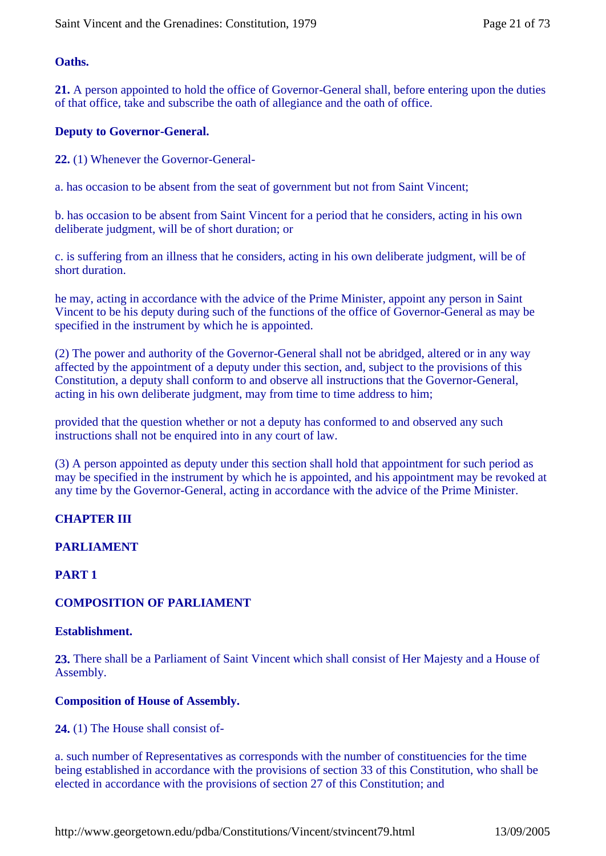### **Oaths.**

**21.** A person appointed to hold the office of Governor-General shall, before entering upon the duties of that office, take and subscribe the oath of allegiance and the oath of office.

### **Deputy to Governor-General.**

**22.** (1) Whenever the Governor-General-

a. has occasion to be absent from the seat of government but not from Saint Vincent;

b. has occasion to be absent from Saint Vincent for a period that he considers, acting in his own deliberate judgment, will be of short duration; or

c. is suffering from an illness that he considers, acting in his own deliberate judgment, will be of short duration.

he may, acting in accordance with the advice of the Prime Minister, appoint any person in Saint Vincent to be his deputy during such of the functions of the office of Governor-General as may be specified in the instrument by which he is appointed.

(2) The power and authority of the Governor-General shall not be abridged, altered or in any way affected by the appointment of a deputy under this section, and, subject to the provisions of this Constitution, a deputy shall conform to and observe all instructions that the Governor-General, acting in his own deliberate judgment, may from time to time address to him;

provided that the question whether or not a deputy has conformed to and observed any such instructions shall not be enquired into in any court of law.

(3) A person appointed as deputy under this section shall hold that appointment for such period as may be specified in the instrument by which he is appointed, and his appointment may be revoked at any time by the Governor-General, acting in accordance with the advice of the Prime Minister.

## **CHAPTER III**

## **PARLIAMENT**

## **PART 1**

## **COMPOSITION OF PARLIAMENT**

#### **Establishment.**

**23.** There shall be a Parliament of Saint Vincent which shall consist of Her Majesty and a House of Assembly.

#### **Composition of House of Assembly.**

**24.** (1) The House shall consist of-

a. such number of Representatives as corresponds with the number of constituencies for the time being established in accordance with the provisions of section 33 of this Constitution, who shall be elected in accordance with the provisions of section 27 of this Constitution; and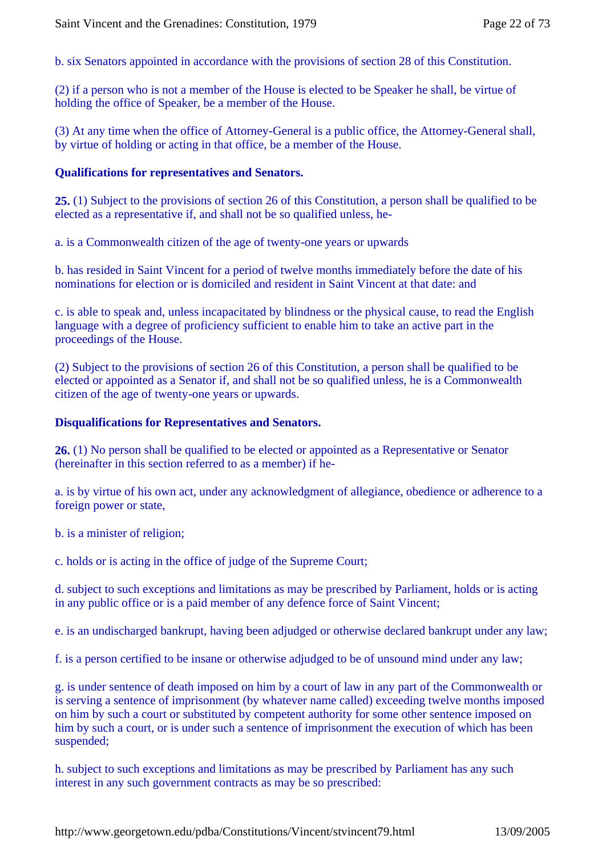b. six Senators appointed in accordance with the provisions of section 28 of this Constitution.

(2) if a person who is not a member of the House is elected to be Speaker he shall, be virtue of holding the office of Speaker, be a member of the House.

(3) At any time when the office of Attorney-General is a public office, the Attorney-General shall, by virtue of holding or acting in that office, be a member of the House.

#### **Qualifications for representatives and Senators.**

**25.** (1) Subject to the provisions of section 26 of this Constitution, a person shall be qualified to be elected as a representative if, and shall not be so qualified unless, he-

a. is a Commonwealth citizen of the age of twenty-one years or upwards

b. has resided in Saint Vincent for a period of twelve months immediately before the date of his nominations for election or is domiciled and resident in Saint Vincent at that date: and

c. is able to speak and, unless incapacitated by blindness or the physical cause, to read the English language with a degree of proficiency sufficient to enable him to take an active part in the proceedings of the House.

(2) Subject to the provisions of section 26 of this Constitution, a person shall be qualified to be elected or appointed as a Senator if, and shall not be so qualified unless, he is a Commonwealth citizen of the age of twenty-one years or upwards.

#### **Disqualifications for Representatives and Senators.**

**26.** (1) No person shall be qualified to be elected or appointed as a Representative or Senator (hereinafter in this section referred to as a member) if he-

a. is by virtue of his own act, under any acknowledgment of allegiance, obedience or adherence to a foreign power or state,

b. is a minister of religion;

c. holds or is acting in the office of judge of the Supreme Court;

d. subject to such exceptions and limitations as may be prescribed by Parliament, holds or is acting in any public office or is a paid member of any defence force of Saint Vincent;

e. is an undischarged bankrupt, having been adjudged or otherwise declared bankrupt under any law;

f. is a person certified to be insane or otherwise adjudged to be of unsound mind under any law;

g. is under sentence of death imposed on him by a court of law in any part of the Commonwealth or is serving a sentence of imprisonment (by whatever name called) exceeding twelve months imposed on him by such a court or substituted by competent authority for some other sentence imposed on him by such a court, or is under such a sentence of imprisonment the execution of which has been suspended;

h. subject to such exceptions and limitations as may be prescribed by Parliament has any such interest in any such government contracts as may be so prescribed: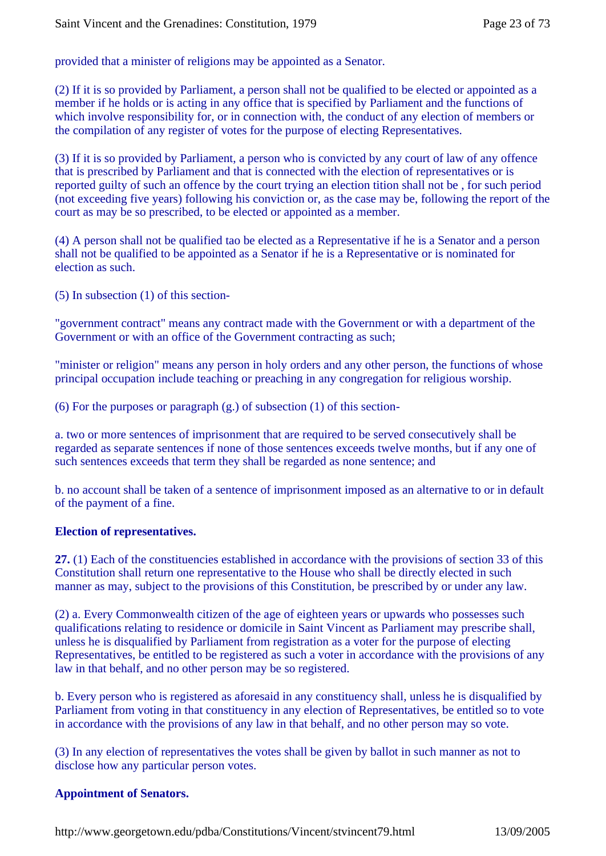provided that a minister of religions may be appointed as a Senator.

(2) If it is so provided by Parliament, a person shall not be qualified to be elected or appointed as a member if he holds or is acting in any office that is specified by Parliament and the functions of which involve responsibility for, or in connection with, the conduct of any election of members or the compilation of any register of votes for the purpose of electing Representatives.

(3) If it is so provided by Parliament, a person who is convicted by any court of law of any offence that is prescribed by Parliament and that is connected with the election of representatives or is reported guilty of such an offence by the court trying an election tition shall not be , for such period (not exceeding five years) following his conviction or, as the case may be, following the report of the court as may be so prescribed, to be elected or appointed as a member.

(4) A person shall not be qualified tao be elected as a Representative if he is a Senator and a person shall not be qualified to be appointed as a Senator if he is a Representative or is nominated for election as such.

(5) In subsection (1) of this section-

"government contract" means any contract made with the Government or with a department of the Government or with an office of the Government contracting as such;

"minister or religion" means any person in holy orders and any other person, the functions of whose principal occupation include teaching or preaching in any congregation for religious worship.

(6) For the purposes or paragraph (g.) of subsection (1) of this section-

a. two or more sentences of imprisonment that are required to be served consecutively shall be regarded as separate sentences if none of those sentences exceeds twelve months, but if any one of such sentences exceeds that term they shall be regarded as none sentence; and

b. no account shall be taken of a sentence of imprisonment imposed as an alternative to or in default of the payment of a fine.

#### **Election of representatives.**

**27.** (1) Each of the constituencies established in accordance with the provisions of section 33 of this Constitution shall return one representative to the House who shall be directly elected in such manner as may, subject to the provisions of this Constitution, be prescribed by or under any law.

(2) a. Every Commonwealth citizen of the age of eighteen years or upwards who possesses such qualifications relating to residence or domicile in Saint Vincent as Parliament may prescribe shall, unless he is disqualified by Parliament from registration as a voter for the purpose of electing Representatives, be entitled to be registered as such a voter in accordance with the provisions of any law in that behalf, and no other person may be so registered.

b. Every person who is registered as aforesaid in any constituency shall, unless he is disqualified by Parliament from voting in that constituency in any election of Representatives, be entitled so to vote in accordance with the provisions of any law in that behalf, and no other person may so vote.

(3) In any election of representatives the votes shall be given by ballot in such manner as not to disclose how any particular person votes.

#### **Appointment of Senators.**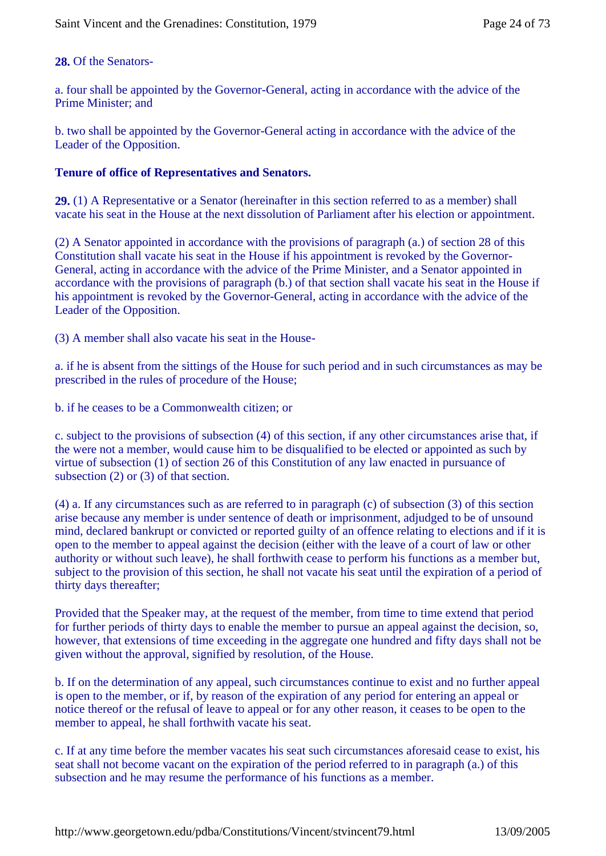## **28.** Of the Senators-

a. four shall be appointed by the Governor-General, acting in accordance with the advice of the Prime Minister; and

b. two shall be appointed by the Governor-General acting in accordance with the advice of the Leader of the Opposition.

#### **Tenure of office of Representatives and Senators.**

**29.** (1) A Representative or a Senator (hereinafter in this section referred to as a member) shall vacate his seat in the House at the next dissolution of Parliament after his election or appointment.

(2) A Senator appointed in accordance with the provisions of paragraph (a.) of section 28 of this Constitution shall vacate his seat in the House if his appointment is revoked by the Governor-General, acting in accordance with the advice of the Prime Minister, and a Senator appointed in accordance with the provisions of paragraph (b.) of that section shall vacate his seat in the House if his appointment is revoked by the Governor-General, acting in accordance with the advice of the Leader of the Opposition.

(3) A member shall also vacate his seat in the House-

a. if he is absent from the sittings of the House for such period and in such circumstances as may be prescribed in the rules of procedure of the House;

b. if he ceases to be a Commonwealth citizen; or

c. subject to the provisions of subsection (4) of this section, if any other circumstances arise that, if the were not a member, would cause him to be disqualified to be elected or appointed as such by virtue of subsection (1) of section 26 of this Constitution of any law enacted in pursuance of subsection (2) or (3) of that section.

(4) a. If any circumstances such as are referred to in paragraph (c) of subsection (3) of this section arise because any member is under sentence of death or imprisonment, adjudged to be of unsound mind, declared bankrupt or convicted or reported guilty of an offence relating to elections and if it is open to the member to appeal against the decision (either with the leave of a court of law or other authority or without such leave), he shall forthwith cease to perform his functions as a member but, subject to the provision of this section, he shall not vacate his seat until the expiration of a period of thirty days thereafter;

Provided that the Speaker may, at the request of the member, from time to time extend that period for further periods of thirty days to enable the member to pursue an appeal against the decision, so, however, that extensions of time exceeding in the aggregate one hundred and fifty days shall not be given without the approval, signified by resolution, of the House.

b. If on the determination of any appeal, such circumstances continue to exist and no further appeal is open to the member, or if, by reason of the expiration of any period for entering an appeal or notice thereof or the refusal of leave to appeal or for any other reason, it ceases to be open to the member to appeal, he shall forthwith vacate his seat.

c. If at any time before the member vacates his seat such circumstances aforesaid cease to exist, his seat shall not become vacant on the expiration of the period referred to in paragraph (a.) of this subsection and he may resume the performance of his functions as a member.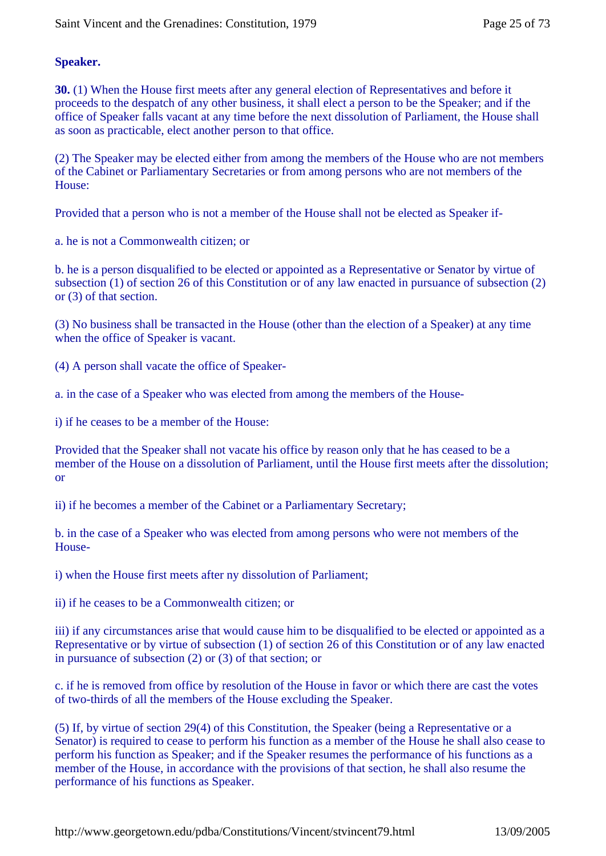## **Speaker.**

**30.** (1) When the House first meets after any general election of Representatives and before it proceeds to the despatch of any other business, it shall elect a person to be the Speaker; and if the office of Speaker falls vacant at any time before the next dissolution of Parliament, the House shall as soon as practicable, elect another person to that office.

(2) The Speaker may be elected either from among the members of the House who are not members of the Cabinet or Parliamentary Secretaries or from among persons who are not members of the House:

Provided that a person who is not a member of the House shall not be elected as Speaker if-

a. he is not a Commonwealth citizen; or

b. he is a person disqualified to be elected or appointed as a Representative or Senator by virtue of subsection (1) of section 26 of this Constitution or of any law enacted in pursuance of subsection (2) or (3) of that section.

(3) No business shall be transacted in the House (other than the election of a Speaker) at any time when the office of Speaker is vacant.

(4) A person shall vacate the office of Speaker-

a. in the case of a Speaker who was elected from among the members of the House-

i) if he ceases to be a member of the House:

Provided that the Speaker shall not vacate his office by reason only that he has ceased to be a member of the House on a dissolution of Parliament, until the House first meets after the dissolution; or

ii) if he becomes a member of the Cabinet or a Parliamentary Secretary;

b. in the case of a Speaker who was elected from among persons who were not members of the House-

i) when the House first meets after ny dissolution of Parliament;

ii) if he ceases to be a Commonwealth citizen; or

iii) if any circumstances arise that would cause him to be disqualified to be elected or appointed as a Representative or by virtue of subsection (1) of section 26 of this Constitution or of any law enacted in pursuance of subsection (2) or (3) of that section; or

c. if he is removed from office by resolution of the House in favor or which there are cast the votes of two-thirds of all the members of the House excluding the Speaker.

(5) If, by virtue of section 29(4) of this Constitution, the Speaker (being a Representative or a Senator) is required to cease to perform his function as a member of the House he shall also cease to perform his function as Speaker; and if the Speaker resumes the performance of his functions as a member of the House, in accordance with the provisions of that section, he shall also resume the performance of his functions as Speaker.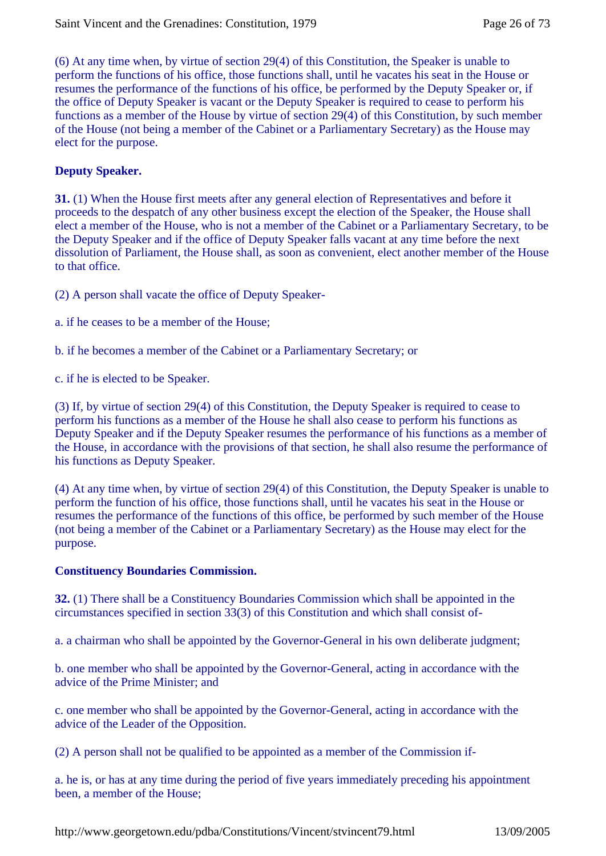(6) At any time when, by virtue of section 29(4) of this Constitution, the Speaker is unable to perform the functions of his office, those functions shall, until he vacates his seat in the House or resumes the performance of the functions of his office, be performed by the Deputy Speaker or, if the office of Deputy Speaker is vacant or the Deputy Speaker is required to cease to perform his functions as a member of the House by virtue of section 29(4) of this Constitution, by such member of the House (not being a member of the Cabinet or a Parliamentary Secretary) as the House may elect for the purpose.

## **Deputy Speaker.**

**31.** (1) When the House first meets after any general election of Representatives and before it proceeds to the despatch of any other business except the election of the Speaker, the House shall elect a member of the House, who is not a member of the Cabinet or a Parliamentary Secretary, to be the Deputy Speaker and if the office of Deputy Speaker falls vacant at any time before the next dissolution of Parliament, the House shall, as soon as convenient, elect another member of the House to that office.

(2) A person shall vacate the office of Deputy Speaker-

a. if he ceases to be a member of the House;

b. if he becomes a member of the Cabinet or a Parliamentary Secretary; or

c. if he is elected to be Speaker.

(3) If, by virtue of section 29(4) of this Constitution, the Deputy Speaker is required to cease to perform his functions as a member of the House he shall also cease to perform his functions as Deputy Speaker and if the Deputy Speaker resumes the performance of his functions as a member of the House, in accordance with the provisions of that section, he shall also resume the performance of his functions as Deputy Speaker.

(4) At any time when, by virtue of section 29(4) of this Constitution, the Deputy Speaker is unable to perform the function of his office, those functions shall, until he vacates his seat in the House or resumes the performance of the functions of this office, be performed by such member of the House (not being a member of the Cabinet or a Parliamentary Secretary) as the House may elect for the purpose.

#### **Constituency Boundaries Commission.**

**32.** (1) There shall be a Constituency Boundaries Commission which shall be appointed in the circumstances specified in section 33(3) of this Constitution and which shall consist of-

a. a chairman who shall be appointed by the Governor-General in his own deliberate judgment;

b. one member who shall be appointed by the Governor-General, acting in accordance with the advice of the Prime Minister; and

c. one member who shall be appointed by the Governor-General, acting in accordance with the advice of the Leader of the Opposition.

(2) A person shall not be qualified to be appointed as a member of the Commission if-

a. he is, or has at any time during the period of five years immediately preceding his appointment been, a member of the House;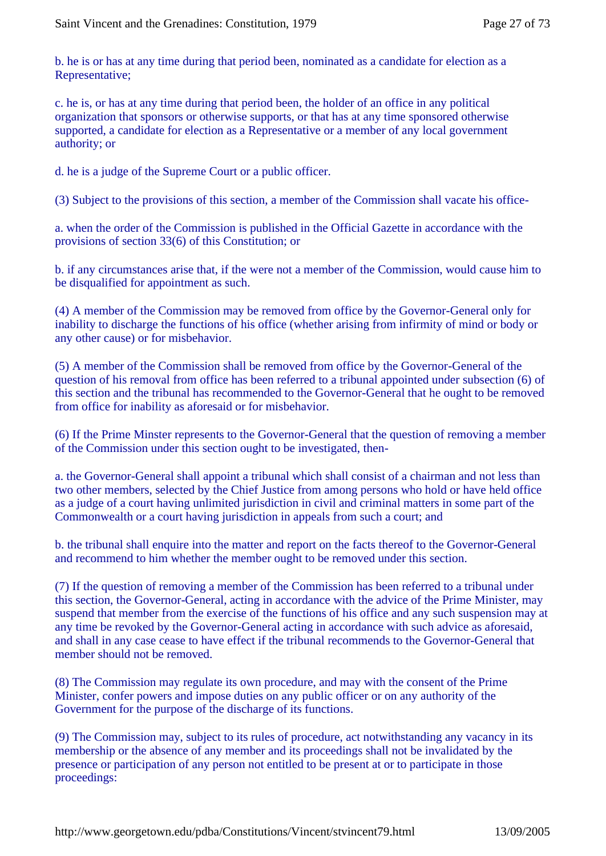b. he is or has at any time during that period been, nominated as a candidate for election as a Representative;

c. he is, or has at any time during that period been, the holder of an office in any political organization that sponsors or otherwise supports, or that has at any time sponsored otherwise supported, a candidate for election as a Representative or a member of any local government authority; or

d. he is a judge of the Supreme Court or a public officer.

(3) Subject to the provisions of this section, a member of the Commission shall vacate his office-

a. when the order of the Commission is published in the Official Gazette in accordance with the provisions of section 33(6) of this Constitution; or

b. if any circumstances arise that, if the were not a member of the Commission, would cause him to be disqualified for appointment as such.

(4) A member of the Commission may be removed from office by the Governor-General only for inability to discharge the functions of his office (whether arising from infirmity of mind or body or any other cause) or for misbehavior.

(5) A member of the Commission shall be removed from office by the Governor-General of the question of his removal from office has been referred to a tribunal appointed under subsection (6) of this section and the tribunal has recommended to the Governor-General that he ought to be removed from office for inability as aforesaid or for misbehavior.

(6) If the Prime Minster represents to the Governor-General that the question of removing a member of the Commission under this section ought to be investigated, then-

a. the Governor-General shall appoint a tribunal which shall consist of a chairman and not less than two other members, selected by the Chief Justice from among persons who hold or have held office as a judge of a court having unlimited jurisdiction in civil and criminal matters in some part of the Commonwealth or a court having jurisdiction in appeals from such a court; and

b. the tribunal shall enquire into the matter and report on the facts thereof to the Governor-General and recommend to him whether the member ought to be removed under this section.

(7) If the question of removing a member of the Commission has been referred to a tribunal under this section, the Governor-General, acting in accordance with the advice of the Prime Minister, may suspend that member from the exercise of the functions of his office and any such suspension may at any time be revoked by the Governor-General acting in accordance with such advice as aforesaid, and shall in any case cease to have effect if the tribunal recommends to the Governor-General that member should not be removed.

(8) The Commission may regulate its own procedure, and may with the consent of the Prime Minister, confer powers and impose duties on any public officer or on any authority of the Government for the purpose of the discharge of its functions.

(9) The Commission may, subject to its rules of procedure, act notwithstanding any vacancy in its membership or the absence of any member and its proceedings shall not be invalidated by the presence or participation of any person not entitled to be present at or to participate in those proceedings: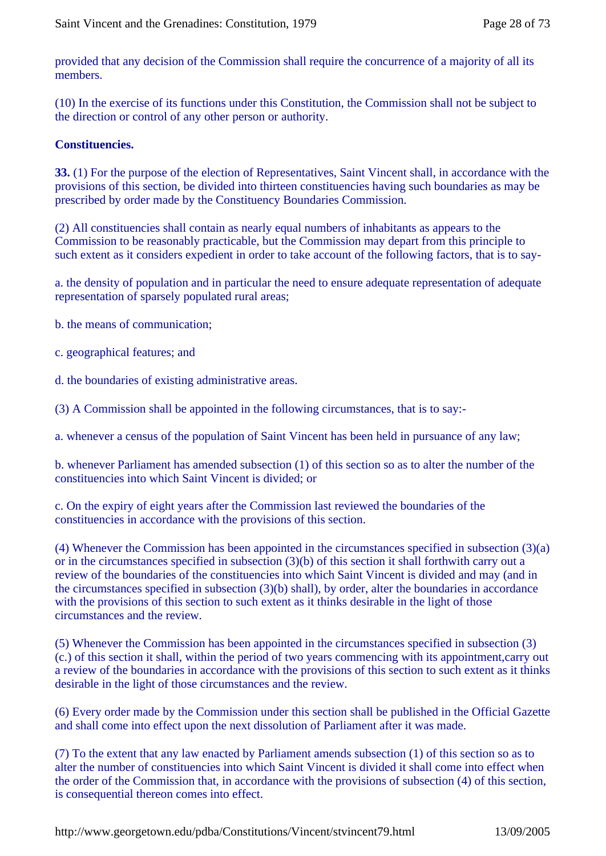provided that any decision of the Commission shall require the concurrence of a majority of all its members.

(10) In the exercise of its functions under this Constitution, the Commission shall not be subject to the direction or control of any other person or authority.

#### **Constituencies.**

**33.** (1) For the purpose of the election of Representatives, Saint Vincent shall, in accordance with the provisions of this section, be divided into thirteen constituencies having such boundaries as may be prescribed by order made by the Constituency Boundaries Commission.

(2) All constituencies shall contain as nearly equal numbers of inhabitants as appears to the Commission to be reasonably practicable, but the Commission may depart from this principle to such extent as it considers expedient in order to take account of the following factors, that is to say-

a. the density of population and in particular the need to ensure adequate representation of adequate representation of sparsely populated rural areas;

b. the means of communication;

c. geographical features; and

d. the boundaries of existing administrative areas.

(3) A Commission shall be appointed in the following circumstances, that is to say:-

a. whenever a census of the population of Saint Vincent has been held in pursuance of any law;

b. whenever Parliament has amended subsection (1) of this section so as to alter the number of the constituencies into which Saint Vincent is divided; or

c. On the expiry of eight years after the Commission last reviewed the boundaries of the constituencies in accordance with the provisions of this section.

(4) Whenever the Commission has been appointed in the circumstances specified in subsection (3)(a) or in the circumstances specified in subsection (3)(b) of this section it shall forthwith carry out a review of the boundaries of the constituencies into which Saint Vincent is divided and may (and in the circumstances specified in subsection (3)(b) shall), by order, alter the boundaries in accordance with the provisions of this section to such extent as it thinks desirable in the light of those circumstances and the review.

(5) Whenever the Commission has been appointed in the circumstances specified in subsection (3) (c.) of this section it shall, within the period of two years commencing with its appointment,carry out a review of the boundaries in accordance with the provisions of this section to such extent as it thinks desirable in the light of those circumstances and the review.

(6) Every order made by the Commission under this section shall be published in the Official Gazette and shall come into effect upon the next dissolution of Parliament after it was made.

(7) To the extent that any law enacted by Parliament amends subsection (1) of this section so as to alter the number of constituencies into which Saint Vincent is divided it shall come into effect when the order of the Commission that, in accordance with the provisions of subsection (4) of this section, is consequential thereon comes into effect.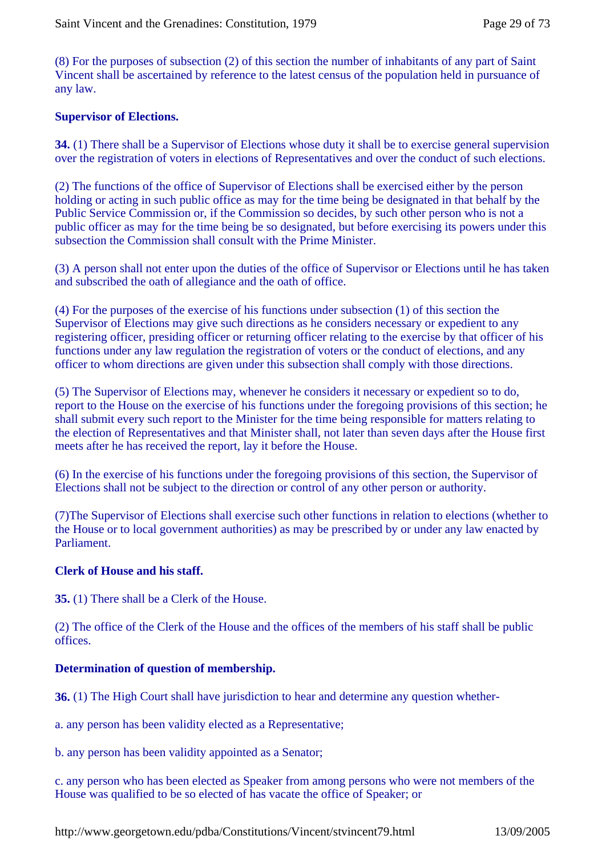(8) For the purposes of subsection (2) of this section the number of inhabitants of any part of Saint Vincent shall be ascertained by reference to the latest census of the population held in pursuance of any law.

## **Supervisor of Elections.**

**34.** (1) There shall be a Supervisor of Elections whose duty it shall be to exercise general supervision over the registration of voters in elections of Representatives and over the conduct of such elections.

(2) The functions of the office of Supervisor of Elections shall be exercised either by the person holding or acting in such public office as may for the time being be designated in that behalf by the Public Service Commission or, if the Commission so decides, by such other person who is not a public officer as may for the time being be so designated, but before exercising its powers under this subsection the Commission shall consult with the Prime Minister.

(3) A person shall not enter upon the duties of the office of Supervisor or Elections until he has taken and subscribed the oath of allegiance and the oath of office.

(4) For the purposes of the exercise of his functions under subsection (1) of this section the Supervisor of Elections may give such directions as he considers necessary or expedient to any registering officer, presiding officer or returning officer relating to the exercise by that officer of his functions under any law regulation the registration of voters or the conduct of elections, and any officer to whom directions are given under this subsection shall comply with those directions.

(5) The Supervisor of Elections may, whenever he considers it necessary or expedient so to do, report to the House on the exercise of his functions under the foregoing provisions of this section; he shall submit every such report to the Minister for the time being responsible for matters relating to the election of Representatives and that Minister shall, not later than seven days after the House first meets after he has received the report, lay it before the House.

(6) In the exercise of his functions under the foregoing provisions of this section, the Supervisor of Elections shall not be subject to the direction or control of any other person or authority.

(7)The Supervisor of Elections shall exercise such other functions in relation to elections (whether to the House or to local government authorities) as may be prescribed by or under any law enacted by Parliament.

#### **Clerk of House and his staff.**

**35.** (1) There shall be a Clerk of the House.

(2) The office of the Clerk of the House and the offices of the members of his staff shall be public offices.

#### **Determination of question of membership.**

**36.** (1) The High Court shall have jurisdiction to hear and determine any question whether-

a. any person has been validity elected as a Representative;

b. any person has been validity appointed as a Senator;

c. any person who has been elected as Speaker from among persons who were not members of the House was qualified to be so elected of has vacate the office of Speaker; or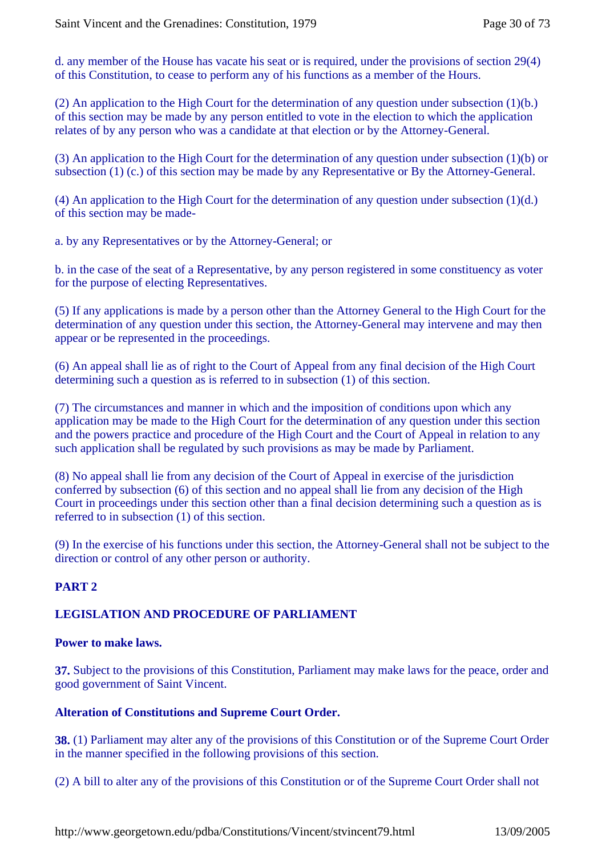d. any member of the House has vacate his seat or is required, under the provisions of section 29(4) of this Constitution, to cease to perform any of his functions as a member of the Hours.

(2) An application to the High Court for the determination of any question under subsection (1)(b.) of this section may be made by any person entitled to vote in the election to which the application relates of by any person who was a candidate at that election or by the Attorney-General.

(3) An application to the High Court for the determination of any question under subsection (1)(b) or subsection (1) (c.) of this section may be made by any Representative or By the Attorney-General.

(4) An application to the High Court for the determination of any question under subsection (1)(d.) of this section may be made-

a. by any Representatives or by the Attorney-General; or

b. in the case of the seat of a Representative, by any person registered in some constituency as voter for the purpose of electing Representatives.

(5) If any applications is made by a person other than the Attorney General to the High Court for the determination of any question under this section, the Attorney-General may intervene and may then appear or be represented in the proceedings.

(6) An appeal shall lie as of right to the Court of Appeal from any final decision of the High Court determining such a question as is referred to in subsection (1) of this section.

(7) The circumstances and manner in which and the imposition of conditions upon which any application may be made to the High Court for the determination of any question under this section and the powers practice and procedure of the High Court and the Court of Appeal in relation to any such application shall be regulated by such provisions as may be made by Parliament.

(8) No appeal shall lie from any decision of the Court of Appeal in exercise of the jurisdiction conferred by subsection (6) of this section and no appeal shall lie from any decision of the High Court in proceedings under this section other than a final decision determining such a question as is referred to in subsection (1) of this section.

(9) In the exercise of his functions under this section, the Attorney-General shall not be subject to the direction or control of any other person or authority.

# **PART 2**

## **LEGISLATION AND PROCEDURE OF PARLIAMENT**

#### **Power to make laws.**

**37.** Subject to the provisions of this Constitution, Parliament may make laws for the peace, order and good government of Saint Vincent.

#### **Alteration of Constitutions and Supreme Court Order.**

**38.** (1) Parliament may alter any of the provisions of this Constitution or of the Supreme Court Order in the manner specified in the following provisions of this section.

(2) A bill to alter any of the provisions of this Constitution or of the Supreme Court Order shall not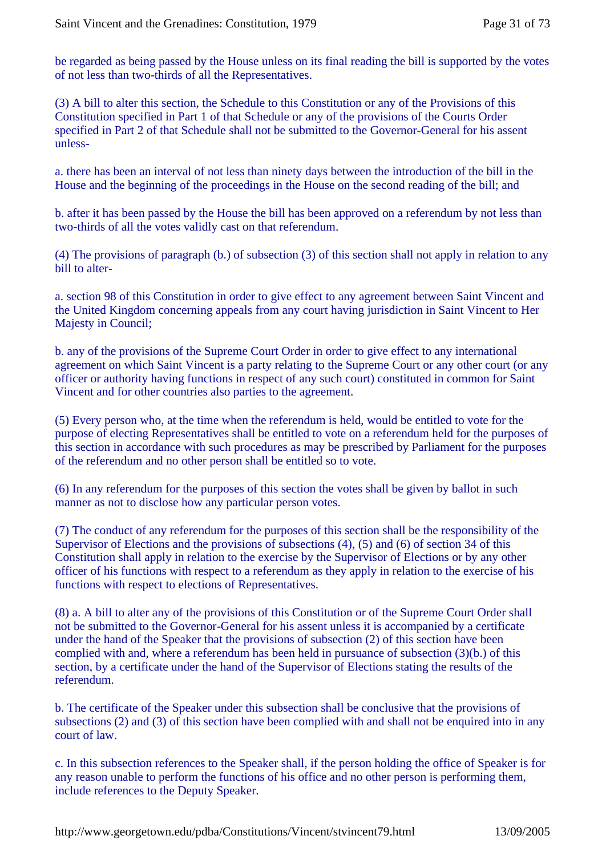be regarded as being passed by the House unless on its final reading the bill is supported by the votes of not less than two-thirds of all the Representatives.

(3) A bill to alter this section, the Schedule to this Constitution or any of the Provisions of this Constitution specified in Part 1 of that Schedule or any of the provisions of the Courts Order specified in Part 2 of that Schedule shall not be submitted to the Governor-General for his assent unless-

a. there has been an interval of not less than ninety days between the introduction of the bill in the House and the beginning of the proceedings in the House on the second reading of the bill; and

b. after it has been passed by the House the bill has been approved on a referendum by not less than two-thirds of all the votes validly cast on that referendum.

(4) The provisions of paragraph (b.) of subsection (3) of this section shall not apply in relation to any bill to alter-

a. section 98 of this Constitution in order to give effect to any agreement between Saint Vincent and the United Kingdom concerning appeals from any court having jurisdiction in Saint Vincent to Her Majesty in Council;

b. any of the provisions of the Supreme Court Order in order to give effect to any international agreement on which Saint Vincent is a party relating to the Supreme Court or any other court (or any officer or authority having functions in respect of any such court) constituted in common for Saint Vincent and for other countries also parties to the agreement.

(5) Every person who, at the time when the referendum is held, would be entitled to vote for the purpose of electing Representatives shall be entitled to vote on a referendum held for the purposes of this section in accordance with such procedures as may be prescribed by Parliament for the purposes of the referendum and no other person shall be entitled so to vote.

(6) In any referendum for the purposes of this section the votes shall be given by ballot in such manner as not to disclose how any particular person votes.

(7) The conduct of any referendum for the purposes of this section shall be the responsibility of the Supervisor of Elections and the provisions of subsections (4), (5) and (6) of section 34 of this Constitution shall apply in relation to the exercise by the Supervisor of Elections or by any other officer of his functions with respect to a referendum as they apply in relation to the exercise of his functions with respect to elections of Representatives.

(8) a. A bill to alter any of the provisions of this Constitution or of the Supreme Court Order shall not be submitted to the Governor-General for his assent unless it is accompanied by a certificate under the hand of the Speaker that the provisions of subsection (2) of this section have been complied with and, where a referendum has been held in pursuance of subsection (3)(b.) of this section, by a certificate under the hand of the Supervisor of Elections stating the results of the referendum.

b. The certificate of the Speaker under this subsection shall be conclusive that the provisions of subsections (2) and (3) of this section have been complied with and shall not be enquired into in any court of law.

c. In this subsection references to the Speaker shall, if the person holding the office of Speaker is for any reason unable to perform the functions of his office and no other person is performing them, include references to the Deputy Speaker.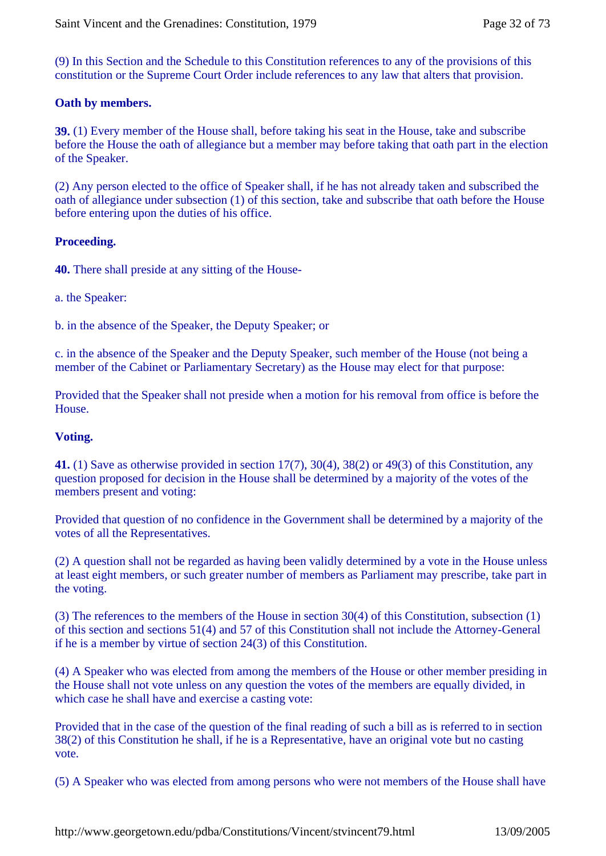(9) In this Section and the Schedule to this Constitution references to any of the provisions of this constitution or the Supreme Court Order include references to any law that alters that provision.

### **Oath by members.**

**39.** (1) Every member of the House shall, before taking his seat in the House, take and subscribe before the House the oath of allegiance but a member may before taking that oath part in the election of the Speaker.

(2) Any person elected to the office of Speaker shall, if he has not already taken and subscribed the oath of allegiance under subsection (1) of this section, take and subscribe that oath before the House before entering upon the duties of his office.

### **Proceeding.**

**40.** There shall preside at any sitting of the House-

a. the Speaker:

b. in the absence of the Speaker, the Deputy Speaker; or

c. in the absence of the Speaker and the Deputy Speaker, such member of the House (not being a member of the Cabinet or Parliamentary Secretary) as the House may elect for that purpose:

Provided that the Speaker shall not preside when a motion for his removal from office is before the House.

#### **Voting.**

**41.** (1) Save as otherwise provided in section 17(7), 30(4), 38(2) or 49(3) of this Constitution, any question proposed for decision in the House shall be determined by a majority of the votes of the members present and voting:

Provided that question of no confidence in the Government shall be determined by a majority of the votes of all the Representatives.

(2) A question shall not be regarded as having been validly determined by a vote in the House unless at least eight members, or such greater number of members as Parliament may prescribe, take part in the voting.

(3) The references to the members of the House in section 30(4) of this Constitution, subsection (1) of this section and sections 51(4) and 57 of this Constitution shall not include the Attorney-General if he is a member by virtue of section 24(3) of this Constitution.

(4) A Speaker who was elected from among the members of the House or other member presiding in the House shall not vote unless on any question the votes of the members are equally divided, in which case he shall have and exercise a casting vote:

Provided that in the case of the question of the final reading of such a bill as is referred to in section 38(2) of this Constitution he shall, if he is a Representative, have an original vote but no casting vote.

(5) A Speaker who was elected from among persons who were not members of the House shall have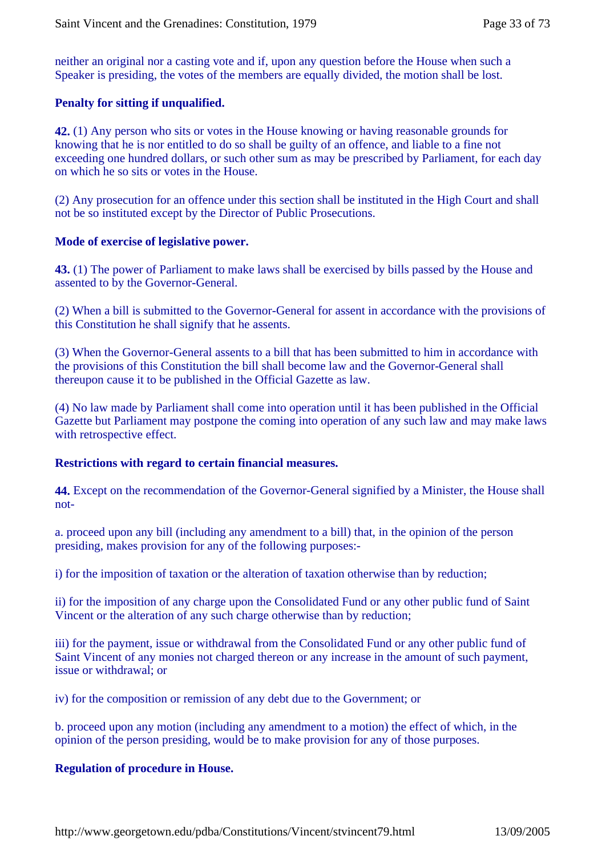neither an original nor a casting vote and if, upon any question before the House when such a Speaker is presiding, the votes of the members are equally divided, the motion shall be lost.

#### **Penalty for sitting if unqualified.**

**42.** (1) Any person who sits or votes in the House knowing or having reasonable grounds for knowing that he is nor entitled to do so shall be guilty of an offence, and liable to a fine not exceeding one hundred dollars, or such other sum as may be prescribed by Parliament, for each day on which he so sits or votes in the House.

(2) Any prosecution for an offence under this section shall be instituted in the High Court and shall not be so instituted except by the Director of Public Prosecutions.

#### **Mode of exercise of legislative power.**

**43.** (1) The power of Parliament to make laws shall be exercised by bills passed by the House and assented to by the Governor-General.

(2) When a bill is submitted to the Governor-General for assent in accordance with the provisions of this Constitution he shall signify that he assents.

(3) When the Governor-General assents to a bill that has been submitted to him in accordance with the provisions of this Constitution the bill shall become law and the Governor-General shall thereupon cause it to be published in the Official Gazette as law.

(4) No law made by Parliament shall come into operation until it has been published in the Official Gazette but Parliament may postpone the coming into operation of any such law and may make laws with retrospective effect.

#### **Restrictions with regard to certain financial measures.**

**44.** Except on the recommendation of the Governor-General signified by a Minister, the House shall not-

a. proceed upon any bill (including any amendment to a bill) that, in the opinion of the person presiding, makes provision for any of the following purposes:-

i) for the imposition of taxation or the alteration of taxation otherwise than by reduction;

ii) for the imposition of any charge upon the Consolidated Fund or any other public fund of Saint Vincent or the alteration of any such charge otherwise than by reduction;

iii) for the payment, issue or withdrawal from the Consolidated Fund or any other public fund of Saint Vincent of any monies not charged thereon or any increase in the amount of such payment, issue or withdrawal; or

iv) for the composition or remission of any debt due to the Government; or

b. proceed upon any motion (including any amendment to a motion) the effect of which, in the opinion of the person presiding, would be to make provision for any of those purposes.

#### **Regulation of procedure in House.**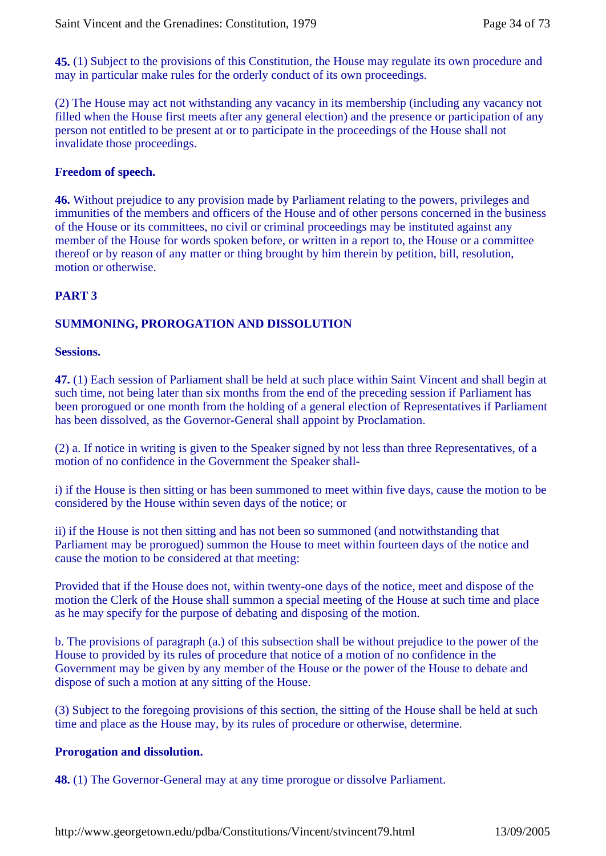**45.** (1) Subject to the provisions of this Constitution, the House may regulate its own procedure and may in particular make rules for the orderly conduct of its own proceedings.

(2) The House may act not withstanding any vacancy in its membership (including any vacancy not filled when the House first meets after any general election) and the presence or participation of any person not entitled to be present at or to participate in the proceedings of the House shall not invalidate those proceedings.

### **Freedom of speech.**

**46.** Without prejudice to any provision made by Parliament relating to the powers, privileges and immunities of the members and officers of the House and of other persons concerned in the business of the House or its committees, no civil or criminal proceedings may be instituted against any member of the House for words spoken before, or written in a report to, the House or a committee thereof or by reason of any matter or thing brought by him therein by petition, bill, resolution, motion or otherwise.

## **PART 3**

### **SUMMONING, PROROGATION AND DISSOLUTION**

#### **Sessions.**

**47.** (1) Each session of Parliament shall be held at such place within Saint Vincent and shall begin at such time, not being later than six months from the end of the preceding session if Parliament has been prorogued or one month from the holding of a general election of Representatives if Parliament has been dissolved, as the Governor-General shall appoint by Proclamation.

(2) a. If notice in writing is given to the Speaker signed by not less than three Representatives, of a motion of no confidence in the Government the Speaker shall-

i) if the House is then sitting or has been summoned to meet within five days, cause the motion to be considered by the House within seven days of the notice; or

ii) if the House is not then sitting and has not been so summoned (and notwithstanding that Parliament may be prorogued) summon the House to meet within fourteen days of the notice and cause the motion to be considered at that meeting:

Provided that if the House does not, within twenty-one days of the notice, meet and dispose of the motion the Clerk of the House shall summon a special meeting of the House at such time and place as he may specify for the purpose of debating and disposing of the motion.

b. The provisions of paragraph (a.) of this subsection shall be without prejudice to the power of the House to provided by its rules of procedure that notice of a motion of no confidence in the Government may be given by any member of the House or the power of the House to debate and dispose of such a motion at any sitting of the House.

(3) Subject to the foregoing provisions of this section, the sitting of the House shall be held at such time and place as the House may, by its rules of procedure or otherwise, determine.

#### **Prorogation and dissolution.**

**48.** (1) The Governor-General may at any time prorogue or dissolve Parliament.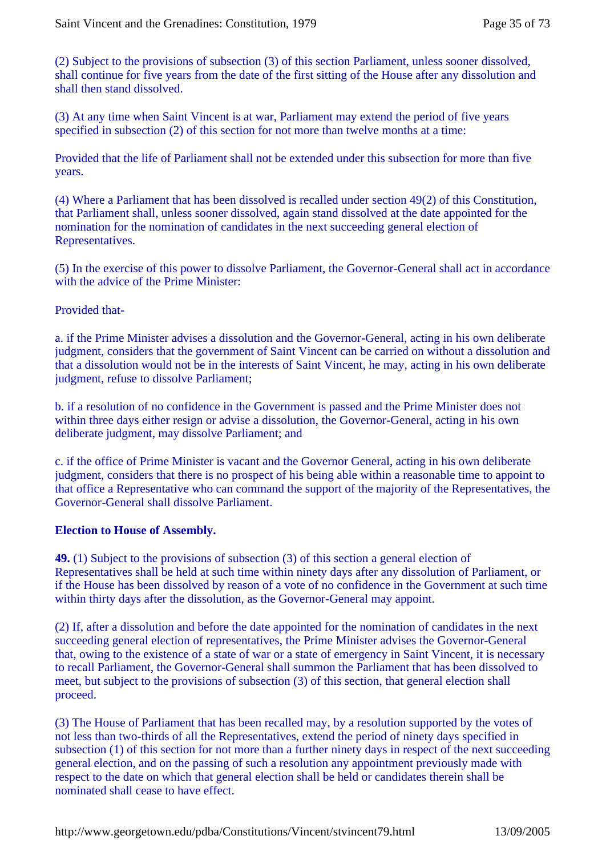(2) Subject to the provisions of subsection (3) of this section Parliament, unless sooner dissolved, shall continue for five years from the date of the first sitting of the House after any dissolution and shall then stand dissolved.

(3) At any time when Saint Vincent is at war, Parliament may extend the period of five years specified in subsection (2) of this section for not more than twelve months at a time:

Provided that the life of Parliament shall not be extended under this subsection for more than five years.

(4) Where a Parliament that has been dissolved is recalled under section 49(2) of this Constitution, that Parliament shall, unless sooner dissolved, again stand dissolved at the date appointed for the nomination for the nomination of candidates in the next succeeding general election of Representatives.

(5) In the exercise of this power to dissolve Parliament, the Governor-General shall act in accordance with the advice of the Prime Minister:

Provided that-

a. if the Prime Minister advises a dissolution and the Governor-General, acting in his own deliberate judgment, considers that the government of Saint Vincent can be carried on without a dissolution and that a dissolution would not be in the interests of Saint Vincent, he may, acting in his own deliberate judgment, refuse to dissolve Parliament;

b. if a resolution of no confidence in the Government is passed and the Prime Minister does not within three days either resign or advise a dissolution, the Governor-General, acting in his own deliberate judgment, may dissolve Parliament; and

c. if the office of Prime Minister is vacant and the Governor General, acting in his own deliberate judgment, considers that there is no prospect of his being able within a reasonable time to appoint to that office a Representative who can command the support of the majority of the Representatives, the Governor-General shall dissolve Parliament.

#### **Election to House of Assembly.**

**49.** (1) Subject to the provisions of subsection (3) of this section a general election of Representatives shall be held at such time within ninety days after any dissolution of Parliament, or if the House has been dissolved by reason of a vote of no confidence in the Government at such time within thirty days after the dissolution, as the Governor-General may appoint.

(2) If, after a dissolution and before the date appointed for the nomination of candidates in the next succeeding general election of representatives, the Prime Minister advises the Governor-General that, owing to the existence of a state of war or a state of emergency in Saint Vincent, it is necessary to recall Parliament, the Governor-General shall summon the Parliament that has been dissolved to meet, but subject to the provisions of subsection (3) of this section, that general election shall proceed.

(3) The House of Parliament that has been recalled may, by a resolution supported by the votes of not less than two-thirds of all the Representatives, extend the period of ninety days specified in subsection (1) of this section for not more than a further ninety days in respect of the next succeeding general election, and on the passing of such a resolution any appointment previously made with respect to the date on which that general election shall be held or candidates therein shall be nominated shall cease to have effect.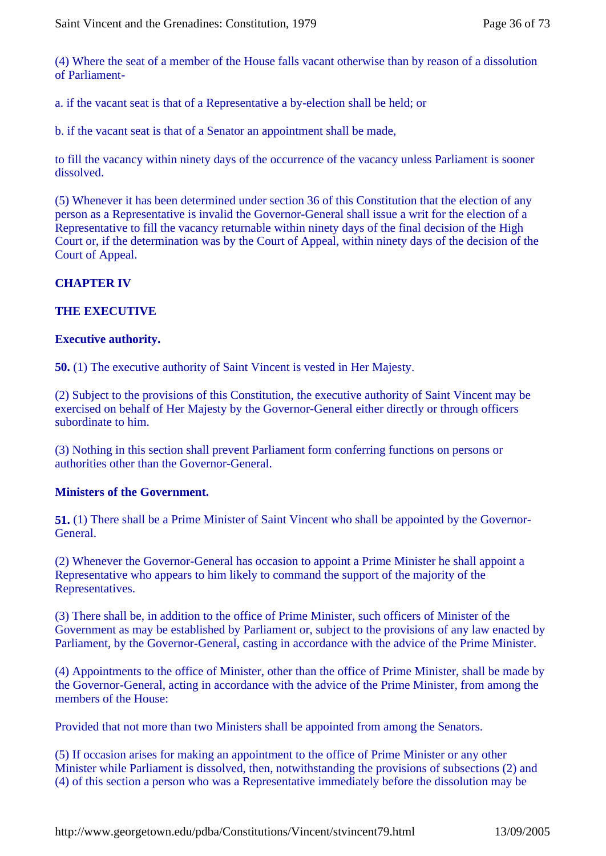(4) Where the seat of a member of the House falls vacant otherwise than by reason of a dissolution of Parliament-

a. if the vacant seat is that of a Representative a by-election shall be held; or

b. if the vacant seat is that of a Senator an appointment shall be made,

to fill the vacancy within ninety days of the occurrence of the vacancy unless Parliament is sooner dissolved.

(5) Whenever it has been determined under section 36 of this Constitution that the election of any person as a Representative is invalid the Governor-General shall issue a writ for the election of a Representative to fill the vacancy returnable within ninety days of the final decision of the High Court or, if the determination was by the Court of Appeal, within ninety days of the decision of the Court of Appeal.

## **CHAPTER IV**

### **THE EXECUTIVE**

#### **Executive authority.**

**50.** (1) The executive authority of Saint Vincent is vested in Her Majesty.

(2) Subject to the provisions of this Constitution, the executive authority of Saint Vincent may be exercised on behalf of Her Majesty by the Governor-General either directly or through officers subordinate to him.

(3) Nothing in this section shall prevent Parliament form conferring functions on persons or authorities other than the Governor-General.

#### **Ministers of the Government.**

**51.** (1) There shall be a Prime Minister of Saint Vincent who shall be appointed by the Governor-General.

(2) Whenever the Governor-General has occasion to appoint a Prime Minister he shall appoint a Representative who appears to him likely to command the support of the majority of the Representatives.

(3) There shall be, in addition to the office of Prime Minister, such officers of Minister of the Government as may be established by Parliament or, subject to the provisions of any law enacted by Parliament, by the Governor-General, casting in accordance with the advice of the Prime Minister.

(4) Appointments to the office of Minister, other than the office of Prime Minister, shall be made by the Governor-General, acting in accordance with the advice of the Prime Minister, from among the members of the House:

Provided that not more than two Ministers shall be appointed from among the Senators.

(5) If occasion arises for making an appointment to the office of Prime Minister or any other Minister while Parliament is dissolved, then, notwithstanding the provisions of subsections (2) and (4) of this section a person who was a Representative immediately before the dissolution may be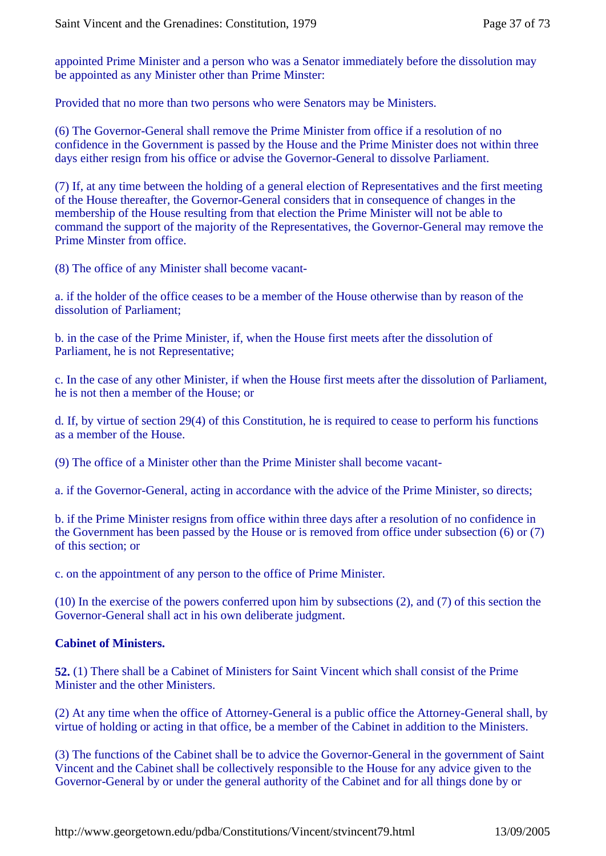appointed Prime Minister and a person who was a Senator immediately before the dissolution may be appointed as any Minister other than Prime Minster:

Provided that no more than two persons who were Senators may be Ministers.

(6) The Governor-General shall remove the Prime Minister from office if a resolution of no confidence in the Government is passed by the House and the Prime Minister does not within three days either resign from his office or advise the Governor-General to dissolve Parliament.

(7) If, at any time between the holding of a general election of Representatives and the first meeting of the House thereafter, the Governor-General considers that in consequence of changes in the membership of the House resulting from that election the Prime Minister will not be able to command the support of the majority of the Representatives, the Governor-General may remove the Prime Minster from office.

(8) The office of any Minister shall become vacant-

a. if the holder of the office ceases to be a member of the House otherwise than by reason of the dissolution of Parliament;

b. in the case of the Prime Minister, if, when the House first meets after the dissolution of Parliament, he is not Representative;

c. In the case of any other Minister, if when the House first meets after the dissolution of Parliament, he is not then a member of the House; or

d. If, by virtue of section 29(4) of this Constitution, he is required to cease to perform his functions as a member of the House.

(9) The office of a Minister other than the Prime Minister shall become vacant-

a. if the Governor-General, acting in accordance with the advice of the Prime Minister, so directs;

b. if the Prime Minister resigns from office within three days after a resolution of no confidence in the Government has been passed by the House or is removed from office under subsection (6) or (7) of this section; or

c. on the appointment of any person to the office of Prime Minister.

(10) In the exercise of the powers conferred upon him by subsections (2), and (7) of this section the Governor-General shall act in his own deliberate judgment.

#### **Cabinet of Ministers.**

**52.** (1) There shall be a Cabinet of Ministers for Saint Vincent which shall consist of the Prime Minister and the other Ministers.

(2) At any time when the office of Attorney-General is a public office the Attorney-General shall, by virtue of holding or acting in that office, be a member of the Cabinet in addition to the Ministers.

(3) The functions of the Cabinet shall be to advice the Governor-General in the government of Saint Vincent and the Cabinet shall be collectively responsible to the House for any advice given to the Governor-General by or under the general authority of the Cabinet and for all things done by or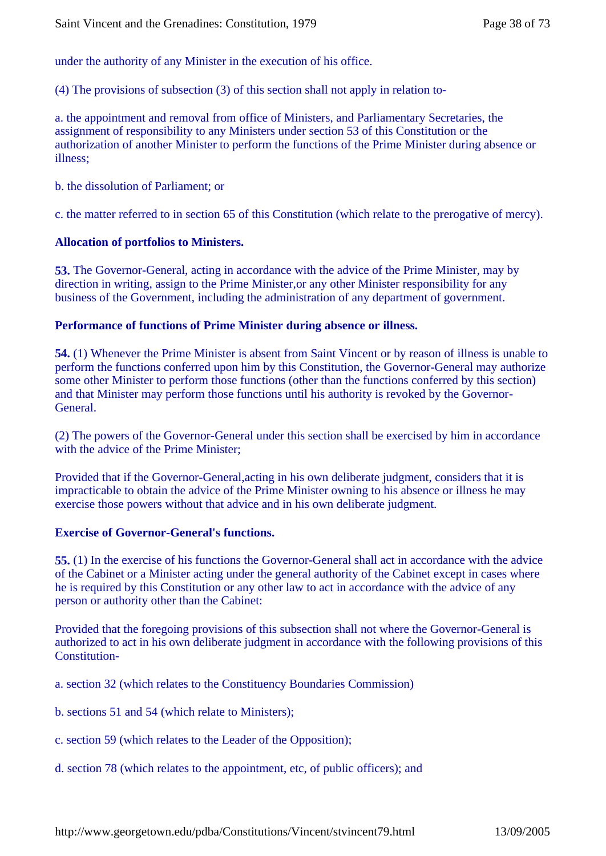under the authority of any Minister in the execution of his office.

(4) The provisions of subsection (3) of this section shall not apply in relation to-

a. the appointment and removal from office of Ministers, and Parliamentary Secretaries, the assignment of responsibility to any Ministers under section 53 of this Constitution or the authorization of another Minister to perform the functions of the Prime Minister during absence or illness;

b. the dissolution of Parliament; or

c. the matter referred to in section 65 of this Constitution (which relate to the prerogative of mercy).

#### **Allocation of portfolios to Ministers.**

**53.** The Governor-General, acting in accordance with the advice of the Prime Minister, may by direction in writing, assign to the Prime Minister,or any other Minister responsibility for any business of the Government, including the administration of any department of government.

#### **Performance of functions of Prime Minister during absence or illness.**

**54.** (1) Whenever the Prime Minister is absent from Saint Vincent or by reason of illness is unable to perform the functions conferred upon him by this Constitution, the Governor-General may authorize some other Minister to perform those functions (other than the functions conferred by this section) and that Minister may perform those functions until his authority is revoked by the Governor-General.

(2) The powers of the Governor-General under this section shall be exercised by him in accordance with the advice of the Prime Minister;

Provided that if the Governor-General,acting in his own deliberate judgment, considers that it is impracticable to obtain the advice of the Prime Minister owning to his absence or illness he may exercise those powers without that advice and in his own deliberate judgment.

#### **Exercise of Governor-General's functions.**

**55.** (1) In the exercise of his functions the Governor-General shall act in accordance with the advice of the Cabinet or a Minister acting under the general authority of the Cabinet except in cases where he is required by this Constitution or any other law to act in accordance with the advice of any person or authority other than the Cabinet:

Provided that the foregoing provisions of this subsection shall not where the Governor-General is authorized to act in his own deliberate judgment in accordance with the following provisions of this Constitution-

a. section 32 (which relates to the Constituency Boundaries Commission)

- b. sections 51 and 54 (which relate to Ministers);
- c. section 59 (which relates to the Leader of the Opposition);
- d. section 78 (which relates to the appointment, etc, of public officers); and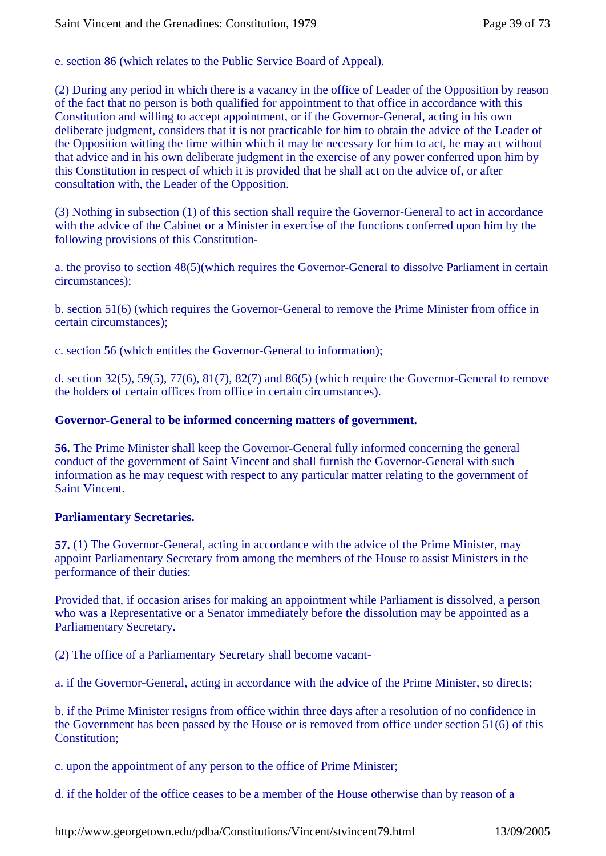e. section 86 (which relates to the Public Service Board of Appeal).

(2) During any period in which there is a vacancy in the office of Leader of the Opposition by reason of the fact that no person is both qualified for appointment to that office in accordance with this Constitution and willing to accept appointment, or if the Governor-General, acting in his own deliberate judgment, considers that it is not practicable for him to obtain the advice of the Leader of the Opposition witting the time within which it may be necessary for him to act, he may act without that advice and in his own deliberate judgment in the exercise of any power conferred upon him by this Constitution in respect of which it is provided that he shall act on the advice of, or after consultation with, the Leader of the Opposition.

(3) Nothing in subsection (1) of this section shall require the Governor-General to act in accordance with the advice of the Cabinet or a Minister in exercise of the functions conferred upon him by the following provisions of this Constitution-

a. the proviso to section 48(5)(which requires the Governor-General to dissolve Parliament in certain circumstances);

b. section 51(6) (which requires the Governor-General to remove the Prime Minister from office in certain circumstances);

c. section 56 (which entitles the Governor-General to information);

d. section 32(5), 59(5), 77(6), 81(7), 82(7) and 86(5) (which require the Governor-General to remove the holders of certain offices from office in certain circumstances).

#### **Governor-General to be informed concerning matters of government.**

**56.** The Prime Minister shall keep the Governor-General fully informed concerning the general conduct of the government of Saint Vincent and shall furnish the Governor-General with such information as he may request with respect to any particular matter relating to the government of Saint Vincent.

#### **Parliamentary Secretaries.**

**57.** (1) The Governor-General, acting in accordance with the advice of the Prime Minister, may appoint Parliamentary Secretary from among the members of the House to assist Ministers in the performance of their duties:

Provided that, if occasion arises for making an appointment while Parliament is dissolved, a person who was a Representative or a Senator immediately before the dissolution may be appointed as a Parliamentary Secretary.

(2) The office of a Parliamentary Secretary shall become vacant-

a. if the Governor-General, acting in accordance with the advice of the Prime Minister, so directs;

b. if the Prime Minister resigns from office within three days after a resolution of no confidence in the Government has been passed by the House or is removed from office under section 51(6) of this Constitution;

c. upon the appointment of any person to the office of Prime Minister;

d. if the holder of the office ceases to be a member of the House otherwise than by reason of a

http://www.georgetown.edu/pdba/Constitutions/Vincent/stvincent79.html 13/09/2005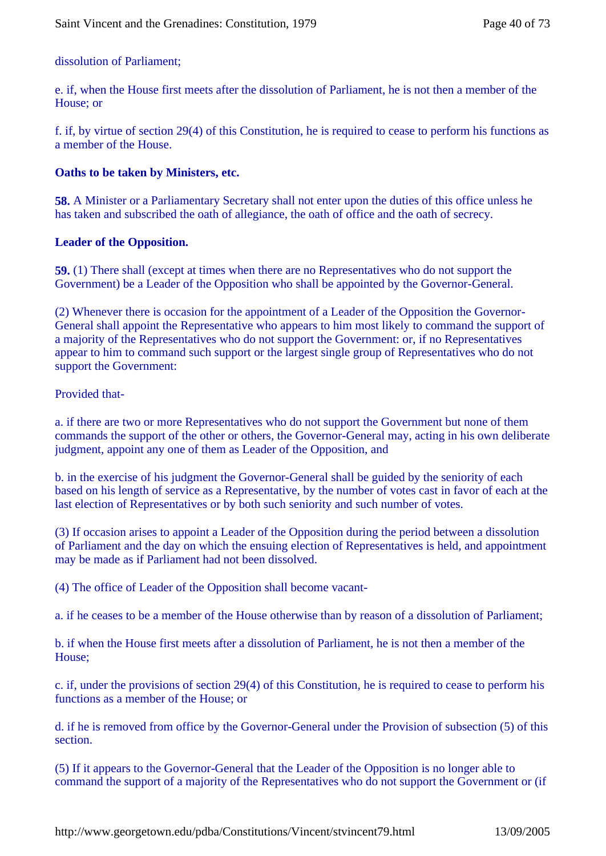dissolution of Parliament;

e. if, when the House first meets after the dissolution of Parliament, he is not then a member of the House; or

f. if, by virtue of section 29(4) of this Constitution, he is required to cease to perform his functions as a member of the House.

### **Oaths to be taken by Ministers, etc.**

**58.** A Minister or a Parliamentary Secretary shall not enter upon the duties of this office unless he has taken and subscribed the oath of allegiance, the oath of office and the oath of secrecy.

#### **Leader of the Opposition.**

**59.** (1) There shall (except at times when there are no Representatives who do not support the Government) be a Leader of the Opposition who shall be appointed by the Governor-General.

(2) Whenever there is occasion for the appointment of a Leader of the Opposition the Governor-General shall appoint the Representative who appears to him most likely to command the support of a majority of the Representatives who do not support the Government: or, if no Representatives appear to him to command such support or the largest single group of Representatives who do not support the Government:

Provided that-

a. if there are two or more Representatives who do not support the Government but none of them commands the support of the other or others, the Governor-General may, acting in his own deliberate judgment, appoint any one of them as Leader of the Opposition, and

b. in the exercise of his judgment the Governor-General shall be guided by the seniority of each based on his length of service as a Representative, by the number of votes cast in favor of each at the last election of Representatives or by both such seniority and such number of votes.

(3) If occasion arises to appoint a Leader of the Opposition during the period between a dissolution of Parliament and the day on which the ensuing election of Representatives is held, and appointment may be made as if Parliament had not been dissolved.

(4) The office of Leader of the Opposition shall become vacant-

a. if he ceases to be a member of the House otherwise than by reason of a dissolution of Parliament;

b. if when the House first meets after a dissolution of Parliament, he is not then a member of the House;

c. if, under the provisions of section 29(4) of this Constitution, he is required to cease to perform his functions as a member of the House; or

d. if he is removed from office by the Governor-General under the Provision of subsection (5) of this section.

(5) If it appears to the Governor-General that the Leader of the Opposition is no longer able to command the support of a majority of the Representatives who do not support the Government or (if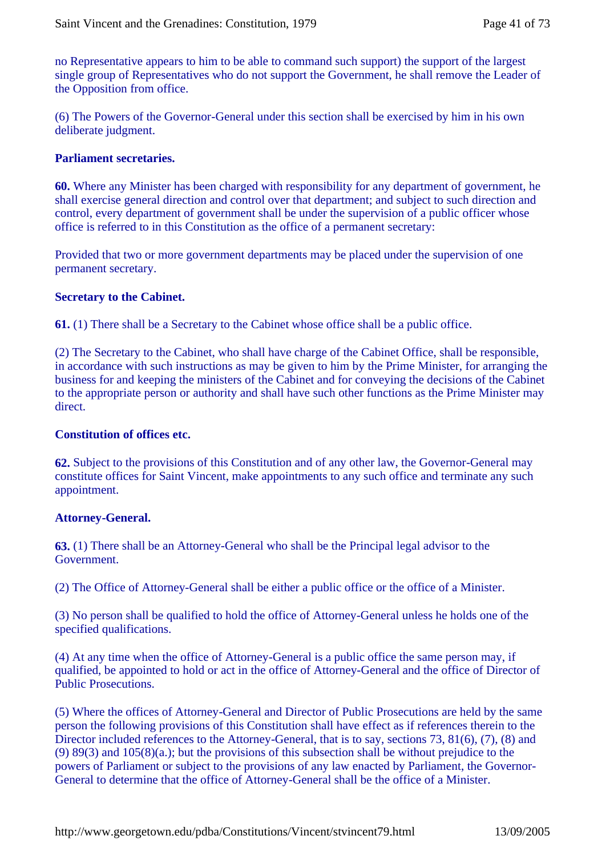no Representative appears to him to be able to command such support) the support of the largest single group of Representatives who do not support the Government, he shall remove the Leader of the Opposition from office.

(6) The Powers of the Governor-General under this section shall be exercised by him in his own deliberate judgment.

#### **Parliament secretaries.**

**60.** Where any Minister has been charged with responsibility for any department of government, he shall exercise general direction and control over that department; and subject to such direction and control, every department of government shall be under the supervision of a public officer whose office is referred to in this Constitution as the office of a permanent secretary:

Provided that two or more government departments may be placed under the supervision of one permanent secretary.

#### **Secretary to the Cabinet.**

**61.** (1) There shall be a Secretary to the Cabinet whose office shall be a public office.

(2) The Secretary to the Cabinet, who shall have charge of the Cabinet Office, shall be responsible, in accordance with such instructions as may be given to him by the Prime Minister, for arranging the business for and keeping the ministers of the Cabinet and for conveying the decisions of the Cabinet to the appropriate person or authority and shall have such other functions as the Prime Minister may direct.

#### **Constitution of offices etc.**

**62.** Subject to the provisions of this Constitution and of any other law, the Governor-General may constitute offices for Saint Vincent, make appointments to any such office and terminate any such appointment.

#### **Attorney-General.**

**63.** (1) There shall be an Attorney-General who shall be the Principal legal advisor to the Government.

(2) The Office of Attorney-General shall be either a public office or the office of a Minister.

(3) No person shall be qualified to hold the office of Attorney-General unless he holds one of the specified qualifications.

(4) At any time when the office of Attorney-General is a public office the same person may, if qualified, be appointed to hold or act in the office of Attorney-General and the office of Director of Public Prosecutions.

(5) Where the offices of Attorney-General and Director of Public Prosecutions are held by the same person the following provisions of this Constitution shall have effect as if references therein to the Director included references to the Attorney-General, that is to say, sections 73, 81(6), (7), (8) and (9) 89(3) and 105(8)(a.); but the provisions of this subsection shall be without prejudice to the powers of Parliament or subject to the provisions of any law enacted by Parliament, the Governor-General to determine that the office of Attorney-General shall be the office of a Minister.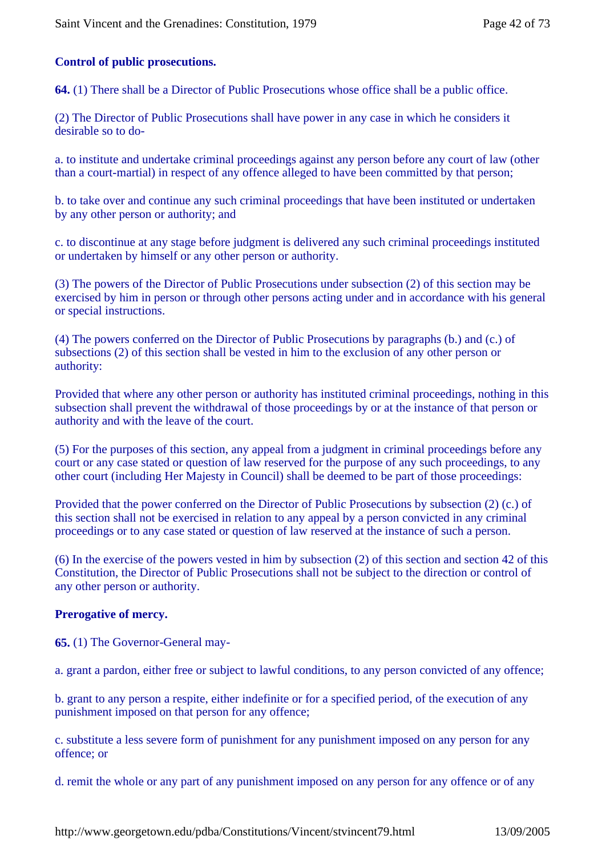### **Control of public prosecutions.**

**64.** (1) There shall be a Director of Public Prosecutions whose office shall be a public office.

(2) The Director of Public Prosecutions shall have power in any case in which he considers it desirable so to do-

a. to institute and undertake criminal proceedings against any person before any court of law (other than a court-martial) in respect of any offence alleged to have been committed by that person;

b. to take over and continue any such criminal proceedings that have been instituted or undertaken by any other person or authority; and

c. to discontinue at any stage before judgment is delivered any such criminal proceedings instituted or undertaken by himself or any other person or authority.

(3) The powers of the Director of Public Prosecutions under subsection (2) of this section may be exercised by him in person or through other persons acting under and in accordance with his general or special instructions.

(4) The powers conferred on the Director of Public Prosecutions by paragraphs (b.) and (c.) of subsections (2) of this section shall be vested in him to the exclusion of any other person or authority:

Provided that where any other person or authority has instituted criminal proceedings, nothing in this subsection shall prevent the withdrawal of those proceedings by or at the instance of that person or authority and with the leave of the court.

(5) For the purposes of this section, any appeal from a judgment in criminal proceedings before any court or any case stated or question of law reserved for the purpose of any such proceedings, to any other court (including Her Majesty in Council) shall be deemed to be part of those proceedings:

Provided that the power conferred on the Director of Public Prosecutions by subsection (2) (c.) of this section shall not be exercised in relation to any appeal by a person convicted in any criminal proceedings or to any case stated or question of law reserved at the instance of such a person.

(6) In the exercise of the powers vested in him by subsection (2) of this section and section 42 of this Constitution, the Director of Public Prosecutions shall not be subject to the direction or control of any other person or authority.

#### **Prerogative of mercy.**

**65.** (1) The Governor-General may-

a. grant a pardon, either free or subject to lawful conditions, to any person convicted of any offence;

b. grant to any person a respite, either indefinite or for a specified period, of the execution of any punishment imposed on that person for any offence;

c. substitute a less severe form of punishment for any punishment imposed on any person for any offence; or

d. remit the whole or any part of any punishment imposed on any person for any offence or of any

http://www.georgetown.edu/pdba/Constitutions/Vincent/stvincent79.html 13/09/2005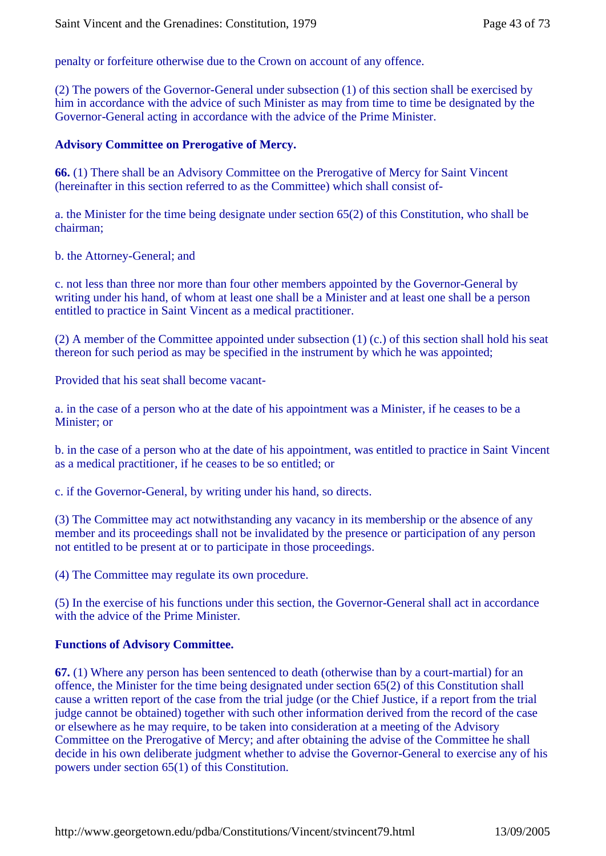penalty or forfeiture otherwise due to the Crown on account of any offence.

(2) The powers of the Governor-General under subsection (1) of this section shall be exercised by him in accordance with the advice of such Minister as may from time to time be designated by the Governor-General acting in accordance with the advice of the Prime Minister.

#### **Advisory Committee on Prerogative of Mercy.**

**66.** (1) There shall be an Advisory Committee on the Prerogative of Mercy for Saint Vincent (hereinafter in this section referred to as the Committee) which shall consist of-

a. the Minister for the time being designate under section 65(2) of this Constitution, who shall be chairman;

b. the Attorney-General; and

c. not less than three nor more than four other members appointed by the Governor-General by writing under his hand, of whom at least one shall be a Minister and at least one shall be a person entitled to practice in Saint Vincent as a medical practitioner.

(2) A member of the Committee appointed under subsection (1) (c.) of this section shall hold his seat thereon for such period as may be specified in the instrument by which he was appointed;

Provided that his seat shall become vacant-

a. in the case of a person who at the date of his appointment was a Minister, if he ceases to be a Minister; or

b. in the case of a person who at the date of his appointment, was entitled to practice in Saint Vincent as a medical practitioner, if he ceases to be so entitled; or

c. if the Governor-General, by writing under his hand, so directs.

(3) The Committee may act notwithstanding any vacancy in its membership or the absence of any member and its proceedings shall not be invalidated by the presence or participation of any person not entitled to be present at or to participate in those proceedings.

(4) The Committee may regulate its own procedure.

(5) In the exercise of his functions under this section, the Governor-General shall act in accordance with the advice of the Prime Minister.

#### **Functions of Advisory Committee.**

**67.** (1) Where any person has been sentenced to death (otherwise than by a court-martial) for an offence, the Minister for the time being designated under section 65(2) of this Constitution shall cause a written report of the case from the trial judge (or the Chief Justice, if a report from the trial judge cannot be obtained) together with such other information derived from the record of the case or elsewhere as he may require, to be taken into consideration at a meeting of the Advisory Committee on the Prerogative of Mercy; and after obtaining the advise of the Committee he shall decide in his own deliberate judgment whether to advise the Governor-General to exercise any of his powers under section 65(1) of this Constitution.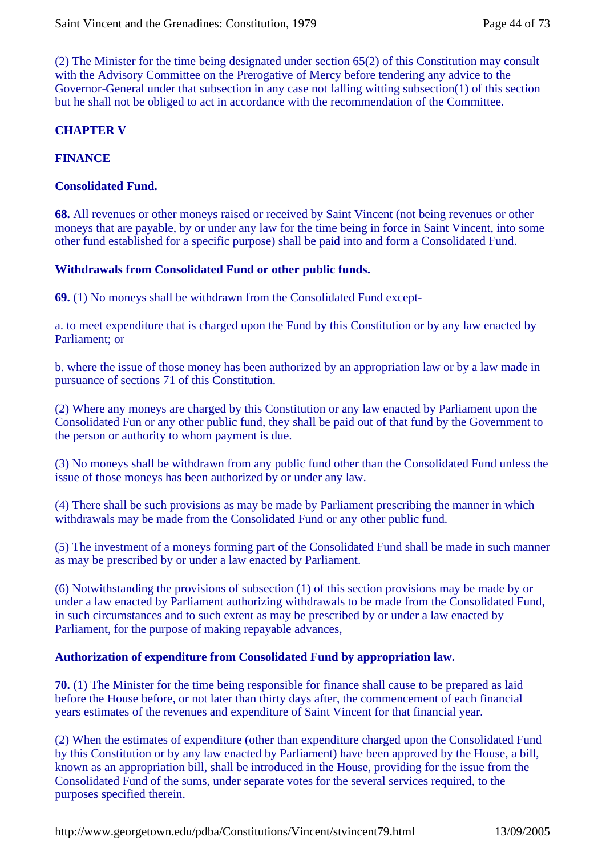(2) The Minister for the time being designated under section 65(2) of this Constitution may consult with the Advisory Committee on the Prerogative of Mercy before tendering any advice to the Governor-General under that subsection in any case not falling witting subsection(1) of this section but he shall not be obliged to act in accordance with the recommendation of the Committee.

## **CHAPTER V**

## **FINANCE**

### **Consolidated Fund.**

**68.** All revenues or other moneys raised or received by Saint Vincent (not being revenues or other moneys that are payable, by or under any law for the time being in force in Saint Vincent, into some other fund established for a specific purpose) shall be paid into and form a Consolidated Fund.

### **Withdrawals from Consolidated Fund or other public funds.**

**69.** (1) No moneys shall be withdrawn from the Consolidated Fund except-

a. to meet expenditure that is charged upon the Fund by this Constitution or by any law enacted by Parliament; or

b. where the issue of those money has been authorized by an appropriation law or by a law made in pursuance of sections 71 of this Constitution.

(2) Where any moneys are charged by this Constitution or any law enacted by Parliament upon the Consolidated Fun or any other public fund, they shall be paid out of that fund by the Government to the person or authority to whom payment is due.

(3) No moneys shall be withdrawn from any public fund other than the Consolidated Fund unless the issue of those moneys has been authorized by or under any law.

(4) There shall be such provisions as may be made by Parliament prescribing the manner in which withdrawals may be made from the Consolidated Fund or any other public fund.

(5) The investment of a moneys forming part of the Consolidated Fund shall be made in such manner as may be prescribed by or under a law enacted by Parliament.

(6) Notwithstanding the provisions of subsection (1) of this section provisions may be made by or under a law enacted by Parliament authorizing withdrawals to be made from the Consolidated Fund, in such circumstances and to such extent as may be prescribed by or under a law enacted by Parliament, for the purpose of making repayable advances,

#### **Authorization of expenditure from Consolidated Fund by appropriation law.**

**70.** (1) The Minister for the time being responsible for finance shall cause to be prepared as laid before the House before, or not later than thirty days after, the commencement of each financial years estimates of the revenues and expenditure of Saint Vincent for that financial year.

(2) When the estimates of expenditure (other than expenditure charged upon the Consolidated Fund by this Constitution or by any law enacted by Parliament) have been approved by the House, a bill, known as an appropriation bill, shall be introduced in the House, providing for the issue from the Consolidated Fund of the sums, under separate votes for the several services required, to the purposes specified therein.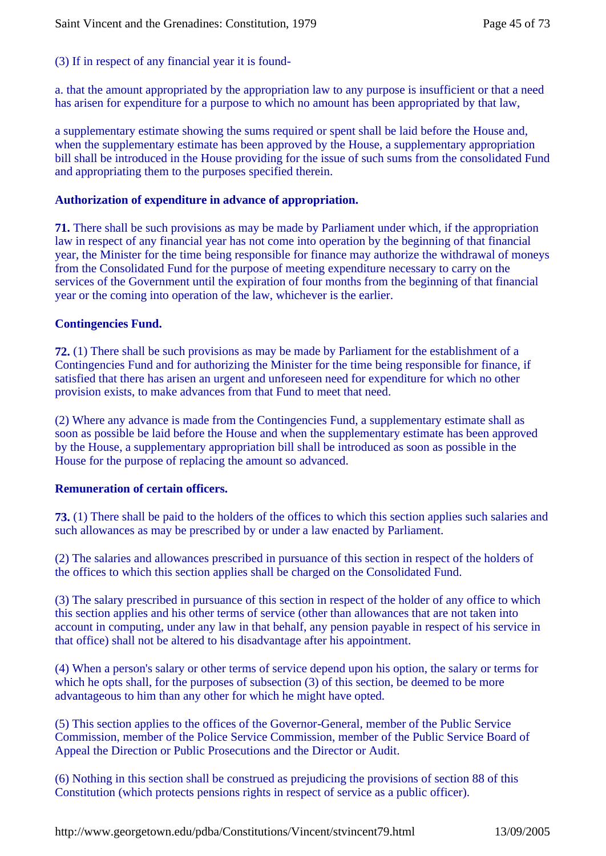## (3) If in respect of any financial year it is found-

a. that the amount appropriated by the appropriation law to any purpose is insufficient or that a need has arisen for expenditure for a purpose to which no amount has been appropriated by that law,

a supplementary estimate showing the sums required or spent shall be laid before the House and, when the supplementary estimate has been approved by the House, a supplementary appropriation bill shall be introduced in the House providing for the issue of such sums from the consolidated Fund and appropriating them to the purposes specified therein.

#### **Authorization of expenditure in advance of appropriation.**

**71.** There shall be such provisions as may be made by Parliament under which, if the appropriation law in respect of any financial year has not come into operation by the beginning of that financial year, the Minister for the time being responsible for finance may authorize the withdrawal of moneys from the Consolidated Fund for the purpose of meeting expenditure necessary to carry on the services of the Government until the expiration of four months from the beginning of that financial year or the coming into operation of the law, whichever is the earlier.

#### **Contingencies Fund.**

**72.** (1) There shall be such provisions as may be made by Parliament for the establishment of a Contingencies Fund and for authorizing the Minister for the time being responsible for finance, if satisfied that there has arisen an urgent and unforeseen need for expenditure for which no other provision exists, to make advances from that Fund to meet that need.

(2) Where any advance is made from the Contingencies Fund, a supplementary estimate shall as soon as possible be laid before the House and when the supplementary estimate has been approved by the House, a supplementary appropriation bill shall be introduced as soon as possible in the House for the purpose of replacing the amount so advanced.

#### **Remuneration of certain officers.**

**73.** (1) There shall be paid to the holders of the offices to which this section applies such salaries and such allowances as may be prescribed by or under a law enacted by Parliament.

(2) The salaries and allowances prescribed in pursuance of this section in respect of the holders of the offices to which this section applies shall be charged on the Consolidated Fund.

(3) The salary prescribed in pursuance of this section in respect of the holder of any office to which this section applies and his other terms of service (other than allowances that are not taken into account in computing, under any law in that behalf, any pension payable in respect of his service in that office) shall not be altered to his disadvantage after his appointment.

(4) When a person's salary or other terms of service depend upon his option, the salary or terms for which he opts shall, for the purposes of subsection (3) of this section, be deemed to be more advantageous to him than any other for which he might have opted.

(5) This section applies to the offices of the Governor-General, member of the Public Service Commission, member of the Police Service Commission, member of the Public Service Board of Appeal the Direction or Public Prosecutions and the Director or Audit.

(6) Nothing in this section shall be construed as prejudicing the provisions of section 88 of this Constitution (which protects pensions rights in respect of service as a public officer).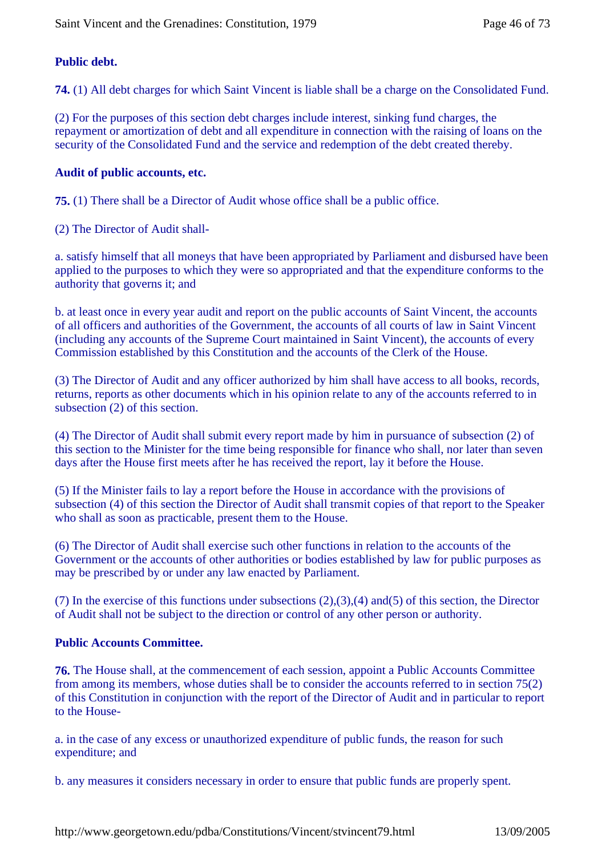# **Public debt.**

**74.** (1) All debt charges for which Saint Vincent is liable shall be a charge on the Consolidated Fund.

(2) For the purposes of this section debt charges include interest, sinking fund charges, the repayment or amortization of debt and all expenditure in connection with the raising of loans on the security of the Consolidated Fund and the service and redemption of the debt created thereby.

### **Audit of public accounts, etc.**

**75.** (1) There shall be a Director of Audit whose office shall be a public office.

(2) The Director of Audit shall-

a. satisfy himself that all moneys that have been appropriated by Parliament and disbursed have been applied to the purposes to which they were so appropriated and that the expenditure conforms to the authority that governs it; and

b. at least once in every year audit and report on the public accounts of Saint Vincent, the accounts of all officers and authorities of the Government, the accounts of all courts of law in Saint Vincent (including any accounts of the Supreme Court maintained in Saint Vincent), the accounts of every Commission established by this Constitution and the accounts of the Clerk of the House.

(3) The Director of Audit and any officer authorized by him shall have access to all books, records, returns, reports as other documents which in his opinion relate to any of the accounts referred to in subsection (2) of this section.

(4) The Director of Audit shall submit every report made by him in pursuance of subsection (2) of this section to the Minister for the time being responsible for finance who shall, nor later than seven days after the House first meets after he has received the report, lay it before the House.

(5) If the Minister fails to lay a report before the House in accordance with the provisions of subsection (4) of this section the Director of Audit shall transmit copies of that report to the Speaker who shall as soon as practicable, present them to the House.

(6) The Director of Audit shall exercise such other functions in relation to the accounts of the Government or the accounts of other authorities or bodies established by law for public purposes as may be prescribed by or under any law enacted by Parliament.

(7) In the exercise of this functions under subsections (2),(3),(4) and(5) of this section, the Director of Audit shall not be subject to the direction or control of any other person or authority.

## **Public Accounts Committee.**

**76.** The House shall, at the commencement of each session, appoint a Public Accounts Committee from among its members, whose duties shall be to consider the accounts referred to in section 75(2) of this Constitution in conjunction with the report of the Director of Audit and in particular to report to the House-

a. in the case of any excess or unauthorized expenditure of public funds, the reason for such expenditure; and

b. any measures it considers necessary in order to ensure that public funds are properly spent.

http://www.georgetown.edu/pdba/Constitutions/Vincent/stvincent79.html 13/09/2005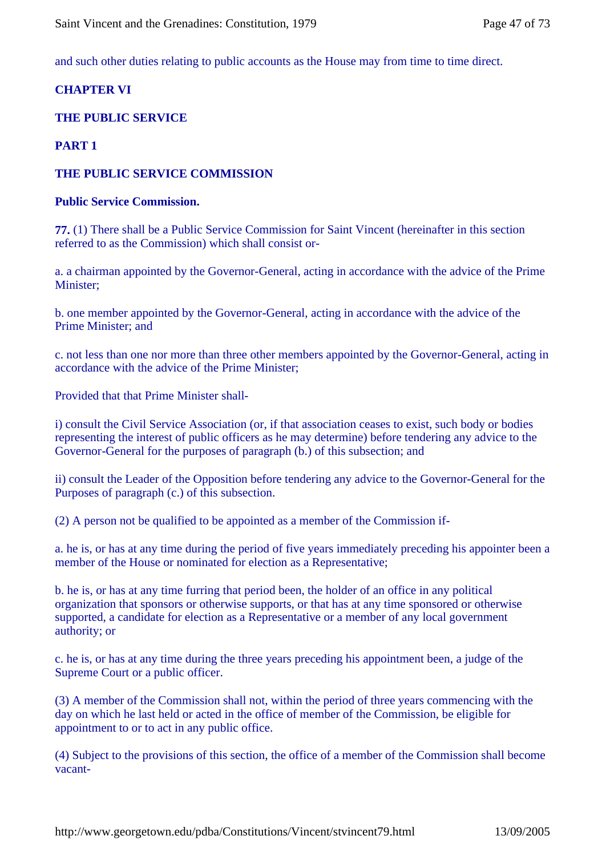and such other duties relating to public accounts as the House may from time to time direct.

### **CHAPTER VI**

### **THE PUBLIC SERVICE**

### **PART 1**

### **THE PUBLIC SERVICE COMMISSION**

#### **Public Service Commission.**

**77.** (1) There shall be a Public Service Commission for Saint Vincent (hereinafter in this section referred to as the Commission) which shall consist or-

a. a chairman appointed by the Governor-General, acting in accordance with the advice of the Prime Minister;

b. one member appointed by the Governor-General, acting in accordance with the advice of the Prime Minister; and

c. not less than one nor more than three other members appointed by the Governor-General, acting in accordance with the advice of the Prime Minister;

Provided that that Prime Minister shall-

i) consult the Civil Service Association (or, if that association ceases to exist, such body or bodies representing the interest of public officers as he may determine) before tendering any advice to the Governor-General for the purposes of paragraph (b.) of this subsection; and

ii) consult the Leader of the Opposition before tendering any advice to the Governor-General for the Purposes of paragraph (c.) of this subsection.

(2) A person not be qualified to be appointed as a member of the Commission if-

a. he is, or has at any time during the period of five years immediately preceding his appointer been a member of the House or nominated for election as a Representative;

b. he is, or has at any time furring that period been, the holder of an office in any political organization that sponsors or otherwise supports, or that has at any time sponsored or otherwise supported, a candidate for election as a Representative or a member of any local government authority; or

c. he is, or has at any time during the three years preceding his appointment been, a judge of the Supreme Court or a public officer.

(3) A member of the Commission shall not, within the period of three years commencing with the day on which he last held or acted in the office of member of the Commission, be eligible for appointment to or to act in any public office.

(4) Subject to the provisions of this section, the office of a member of the Commission shall become vacant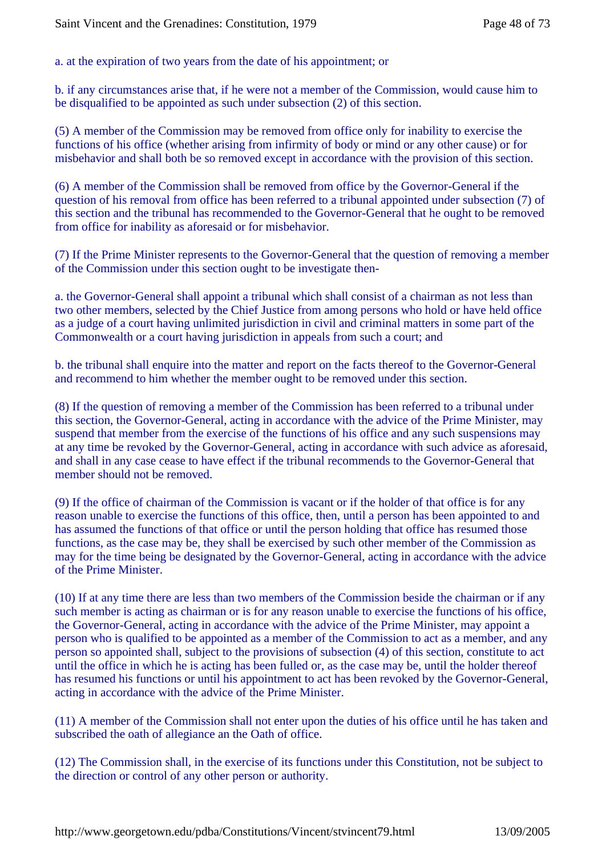a. at the expiration of two years from the date of his appointment; or

b. if any circumstances arise that, if he were not a member of the Commission, would cause him to be disqualified to be appointed as such under subsection (2) of this section.

(5) A member of the Commission may be removed from office only for inability to exercise the functions of his office (whether arising from infirmity of body or mind or any other cause) or for misbehavior and shall both be so removed except in accordance with the provision of this section.

(6) A member of the Commission shall be removed from office by the Governor-General if the question of his removal from office has been referred to a tribunal appointed under subsection (7) of this section and the tribunal has recommended to the Governor-General that he ought to be removed from office for inability as aforesaid or for misbehavior.

(7) If the Prime Minister represents to the Governor-General that the question of removing a member of the Commission under this section ought to be investigate then-

a. the Governor-General shall appoint a tribunal which shall consist of a chairman as not less than two other members, selected by the Chief Justice from among persons who hold or have held office as a judge of a court having unlimited jurisdiction in civil and criminal matters in some part of the Commonwealth or a court having jurisdiction in appeals from such a court; and

b. the tribunal shall enquire into the matter and report on the facts thereof to the Governor-General and recommend to him whether the member ought to be removed under this section.

(8) If the question of removing a member of the Commission has been referred to a tribunal under this section, the Governor-General, acting in accordance with the advice of the Prime Minister, may suspend that member from the exercise of the functions of his office and any such suspensions may at any time be revoked by the Governor-General, acting in accordance with such advice as aforesaid, and shall in any case cease to have effect if the tribunal recommends to the Governor-General that member should not be removed.

(9) If the office of chairman of the Commission is vacant or if the holder of that office is for any reason unable to exercise the functions of this office, then, until a person has been appointed to and has assumed the functions of that office or until the person holding that office has resumed those functions, as the case may be, they shall be exercised by such other member of the Commission as may for the time being be designated by the Governor-General, acting in accordance with the advice of the Prime Minister.

(10) If at any time there are less than two members of the Commission beside the chairman or if any such member is acting as chairman or is for any reason unable to exercise the functions of his office, the Governor-General, acting in accordance with the advice of the Prime Minister, may appoint a person who is qualified to be appointed as a member of the Commission to act as a member, and any person so appointed shall, subject to the provisions of subsection (4) of this section, constitute to act until the office in which he is acting has been fulled or, as the case may be, until the holder thereof has resumed his functions or until his appointment to act has been revoked by the Governor-General, acting in accordance with the advice of the Prime Minister.

(11) A member of the Commission shall not enter upon the duties of his office until he has taken and subscribed the oath of allegiance an the Oath of office.

(12) The Commission shall, in the exercise of its functions under this Constitution, not be subject to the direction or control of any other person or authority.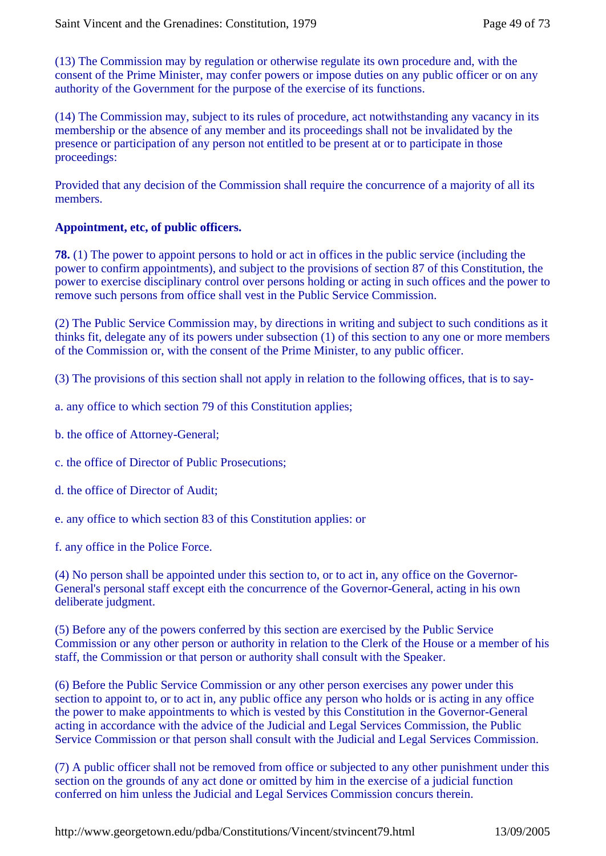(13) The Commission may by regulation or otherwise regulate its own procedure and, with the consent of the Prime Minister, may confer powers or impose duties on any public officer or on any authority of the Government for the purpose of the exercise of its functions.

(14) The Commission may, subject to its rules of procedure, act notwithstanding any vacancy in its membership or the absence of any member and its proceedings shall not be invalidated by the presence or participation of any person not entitled to be present at or to participate in those proceedings:

Provided that any decision of the Commission shall require the concurrence of a majority of all its members.

#### **Appointment, etc, of public officers.**

**78.** (1) The power to appoint persons to hold or act in offices in the public service (including the power to confirm appointments), and subject to the provisions of section 87 of this Constitution, the power to exercise disciplinary control over persons holding or acting in such offices and the power to remove such persons from office shall vest in the Public Service Commission.

(2) The Public Service Commission may, by directions in writing and subject to such conditions as it thinks fit, delegate any of its powers under subsection (1) of this section to any one or more members of the Commission or, with the consent of the Prime Minister, to any public officer.

(3) The provisions of this section shall not apply in relation to the following offices, that is to say-

- a. any office to which section 79 of this Constitution applies;
- b. the office of Attorney-General;
- c. the office of Director of Public Prosecutions;
- d. the office of Director of Audit;
- e. any office to which section 83 of this Constitution applies: or
- f. any office in the Police Force.

(4) No person shall be appointed under this section to, or to act in, any office on the Governor-General's personal staff except eith the concurrence of the Governor-General, acting in his own deliberate judgment.

(5) Before any of the powers conferred by this section are exercised by the Public Service Commission or any other person or authority in relation to the Clerk of the House or a member of his staff, the Commission or that person or authority shall consult with the Speaker.

(6) Before the Public Service Commission or any other person exercises any power under this section to appoint to, or to act in, any public office any person who holds or is acting in any office the power to make appointments to which is vested by this Constitution in the Governor-General acting in accordance with the advice of the Judicial and Legal Services Commission, the Public Service Commission or that person shall consult with the Judicial and Legal Services Commission.

(7) A public officer shall not be removed from office or subjected to any other punishment under this section on the grounds of any act done or omitted by him in the exercise of a judicial function conferred on him unless the Judicial and Legal Services Commission concurs therein.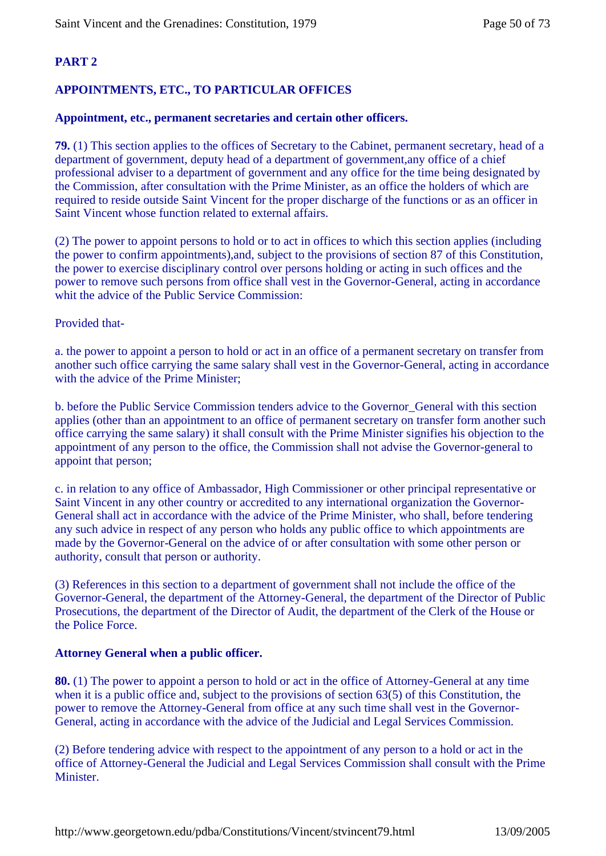# **PART 2**

## **APPOINTMENTS, ETC., TO PARTICULAR OFFICES**

### **Appointment, etc., permanent secretaries and certain other officers.**

**79.** (1) This section applies to the offices of Secretary to the Cabinet, permanent secretary, head of a department of government, deputy head of a department of government,any office of a chief professional adviser to a department of government and any office for the time being designated by the Commission, after consultation with the Prime Minister, as an office the holders of which are required to reside outside Saint Vincent for the proper discharge of the functions or as an officer in Saint Vincent whose function related to external affairs.

(2) The power to appoint persons to hold or to act in offices to which this section applies (including the power to confirm appointments),and, subject to the provisions of section 87 of this Constitution, the power to exercise disciplinary control over persons holding or acting in such offices and the power to remove such persons from office shall vest in the Governor-General, acting in accordance whit the advice of the Public Service Commission:

Provided that-

a. the power to appoint a person to hold or act in an office of a permanent secretary on transfer from another such office carrying the same salary shall vest in the Governor-General, acting in accordance with the advice of the Prime Minister;

b. before the Public Service Commission tenders advice to the Governor\_General with this section applies (other than an appointment to an office of permanent secretary on transfer form another such office carrying the same salary) it shall consult with the Prime Minister signifies his objection to the appointment of any person to the office, the Commission shall not advise the Governor-general to appoint that person;

c. in relation to any office of Ambassador, High Commissioner or other principal representative or Saint Vincent in any other country or accredited to any international organization the Governor-General shall act in accordance with the advice of the Prime Minister, who shall, before tendering any such advice in respect of any person who holds any public office to which appointments are made by the Governor-General on the advice of or after consultation with some other person or authority, consult that person or authority.

(3) References in this section to a department of government shall not include the office of the Governor-General, the department of the Attorney-General, the department of the Director of Public Prosecutions, the department of the Director of Audit, the department of the Clerk of the House or the Police Force.

#### **Attorney General when a public officer.**

**80.** (1) The power to appoint a person to hold or act in the office of Attorney-General at any time when it is a public office and, subject to the provisions of section 63(5) of this Constitution, the power to remove the Attorney-General from office at any such time shall vest in the Governor-General, acting in accordance with the advice of the Judicial and Legal Services Commission.

(2) Before tendering advice with respect to the appointment of any person to a hold or act in the office of Attorney-General the Judicial and Legal Services Commission shall consult with the Prime **Minister.**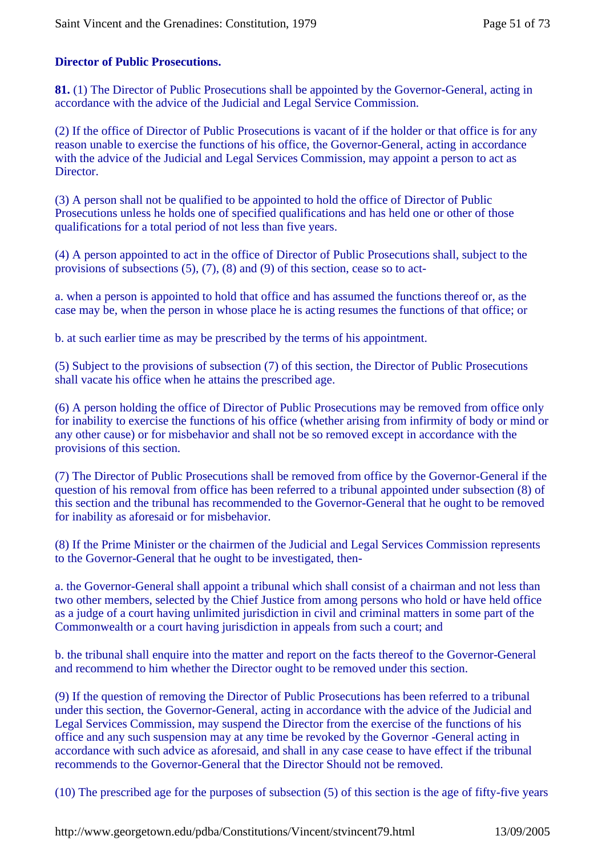# **Director of Public Prosecutions.**

**81.** (1) The Director of Public Prosecutions shall be appointed by the Governor-General, acting in accordance with the advice of the Judicial and Legal Service Commission.

(2) If the office of Director of Public Prosecutions is vacant of if the holder or that office is for any reason unable to exercise the functions of his office, the Governor-General, acting in accordance with the advice of the Judicial and Legal Services Commission, may appoint a person to act as Director.

(3) A person shall not be qualified to be appointed to hold the office of Director of Public Prosecutions unless he holds one of specified qualifications and has held one or other of those qualifications for a total period of not less than five years.

(4) A person appointed to act in the office of Director of Public Prosecutions shall, subject to the provisions of subsections (5), (7), (8) and (9) of this section, cease so to act-

a. when a person is appointed to hold that office and has assumed the functions thereof or, as the case may be, when the person in whose place he is acting resumes the functions of that office; or

b. at such earlier time as may be prescribed by the terms of his appointment.

(5) Subject to the provisions of subsection (7) of this section, the Director of Public Prosecutions shall vacate his office when he attains the prescribed age.

(6) A person holding the office of Director of Public Prosecutions may be removed from office only for inability to exercise the functions of his office (whether arising from infirmity of body or mind or any other cause) or for misbehavior and shall not be so removed except in accordance with the provisions of this section.

(7) The Director of Public Prosecutions shall be removed from office by the Governor-General if the question of his removal from office has been referred to a tribunal appointed under subsection (8) of this section and the tribunal has recommended to the Governor-General that he ought to be removed for inability as aforesaid or for misbehavior.

(8) If the Prime Minister or the chairmen of the Judicial and Legal Services Commission represents to the Governor-General that he ought to be investigated, then-

a. the Governor-General shall appoint a tribunal which shall consist of a chairman and not less than two other members, selected by the Chief Justice from among persons who hold or have held office as a judge of a court having unlimited jurisdiction in civil and criminal matters in some part of the Commonwealth or a court having jurisdiction in appeals from such a court; and

b. the tribunal shall enquire into the matter and report on the facts thereof to the Governor-General and recommend to him whether the Director ought to be removed under this section.

(9) If the question of removing the Director of Public Prosecutions has been referred to a tribunal under this section, the Governor-General, acting in accordance with the advice of the Judicial and Legal Services Commission, may suspend the Director from the exercise of the functions of his office and any such suspension may at any time be revoked by the Governor -General acting in accordance with such advice as aforesaid, and shall in any case cease to have effect if the tribunal recommends to the Governor-General that the Director Should not be removed.

(10) The prescribed age for the purposes of subsection (5) of this section is the age of fifty-five years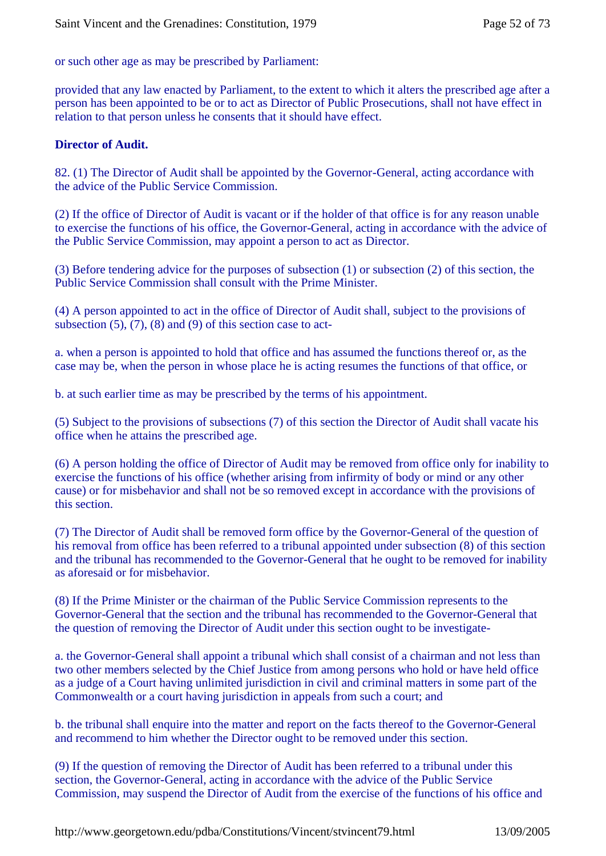or such other age as may be prescribed by Parliament:

provided that any law enacted by Parliament, to the extent to which it alters the prescribed age after a person has been appointed to be or to act as Director of Public Prosecutions, shall not have effect in relation to that person unless he consents that it should have effect.

### **Director of Audit.**

82. (1) The Director of Audit shall be appointed by the Governor-General, acting accordance with the advice of the Public Service Commission.

(2) If the office of Director of Audit is vacant or if the holder of that office is for any reason unable to exercise the functions of his office, the Governor-General, acting in accordance with the advice of the Public Service Commission, may appoint a person to act as Director.

(3) Before tendering advice for the purposes of subsection (1) or subsection (2) of this section, the Public Service Commission shall consult with the Prime Minister.

(4) A person appointed to act in the office of Director of Audit shall, subject to the provisions of subsection  $(5)$ ,  $(7)$ ,  $(8)$  and  $(9)$  of this section case to act-

a. when a person is appointed to hold that office and has assumed the functions thereof or, as the case may be, when the person in whose place he is acting resumes the functions of that office, or

b. at such earlier time as may be prescribed by the terms of his appointment.

(5) Subject to the provisions of subsections (7) of this section the Director of Audit shall vacate his office when he attains the prescribed age.

(6) A person holding the office of Director of Audit may be removed from office only for inability to exercise the functions of his office (whether arising from infirmity of body or mind or any other cause) or for misbehavior and shall not be so removed except in accordance with the provisions of this section.

(7) The Director of Audit shall be removed form office by the Governor-General of the question of his removal from office has been referred to a tribunal appointed under subsection (8) of this section and the tribunal has recommended to the Governor-General that he ought to be removed for inability as aforesaid or for misbehavior.

(8) If the Prime Minister or the chairman of the Public Service Commission represents to the Governor-General that the section and the tribunal has recommended to the Governor-General that the question of removing the Director of Audit under this section ought to be investigate-

a. the Governor-General shall appoint a tribunal which shall consist of a chairman and not less than two other members selected by the Chief Justice from among persons who hold or have held office as a judge of a Court having unlimited jurisdiction in civil and criminal matters in some part of the Commonwealth or a court having jurisdiction in appeals from such a court; and

b. the tribunal shall enquire into the matter and report on the facts thereof to the Governor-General and recommend to him whether the Director ought to be removed under this section.

(9) If the question of removing the Director of Audit has been referred to a tribunal under this section, the Governor-General, acting in accordance with the advice of the Public Service Commission, may suspend the Director of Audit from the exercise of the functions of his office and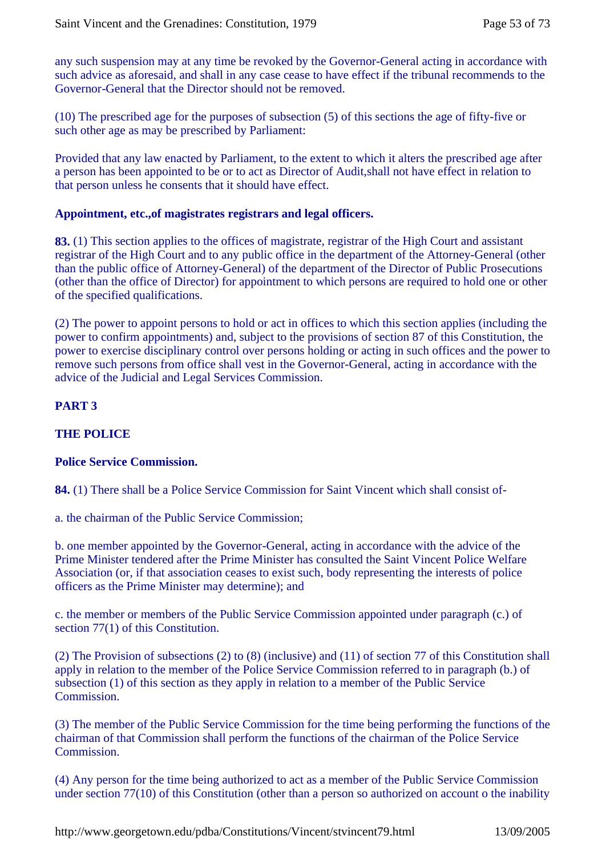any such suspension may at any time be revoked by the Governor-General acting in accordance with such advice as aforesaid, and shall in any case cease to have effect if the tribunal recommends to the Governor-General that the Director should not be removed.

(10) The prescribed age for the purposes of subsection (5) of this sections the age of fifty-five or such other age as may be prescribed by Parliament:

Provided that any law enacted by Parliament, to the extent to which it alters the prescribed age after a person has been appointed to be or to act as Director of Audit,shall not have effect in relation to that person unless he consents that it should have effect.

#### **Appointment, etc.,of magistrates registrars and legal officers.**

**83.** (1) This section applies to the offices of magistrate, registrar of the High Court and assistant registrar of the High Court and to any public office in the department of the Attorney-General (other than the public office of Attorney-General) of the department of the Director of Public Prosecutions (other than the office of Director) for appointment to which persons are required to hold one or other of the specified qualifications.

(2) The power to appoint persons to hold or act in offices to which this section applies (including the power to confirm appointments) and, subject to the provisions of section 87 of this Constitution, the power to exercise disciplinary control over persons holding or acting in such offices and the power to remove such persons from office shall vest in the Governor-General, acting in accordance with the advice of the Judicial and Legal Services Commission.

### **PART 3**

### **THE POLICE**

#### **Police Service Commission.**

**84.** (1) There shall be a Police Service Commission for Saint Vincent which shall consist of-

a. the chairman of the Public Service Commission;

b. one member appointed by the Governor-General, acting in accordance with the advice of the Prime Minister tendered after the Prime Minister has consulted the Saint Vincent Police Welfare Association (or, if that association ceases to exist such, body representing the interests of police officers as the Prime Minister may determine); and

c. the member or members of the Public Service Commission appointed under paragraph (c.) of section 77(1) of this Constitution.

(2) The Provision of subsections (2) to (8) (inclusive) and (11) of section 77 of this Constitution shall apply in relation to the member of the Police Service Commission referred to in paragraph (b.) of subsection (1) of this section as they apply in relation to a member of the Public Service Commission.

(3) The member of the Public Service Commission for the time being performing the functions of the chairman of that Commission shall perform the functions of the chairman of the Police Service Commission.

(4) Any person for the time being authorized to act as a member of the Public Service Commission under section 77(10) of this Constitution (other than a person so authorized on account o the inability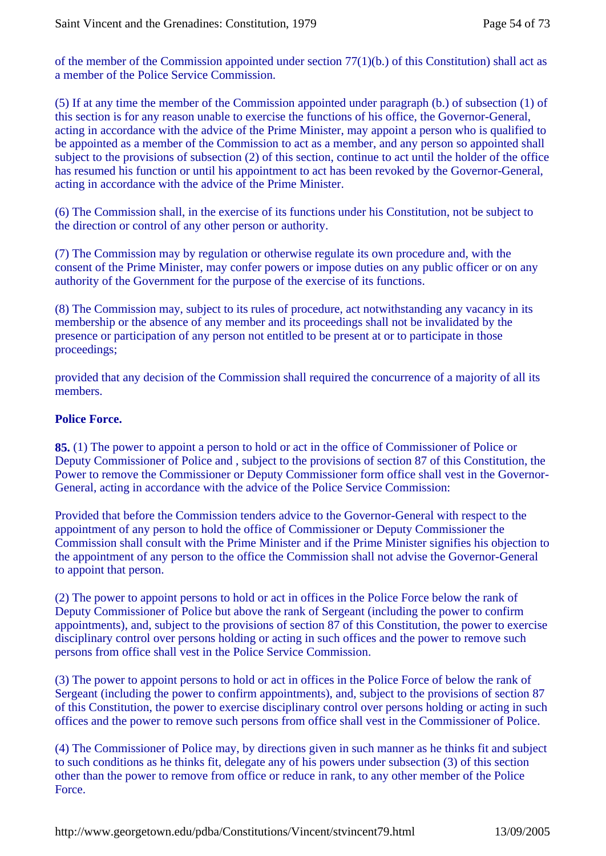of the member of the Commission appointed under section 77(1)(b.) of this Constitution) shall act as a member of the Police Service Commission.

(5) If at any time the member of the Commission appointed under paragraph (b.) of subsection (1) of this section is for any reason unable to exercise the functions of his office, the Governor-General, acting in accordance with the advice of the Prime Minister, may appoint a person who is qualified to be appointed as a member of the Commission to act as a member, and any person so appointed shall subject to the provisions of subsection (2) of this section, continue to act until the holder of the office has resumed his function or until his appointment to act has been revoked by the Governor-General, acting in accordance with the advice of the Prime Minister.

(6) The Commission shall, in the exercise of its functions under his Constitution, not be subject to the direction or control of any other person or authority.

(7) The Commission may by regulation or otherwise regulate its own procedure and, with the consent of the Prime Minister, may confer powers or impose duties on any public officer or on any authority of the Government for the purpose of the exercise of its functions.

(8) The Commission may, subject to its rules of procedure, act notwithstanding any vacancy in its membership or the absence of any member and its proceedings shall not be invalidated by the presence or participation of any person not entitled to be present at or to participate in those proceedings;

provided that any decision of the Commission shall required the concurrence of a majority of all its members.

### **Police Force.**

**85.** (1) The power to appoint a person to hold or act in the office of Commissioner of Police or Deputy Commissioner of Police and , subject to the provisions of section 87 of this Constitution, the Power to remove the Commissioner or Deputy Commissioner form office shall vest in the Governor-General, acting in accordance with the advice of the Police Service Commission:

Provided that before the Commission tenders advice to the Governor-General with respect to the appointment of any person to hold the office of Commissioner or Deputy Commissioner the Commission shall consult with the Prime Minister and if the Prime Minister signifies his objection to the appointment of any person to the office the Commission shall not advise the Governor-General to appoint that person.

(2) The power to appoint persons to hold or act in offices in the Police Force below the rank of Deputy Commissioner of Police but above the rank of Sergeant (including the power to confirm appointments), and, subject to the provisions of section 87 of this Constitution, the power to exercise disciplinary control over persons holding or acting in such offices and the power to remove such persons from office shall vest in the Police Service Commission.

(3) The power to appoint persons to hold or act in offices in the Police Force of below the rank of Sergeant (including the power to confirm appointments), and, subject to the provisions of section 87 of this Constitution, the power to exercise disciplinary control over persons holding or acting in such offices and the power to remove such persons from office shall vest in the Commissioner of Police.

(4) The Commissioner of Police may, by directions given in such manner as he thinks fit and subject to such conditions as he thinks fit, delegate any of his powers under subsection (3) of this section other than the power to remove from office or reduce in rank, to any other member of the Police Force.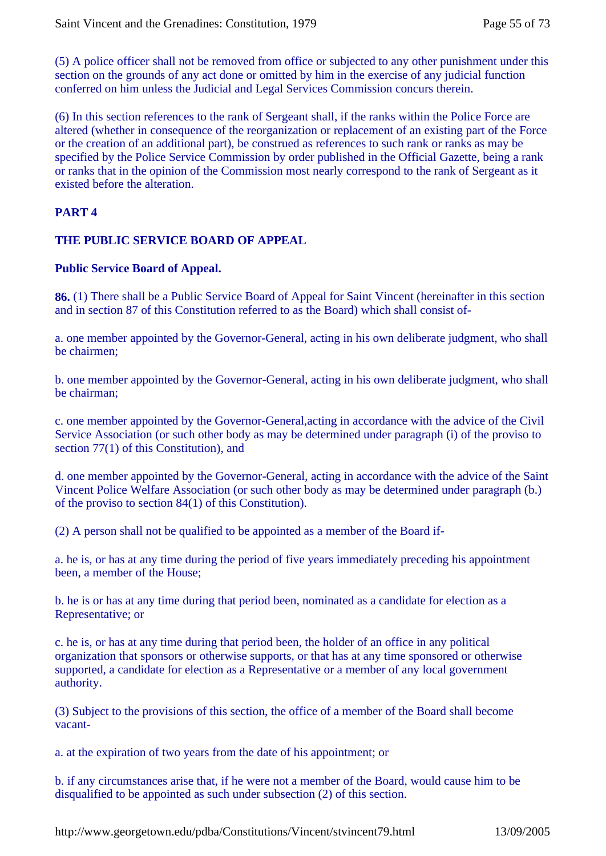(5) A police officer shall not be removed from office or subjected to any other punishment under this section on the grounds of any act done or omitted by him in the exercise of any judicial function conferred on him unless the Judicial and Legal Services Commission concurs therein.

(6) In this section references to the rank of Sergeant shall, if the ranks within the Police Force are altered (whether in consequence of the reorganization or replacement of an existing part of the Force or the creation of an additional part), be construed as references to such rank or ranks as may be specified by the Police Service Commission by order published in the Official Gazette, being a rank or ranks that in the opinion of the Commission most nearly correspond to the rank of Sergeant as it existed before the alteration.

## **PART 4**

## **THE PUBLIC SERVICE BOARD OF APPEAL**

#### **Public Service Board of Appeal.**

**86.** (1) There shall be a Public Service Board of Appeal for Saint Vincent (hereinafter in this section and in section 87 of this Constitution referred to as the Board) which shall consist of-

a. one member appointed by the Governor-General, acting in his own deliberate judgment, who shall be chairmen;

b. one member appointed by the Governor-General, acting in his own deliberate judgment, who shall be chairman;

c. one member appointed by the Governor-General,acting in accordance with the advice of the Civil Service Association (or such other body as may be determined under paragraph (i) of the proviso to section 77(1) of this Constitution), and

d. one member appointed by the Governor-General, acting in accordance with the advice of the Saint Vincent Police Welfare Association (or such other body as may be determined under paragraph (b.) of the proviso to section 84(1) of this Constitution).

(2) A person shall not be qualified to be appointed as a member of the Board if-

a. he is, or has at any time during the period of five years immediately preceding his appointment been, a member of the House;

b. he is or has at any time during that period been, nominated as a candidate for election as a Representative; or

c. he is, or has at any time during that period been, the holder of an office in any political organization that sponsors or otherwise supports, or that has at any time sponsored or otherwise supported, a candidate for election as a Representative or a member of any local government authority.

(3) Subject to the provisions of this section, the office of a member of the Board shall become vacant-

a. at the expiration of two years from the date of his appointment; or

b. if any circumstances arise that, if he were not a member of the Board, would cause him to be disqualified to be appointed as such under subsection (2) of this section.

http://www.georgetown.edu/pdba/Constitutions/Vincent/stvincent79.html 13/09/2005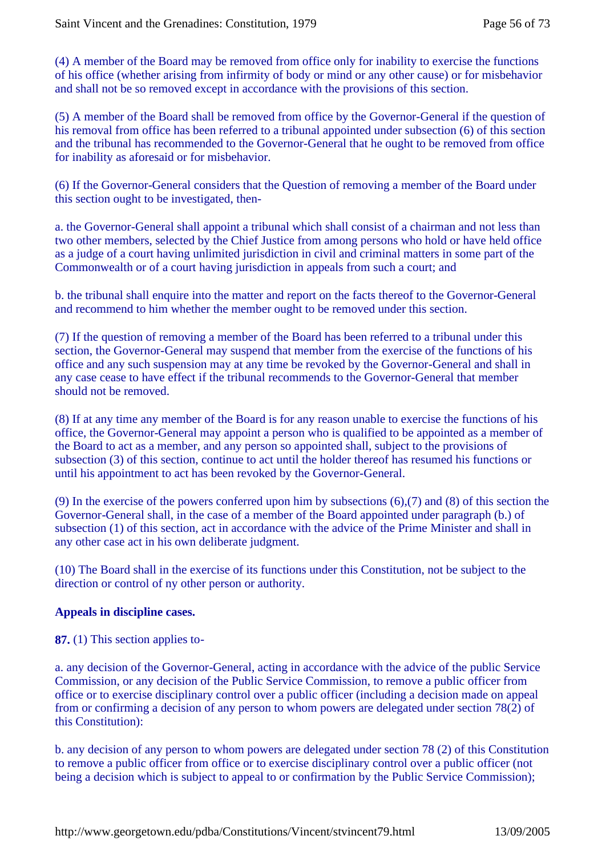(4) A member of the Board may be removed from office only for inability to exercise the functions of his office (whether arising from infirmity of body or mind or any other cause) or for misbehavior and shall not be so removed except in accordance with the provisions of this section.

(5) A member of the Board shall be removed from office by the Governor-General if the question of his removal from office has been referred to a tribunal appointed under subsection (6) of this section and the tribunal has recommended to the Governor-General that he ought to be removed from office for inability as aforesaid or for misbehavior.

(6) If the Governor-General considers that the Question of removing a member of the Board under this section ought to be investigated, then-

a. the Governor-General shall appoint a tribunal which shall consist of a chairman and not less than two other members, selected by the Chief Justice from among persons who hold or have held office as a judge of a court having unlimited jurisdiction in civil and criminal matters in some part of the Commonwealth or of a court having jurisdiction in appeals from such a court; and

b. the tribunal shall enquire into the matter and report on the facts thereof to the Governor-General and recommend to him whether the member ought to be removed under this section.

(7) If the question of removing a member of the Board has been referred to a tribunal under this section, the Governor-General may suspend that member from the exercise of the functions of his office and any such suspension may at any time be revoked by the Governor-General and shall in any case cease to have effect if the tribunal recommends to the Governor-General that member should not be removed.

(8) If at any time any member of the Board is for any reason unable to exercise the functions of his office, the Governor-General may appoint a person who is qualified to be appointed as a member of the Board to act as a member, and any person so appointed shall, subject to the provisions of subsection (3) of this section, continue to act until the holder thereof has resumed his functions or until his appointment to act has been revoked by the Governor-General.

(9) In the exercise of the powers conferred upon him by subsections (6),(7) and (8) of this section the Governor-General shall, in the case of a member of the Board appointed under paragraph (b.) of subsection (1) of this section, act in accordance with the advice of the Prime Minister and shall in any other case act in his own deliberate judgment.

(10) The Board shall in the exercise of its functions under this Constitution, not be subject to the direction or control of ny other person or authority.

#### **Appeals in discipline cases.**

**87.** (1) This section applies to-

a. any decision of the Governor-General, acting in accordance with the advice of the public Service Commission, or any decision of the Public Service Commission, to remove a public officer from office or to exercise disciplinary control over a public officer (including a decision made on appeal from or confirming a decision of any person to whom powers are delegated under section 78(2) of this Constitution):

b. any decision of any person to whom powers are delegated under section 78 (2) of this Constitution to remove a public officer from office or to exercise disciplinary control over a public officer (not being a decision which is subject to appeal to or confirmation by the Public Service Commission);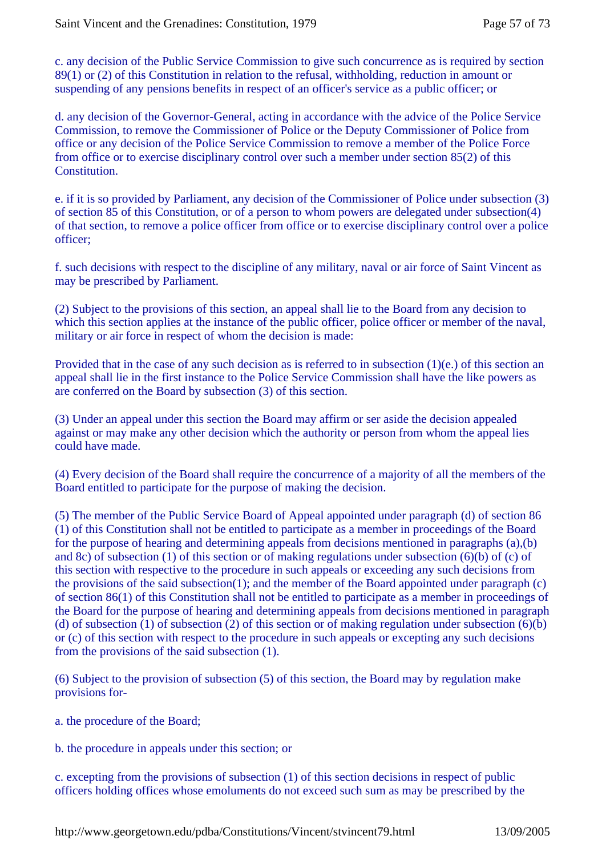c. any decision of the Public Service Commission to give such concurrence as is required by section 89(1) or (2) of this Constitution in relation to the refusal, withholding, reduction in amount or suspending of any pensions benefits in respect of an officer's service as a public officer; or

d. any decision of the Governor-General, acting in accordance with the advice of the Police Service Commission, to remove the Commissioner of Police or the Deputy Commissioner of Police from office or any decision of the Police Service Commission to remove a member of the Police Force from office or to exercise disciplinary control over such a member under section 85(2) of this Constitution.

e. if it is so provided by Parliament, any decision of the Commissioner of Police under subsection (3) of section 85 of this Constitution, or of a person to whom powers are delegated under subsection(4) of that section, to remove a police officer from office or to exercise disciplinary control over a police officer;

f. such decisions with respect to the discipline of any military, naval or air force of Saint Vincent as may be prescribed by Parliament.

(2) Subject to the provisions of this section, an appeal shall lie to the Board from any decision to which this section applies at the instance of the public officer, police officer or member of the naval, military or air force in respect of whom the decision is made:

Provided that in the case of any such decision as is referred to in subsection  $(1)(e)$  of this section an appeal shall lie in the first instance to the Police Service Commission shall have the like powers as are conferred on the Board by subsection (3) of this section.

(3) Under an appeal under this section the Board may affirm or ser aside the decision appealed against or may make any other decision which the authority or person from whom the appeal lies could have made.

(4) Every decision of the Board shall require the concurrence of a majority of all the members of the Board entitled to participate for the purpose of making the decision.

(5) The member of the Public Service Board of Appeal appointed under paragraph (d) of section 86 (1) of this Constitution shall not be entitled to participate as a member in proceedings of the Board for the purpose of hearing and determining appeals from decisions mentioned in paragraphs (a),(b) and 8c) of subsection (1) of this section or of making regulations under subsection (6)(b) of (c) of this section with respective to the procedure in such appeals or exceeding any such decisions from the provisions of the said subsection(1); and the member of the Board appointed under paragraph  $(c)$ of section 86(1) of this Constitution shall not be entitled to participate as a member in proceedings of the Board for the purpose of hearing and determining appeals from decisions mentioned in paragraph (d) of subsection (1) of subsection (2) of this section or of making regulation under subsection  $(6)(b)$ or (c) of this section with respect to the procedure in such appeals or excepting any such decisions from the provisions of the said subsection (1).

(6) Subject to the provision of subsection (5) of this section, the Board may by regulation make provisions for-

a. the procedure of the Board;

b. the procedure in appeals under this section; or

c. excepting from the provisions of subsection (1) of this section decisions in respect of public officers holding offices whose emoluments do not exceed such sum as may be prescribed by the

http://www.georgetown.edu/pdba/Constitutions/Vincent/stvincent79.html 13/09/2005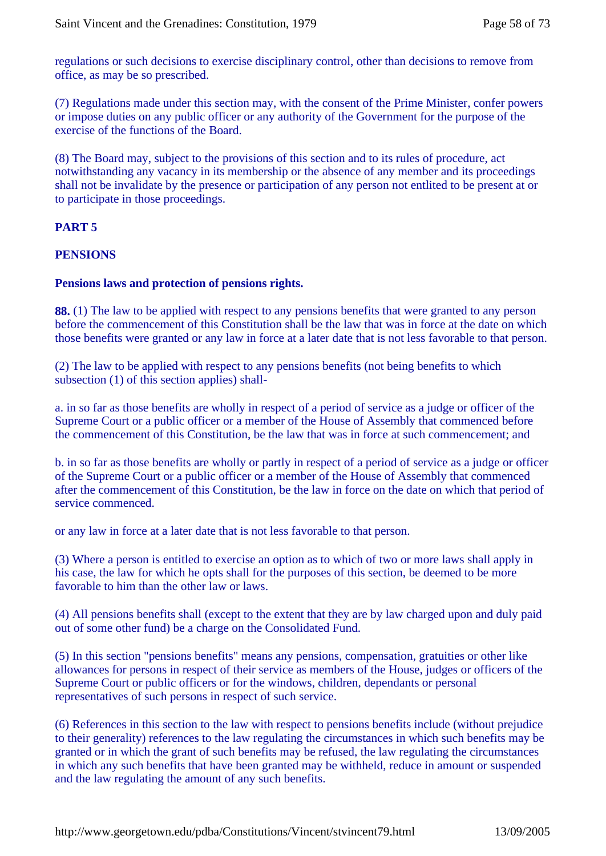regulations or such decisions to exercise disciplinary control, other than decisions to remove from office, as may be so prescribed.

(7) Regulations made under this section may, with the consent of the Prime Minister, confer powers or impose duties on any public officer or any authority of the Government for the purpose of the exercise of the functions of the Board.

(8) The Board may, subject to the provisions of this section and to its rules of procedure, act notwithstanding any vacancy in its membership or the absence of any member and its proceedings shall not be invalidate by the presence or participation of any person not entlited to be present at or to participate in those proceedings.

### **PART 5**

#### **PENSIONS**

#### **Pensions laws and protection of pensions rights.**

**88.** (1) The law to be applied with respect to any pensions benefits that were granted to any person before the commencement of this Constitution shall be the law that was in force at the date on which those benefits were granted or any law in force at a later date that is not less favorable to that person.

(2) The law to be applied with respect to any pensions benefits (not being benefits to which subsection (1) of this section applies) shall-

a. in so far as those benefits are wholly in respect of a period of service as a judge or officer of the Supreme Court or a public officer or a member of the House of Assembly that commenced before the commencement of this Constitution, be the law that was in force at such commencement; and

b. in so far as those benefits are wholly or partly in respect of a period of service as a judge or officer of the Supreme Court or a public officer or a member of the House of Assembly that commenced after the commencement of this Constitution, be the law in force on the date on which that period of service commenced.

or any law in force at a later date that is not less favorable to that person.

(3) Where a person is entitled to exercise an option as to which of two or more laws shall apply in his case, the law for which he opts shall for the purposes of this section, be deemed to be more favorable to him than the other law or laws.

(4) All pensions benefits shall (except to the extent that they are by law charged upon and duly paid out of some other fund) be a charge on the Consolidated Fund.

(5) In this section "pensions benefits" means any pensions, compensation, gratuities or other like allowances for persons in respect of their service as members of the House, judges or officers of the Supreme Court or public officers or for the windows, children, dependants or personal representatives of such persons in respect of such service.

(6) References in this section to the law with respect to pensions benefits include (without prejudice to their generality) references to the law regulating the circumstances in which such benefits may be granted or in which the grant of such benefits may be refused, the law regulating the circumstances in which any such benefits that have been granted may be withheld, reduce in amount or suspended and the law regulating the amount of any such benefits.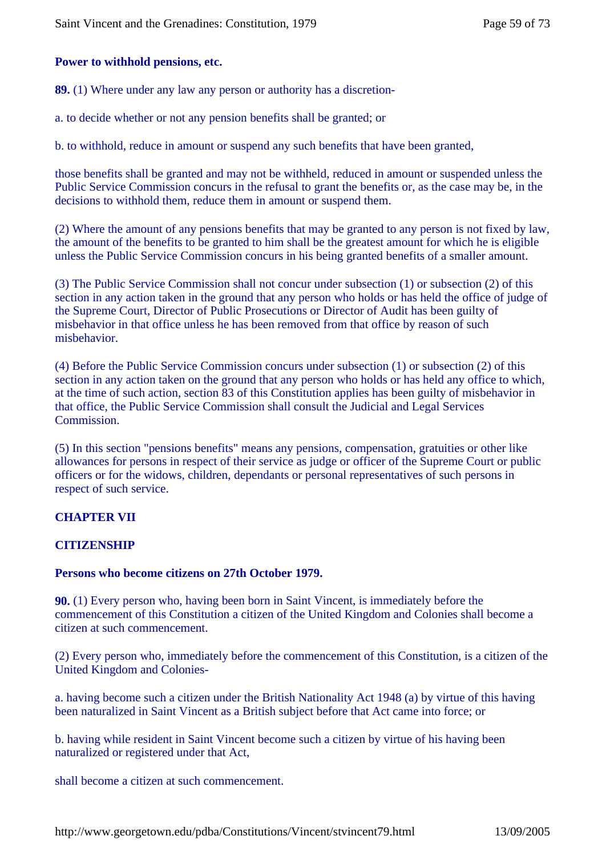## **Power to withhold pensions, etc.**

**89.** (1) Where under any law any person or authority has a discretion-

a. to decide whether or not any pension benefits shall be granted; or

b. to withhold, reduce in amount or suspend any such benefits that have been granted,

those benefits shall be granted and may not be withheld, reduced in amount or suspended unless the Public Service Commission concurs in the refusal to grant the benefits or, as the case may be, in the decisions to withhold them, reduce them in amount or suspend them.

(2) Where the amount of any pensions benefits that may be granted to any person is not fixed by law, the amount of the benefits to be granted to him shall be the greatest amount for which he is eligible unless the Public Service Commission concurs in his being granted benefits of a smaller amount.

(3) The Public Service Commission shall not concur under subsection (1) or subsection (2) of this section in any action taken in the ground that any person who holds or has held the office of judge of the Supreme Court, Director of Public Prosecutions or Director of Audit has been guilty of misbehavior in that office unless he has been removed from that office by reason of such misbehavior.

(4) Before the Public Service Commission concurs under subsection (1) or subsection (2) of this section in any action taken on the ground that any person who holds or has held any office to which, at the time of such action, section 83 of this Constitution applies has been guilty of misbehavior in that office, the Public Service Commission shall consult the Judicial and Legal Services Commission.

(5) In this section "pensions benefits" means any pensions, compensation, gratuities or other like allowances for persons in respect of their service as judge or officer of the Supreme Court or public officers or for the widows, children, dependants or personal representatives of such persons in respect of such service.

## **CHAPTER VII**

#### **CITIZENSHIP**

### **Persons who become citizens on 27th October 1979.**

**90.** (1) Every person who, having been born in Saint Vincent, is immediately before the commencement of this Constitution a citizen of the United Kingdom and Colonies shall become a citizen at such commencement.

(2) Every person who, immediately before the commencement of this Constitution, is a citizen of the United Kingdom and Colonies-

a. having become such a citizen under the British Nationality Act 1948 (a) by virtue of this having been naturalized in Saint Vincent as a British subject before that Act came into force; or

b. having while resident in Saint Vincent become such a citizen by virtue of his having been naturalized or registered under that Act,

shall become a citizen at such commencement.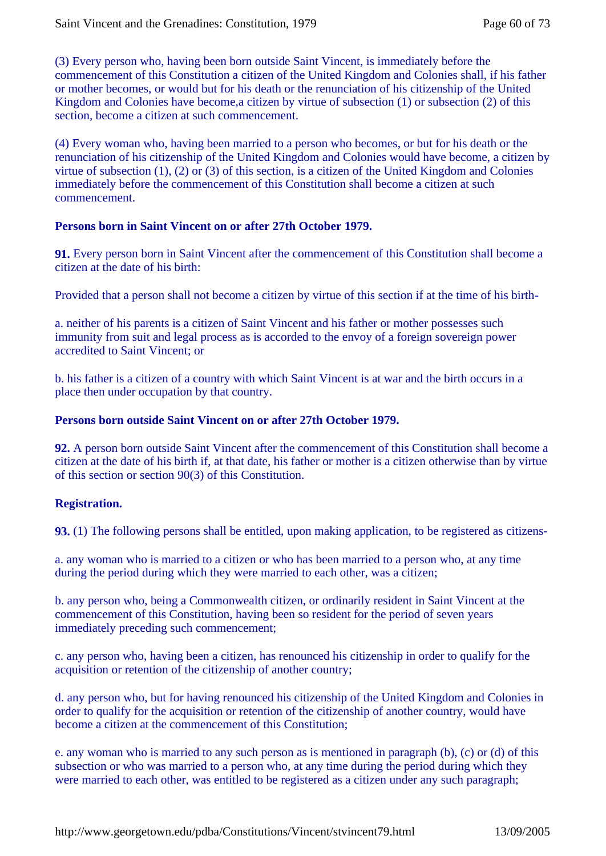(3) Every person who, having been born outside Saint Vincent, is immediately before the commencement of this Constitution a citizen of the United Kingdom and Colonies shall, if his father or mother becomes, or would but for his death or the renunciation of his citizenship of the United Kingdom and Colonies have become,a citizen by virtue of subsection (1) or subsection (2) of this section, become a citizen at such commencement.

(4) Every woman who, having been married to a person who becomes, or but for his death or the renunciation of his citizenship of the United Kingdom and Colonies would have become, a citizen by virtue of subsection (1), (2) or (3) of this section, is a citizen of the United Kingdom and Colonies immediately before the commencement of this Constitution shall become a citizen at such commencement.

#### **Persons born in Saint Vincent on or after 27th October 1979.**

**91.** Every person born in Saint Vincent after the commencement of this Constitution shall become a citizen at the date of his birth:

Provided that a person shall not become a citizen by virtue of this section if at the time of his birth-

a. neither of his parents is a citizen of Saint Vincent and his father or mother possesses such immunity from suit and legal process as is accorded to the envoy of a foreign sovereign power accredited to Saint Vincent; or

b. his father is a citizen of a country with which Saint Vincent is at war and the birth occurs in a place then under occupation by that country.

#### **Persons born outside Saint Vincent on or after 27th October 1979.**

**92.** A person born outside Saint Vincent after the commencement of this Constitution shall become a citizen at the date of his birth if, at that date, his father or mother is a citizen otherwise than by virtue of this section or section 90(3) of this Constitution.

#### **Registration.**

**93.** (1) The following persons shall be entitled, upon making application, to be registered as citizens-

a. any woman who is married to a citizen or who has been married to a person who, at any time during the period during which they were married to each other, was a citizen;

b. any person who, being a Commonwealth citizen, or ordinarily resident in Saint Vincent at the commencement of this Constitution, having been so resident for the period of seven years immediately preceding such commencement;

c. any person who, having been a citizen, has renounced his citizenship in order to qualify for the acquisition or retention of the citizenship of another country;

d. any person who, but for having renounced his citizenship of the United Kingdom and Colonies in order to qualify for the acquisition or retention of the citizenship of another country, would have become a citizen at the commencement of this Constitution;

e. any woman who is married to any such person as is mentioned in paragraph (b), (c) or (d) of this subsection or who was married to a person who, at any time during the period during which they were married to each other, was entitled to be registered as a citizen under any such paragraph;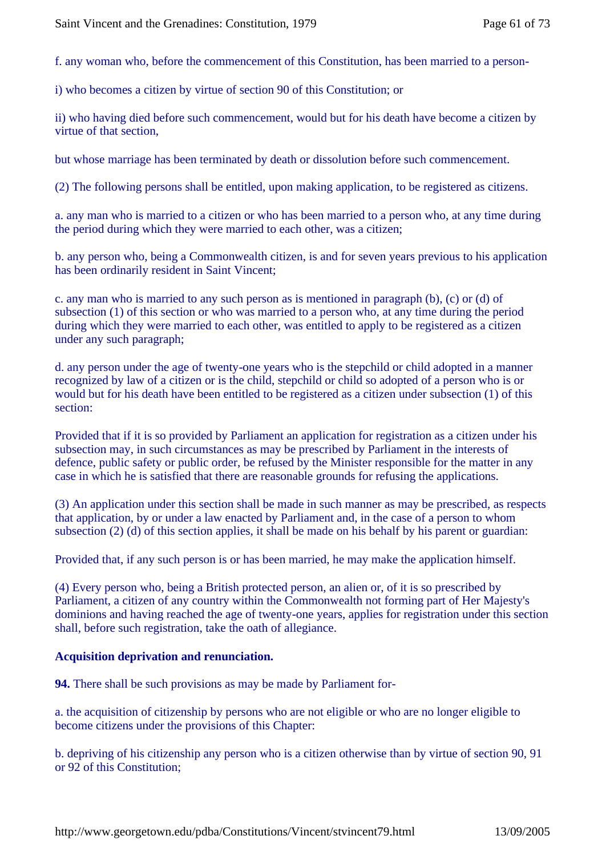f. any woman who, before the commencement of this Constitution, has been married to a person-

i) who becomes a citizen by virtue of section 90 of this Constitution; or

ii) who having died before such commencement, would but for his death have become a citizen by virtue of that section,

but whose marriage has been terminated by death or dissolution before such commencement.

(2) The following persons shall be entitled, upon making application, to be registered as citizens.

a. any man who is married to a citizen or who has been married to a person who, at any time during the period during which they were married to each other, was a citizen;

b. any person who, being a Commonwealth citizen, is and for seven years previous to his application has been ordinarily resident in Saint Vincent;

c. any man who is married to any such person as is mentioned in paragraph (b), (c) or (d) of subsection (1) of this section or who was married to a person who, at any time during the period during which they were married to each other, was entitled to apply to be registered as a citizen under any such paragraph;

d. any person under the age of twenty-one years who is the stepchild or child adopted in a manner recognized by law of a citizen or is the child, stepchild or child so adopted of a person who is or would but for his death have been entitled to be registered as a citizen under subsection (1) of this section:

Provided that if it is so provided by Parliament an application for registration as a citizen under his subsection may, in such circumstances as may be prescribed by Parliament in the interests of defence, public safety or public order, be refused by the Minister responsible for the matter in any case in which he is satisfied that there are reasonable grounds for refusing the applications.

(3) An application under this section shall be made in such manner as may be prescribed, as respects that application, by or under a law enacted by Parliament and, in the case of a person to whom subsection (2) (d) of this section applies, it shall be made on his behalf by his parent or guardian:

Provided that, if any such person is or has been married, he may make the application himself.

(4) Every person who, being a British protected person, an alien or, of it is so prescribed by Parliament, a citizen of any country within the Commonwealth not forming part of Her Majesty's dominions and having reached the age of twenty-one years, applies for registration under this section shall, before such registration, take the oath of allegiance.

#### **Acquisition deprivation and renunciation.**

**94.** There shall be such provisions as may be made by Parliament for-

a. the acquisition of citizenship by persons who are not eligible or who are no longer eligible to become citizens under the provisions of this Chapter:

b. depriving of his citizenship any person who is a citizen otherwise than by virtue of section 90, 91 or 92 of this Constitution;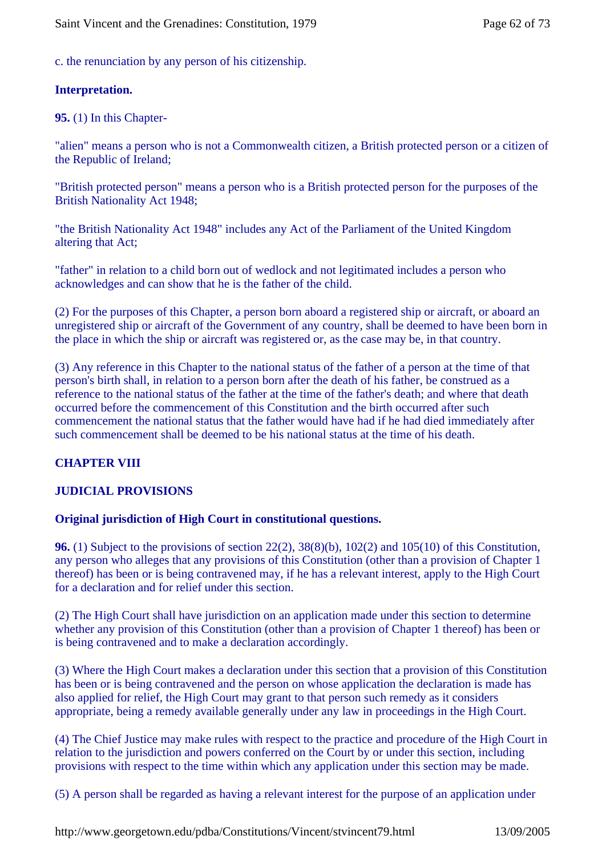c. the renunciation by any person of his citizenship.

### **Interpretation.**

**95.** (1) In this Chapter-

"alien" means a person who is not a Commonwealth citizen, a British protected person or a citizen of the Republic of Ireland;

"British protected person" means a person who is a British protected person for the purposes of the British Nationality Act 1948;

"the British Nationality Act 1948" includes any Act of the Parliament of the United Kingdom altering that Act;

"father" in relation to a child born out of wedlock and not legitimated includes a person who acknowledges and can show that he is the father of the child.

(2) For the purposes of this Chapter, a person born aboard a registered ship or aircraft, or aboard an unregistered ship or aircraft of the Government of any country, shall be deemed to have been born in the place in which the ship or aircraft was registered or, as the case may be, in that country.

(3) Any reference in this Chapter to the national status of the father of a person at the time of that person's birth shall, in relation to a person born after the death of his father, be construed as a reference to the national status of the father at the time of the father's death; and where that death occurred before the commencement of this Constitution and the birth occurred after such commencement the national status that the father would have had if he had died immediately after such commencement shall be deemed to be his national status at the time of his death.

# **CHAPTER VIII**

#### **JUDICIAL PROVISIONS**

#### **Original jurisdiction of High Court in constitutional questions.**

**96.** (1) Subject to the provisions of section 22(2), 38(8)(b), 102(2) and 105(10) of this Constitution, any person who alleges that any provisions of this Constitution (other than a provision of Chapter 1 thereof) has been or is being contravened may, if he has a relevant interest, apply to the High Court for a declaration and for relief under this section.

(2) The High Court shall have jurisdiction on an application made under this section to determine whether any provision of this Constitution (other than a provision of Chapter 1 thereof) has been or is being contravened and to make a declaration accordingly.

(3) Where the High Court makes a declaration under this section that a provision of this Constitution has been or is being contravened and the person on whose application the declaration is made has also applied for relief, the High Court may grant to that person such remedy as it considers appropriate, being a remedy available generally under any law in proceedings in the High Court.

(4) The Chief Justice may make rules with respect to the practice and procedure of the High Court in relation to the jurisdiction and powers conferred on the Court by or under this section, including provisions with respect to the time within which any application under this section may be made.

(5) A person shall be regarded as having a relevant interest for the purpose of an application under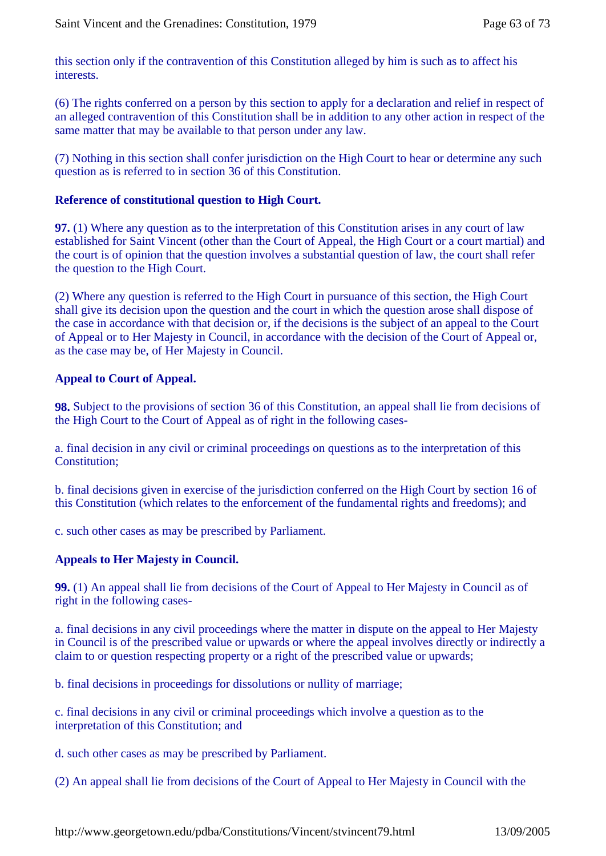this section only if the contravention of this Constitution alleged by him is such as to affect his interests.

(6) The rights conferred on a person by this section to apply for a declaration and relief in respect of an alleged contravention of this Constitution shall be in addition to any other action in respect of the same matter that may be available to that person under any law.

(7) Nothing in this section shall confer jurisdiction on the High Court to hear or determine any such question as is referred to in section 36 of this Constitution.

### **Reference of constitutional question to High Court.**

**97.** (1) Where any question as to the interpretation of this Constitution arises in any court of law established for Saint Vincent (other than the Court of Appeal, the High Court or a court martial) and the court is of opinion that the question involves a substantial question of law, the court shall refer the question to the High Court.

(2) Where any question is referred to the High Court in pursuance of this section, the High Court shall give its decision upon the question and the court in which the question arose shall dispose of the case in accordance with that decision or, if the decisions is the subject of an appeal to the Court of Appeal or to Her Majesty in Council, in accordance with the decision of the Court of Appeal or, as the case may be, of Her Majesty in Council.

### **Appeal to Court of Appeal.**

**98.** Subject to the provisions of section 36 of this Constitution, an appeal shall lie from decisions of the High Court to the Court of Appeal as of right in the following cases-

a. final decision in any civil or criminal proceedings on questions as to the interpretation of this Constitution;

b. final decisions given in exercise of the jurisdiction conferred on the High Court by section 16 of this Constitution (which relates to the enforcement of the fundamental rights and freedoms); and

c. such other cases as may be prescribed by Parliament.

## **Appeals to Her Majesty in Council.**

**99.** (1) An appeal shall lie from decisions of the Court of Appeal to Her Majesty in Council as of right in the following cases-

a. final decisions in any civil proceedings where the matter in dispute on the appeal to Her Majesty in Council is of the prescribed value or upwards or where the appeal involves directly or indirectly a claim to or question respecting property or a right of the prescribed value or upwards;

b. final decisions in proceedings for dissolutions or nullity of marriage;

c. final decisions in any civil or criminal proceedings which involve a question as to the interpretation of this Constitution; and

d. such other cases as may be prescribed by Parliament.

(2) An appeal shall lie from decisions of the Court of Appeal to Her Majesty in Council with the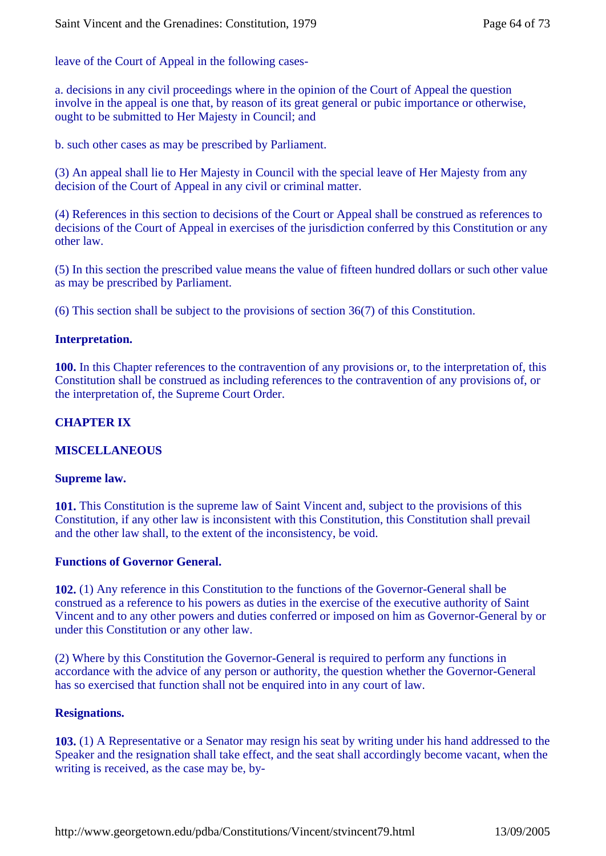leave of the Court of Appeal in the following cases-

a. decisions in any civil proceedings where in the opinion of the Court of Appeal the question involve in the appeal is one that, by reason of its great general or pubic importance or otherwise, ought to be submitted to Her Majesty in Council; and

b. such other cases as may be prescribed by Parliament.

(3) An appeal shall lie to Her Majesty in Council with the special leave of Her Majesty from any decision of the Court of Appeal in any civil or criminal matter.

(4) References in this section to decisions of the Court or Appeal shall be construed as references to decisions of the Court of Appeal in exercises of the jurisdiction conferred by this Constitution or any other law.

(5) In this section the prescribed value means the value of fifteen hundred dollars or such other value as may be prescribed by Parliament.

(6) This section shall be subject to the provisions of section 36(7) of this Constitution.

#### **Interpretation.**

**100.** In this Chapter references to the contravention of any provisions or, to the interpretation of, this Constitution shall be construed as including references to the contravention of any provisions of, or the interpretation of, the Supreme Court Order.

# **CHAPTER IX**

#### **MISCELLANEOUS**

#### **Supreme law.**

**101.** This Constitution is the supreme law of Saint Vincent and, subject to the provisions of this Constitution, if any other law is inconsistent with this Constitution, this Constitution shall prevail and the other law shall, to the extent of the inconsistency, be void.

#### **Functions of Governor General.**

**102.** (1) Any reference in this Constitution to the functions of the Governor-General shall be construed as a reference to his powers as duties in the exercise of the executive authority of Saint Vincent and to any other powers and duties conferred or imposed on him as Governor-General by or under this Constitution or any other law.

(2) Where by this Constitution the Governor-General is required to perform any functions in accordance with the advice of any person or authority, the question whether the Governor-General has so exercised that function shall not be enquired into in any court of law.

#### **Resignations.**

**103.** (1) A Representative or a Senator may resign his seat by writing under his hand addressed to the Speaker and the resignation shall take effect, and the seat shall accordingly become vacant, when the writing is received, as the case may be, by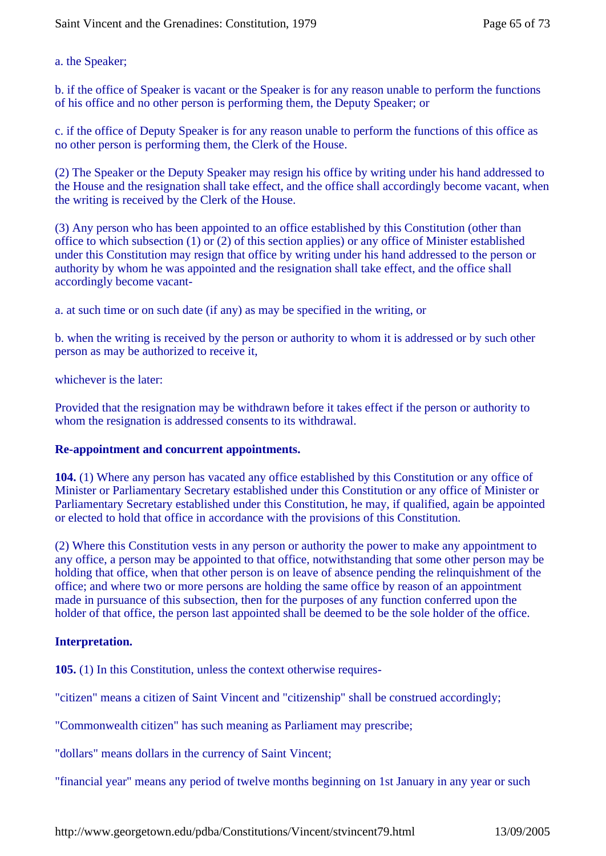a. the Speaker;

b. if the office of Speaker is vacant or the Speaker is for any reason unable to perform the functions of his office and no other person is performing them, the Deputy Speaker; or

c. if the office of Deputy Speaker is for any reason unable to perform the functions of this office as no other person is performing them, the Clerk of the House.

(2) The Speaker or the Deputy Speaker may resign his office by writing under his hand addressed to the House and the resignation shall take effect, and the office shall accordingly become vacant, when the writing is received by the Clerk of the House.

(3) Any person who has been appointed to an office established by this Constitution (other than office to which subsection (1) or (2) of this section applies) or any office of Minister established under this Constitution may resign that office by writing under his hand addressed to the person or authority by whom he was appointed and the resignation shall take effect, and the office shall accordingly become vacant-

a. at such time or on such date (if any) as may be specified in the writing, or

b. when the writing is received by the person or authority to whom it is addressed or by such other person as may be authorized to receive it,

whichever is the later:

Provided that the resignation may be withdrawn before it takes effect if the person or authority to whom the resignation is addressed consents to its withdrawal.

#### **Re-appointment and concurrent appointments.**

**104.** (1) Where any person has vacated any office established by this Constitution or any office of Minister or Parliamentary Secretary established under this Constitution or any office of Minister or Parliamentary Secretary established under this Constitution, he may, if qualified, again be appointed or elected to hold that office in accordance with the provisions of this Constitution.

(2) Where this Constitution vests in any person or authority the power to make any appointment to any office, a person may be appointed to that office, notwithstanding that some other person may be holding that office, when that other person is on leave of absence pending the relinquishment of the office; and where two or more persons are holding the same office by reason of an appointment made in pursuance of this subsection, then for the purposes of any function conferred upon the holder of that office, the person last appointed shall be deemed to be the sole holder of the office.

#### **Interpretation.**

**105.** (1) In this Constitution, unless the context otherwise requires-

"citizen" means a citizen of Saint Vincent and "citizenship" shall be construed accordingly;

"Commonwealth citizen" has such meaning as Parliament may prescribe;

"dollars" means dollars in the currency of Saint Vincent;

"financial year" means any period of twelve months beginning on 1st January in any year or such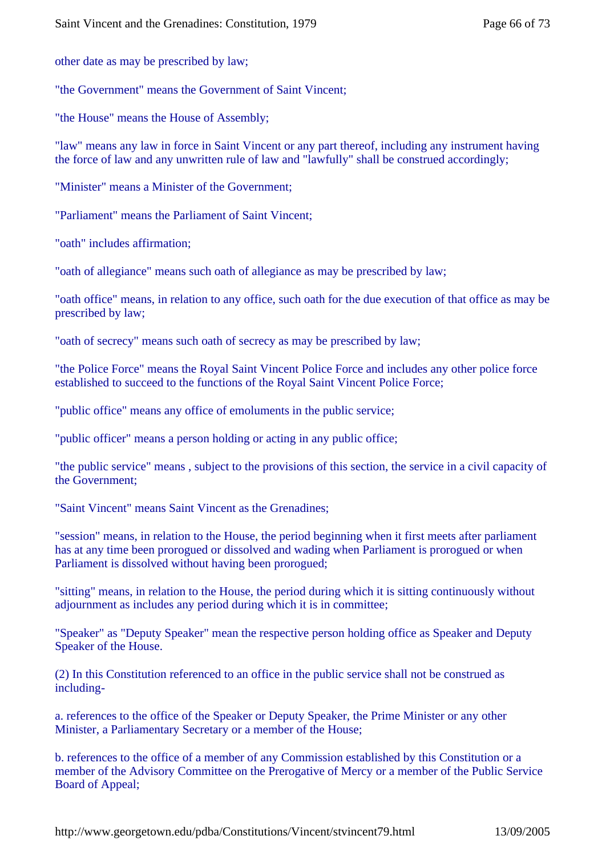other date as may be prescribed by law;

"the Government" means the Government of Saint Vincent;

"the House" means the House of Assembly;

"law" means any law in force in Saint Vincent or any part thereof, including any instrument having the force of law and any unwritten rule of law and "lawfully" shall be construed accordingly;

"Minister" means a Minister of the Government;

"Parliament" means the Parliament of Saint Vincent;

"oath" includes affirmation;

"oath of allegiance" means such oath of allegiance as may be prescribed by law;

"oath office" means, in relation to any office, such oath for the due execution of that office as may be prescribed by law;

"oath of secrecy" means such oath of secrecy as may be prescribed by law;

"the Police Force" means the Royal Saint Vincent Police Force and includes any other police force established to succeed to the functions of the Royal Saint Vincent Police Force;

"public office" means any office of emoluments in the public service;

"public officer" means a person holding or acting in any public office;

"the public service" means , subject to the provisions of this section, the service in a civil capacity of the Government;

"Saint Vincent" means Saint Vincent as the Grenadines;

"session" means, in relation to the House, the period beginning when it first meets after parliament has at any time been prorogued or dissolved and wading when Parliament is prorogued or when Parliament is dissolved without having been prorogued;

"sitting" means, in relation to the House, the period during which it is sitting continuously without adjournment as includes any period during which it is in committee;

"Speaker" as "Deputy Speaker" mean the respective person holding office as Speaker and Deputy Speaker of the House.

(2) In this Constitution referenced to an office in the public service shall not be construed as including-

a. references to the office of the Speaker or Deputy Speaker, the Prime Minister or any other Minister, a Parliamentary Secretary or a member of the House;

b. references to the office of a member of any Commission established by this Constitution or a member of the Advisory Committee on the Prerogative of Mercy or a member of the Public Service Board of Appeal;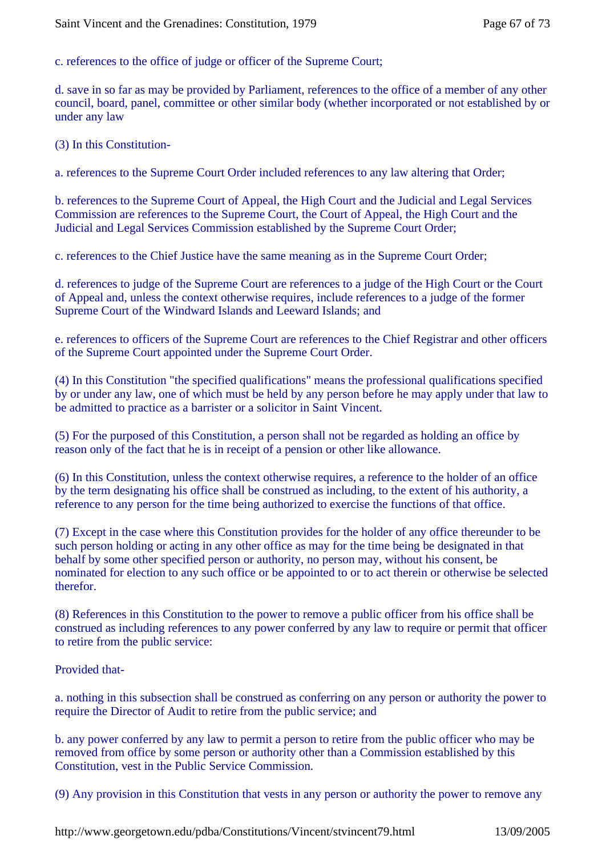c. references to the office of judge or officer of the Supreme Court;

d. save in so far as may be provided by Parliament, references to the office of a member of any other council, board, panel, committee or other similar body (whether incorporated or not established by or under any law

(3) In this Constitution-

a. references to the Supreme Court Order included references to any law altering that Order;

b. references to the Supreme Court of Appeal, the High Court and the Judicial and Legal Services Commission are references to the Supreme Court, the Court of Appeal, the High Court and the Judicial and Legal Services Commission established by the Supreme Court Order;

c. references to the Chief Justice have the same meaning as in the Supreme Court Order;

d. references to judge of the Supreme Court are references to a judge of the High Court or the Court of Appeal and, unless the context otherwise requires, include references to a judge of the former Supreme Court of the Windward Islands and Leeward Islands; and

e. references to officers of the Supreme Court are references to the Chief Registrar and other officers of the Supreme Court appointed under the Supreme Court Order.

(4) In this Constitution "the specified qualifications" means the professional qualifications specified by or under any law, one of which must be held by any person before he may apply under that law to be admitted to practice as a barrister or a solicitor in Saint Vincent.

(5) For the purposed of this Constitution, a person shall not be regarded as holding an office by reason only of the fact that he is in receipt of a pension or other like allowance.

(6) In this Constitution, unless the context otherwise requires, a reference to the holder of an office by the term designating his office shall be construed as including, to the extent of his authority, a reference to any person for the time being authorized to exercise the functions of that office.

(7) Except in the case where this Constitution provides for the holder of any office thereunder to be such person holding or acting in any other office as may for the time being be designated in that behalf by some other specified person or authority, no person may, without his consent, be nominated for election to any such office or be appointed to or to act therein or otherwise be selected therefor.

(8) References in this Constitution to the power to remove a public officer from his office shall be construed as including references to any power conferred by any law to require or permit that officer to retire from the public service:

#### Provided that-

a. nothing in this subsection shall be construed as conferring on any person or authority the power to require the Director of Audit to retire from the public service; and

b. any power conferred by any law to permit a person to retire from the public officer who may be removed from office by some person or authority other than a Commission established by this Constitution, vest in the Public Service Commission.

(9) Any provision in this Constitution that vests in any person or authority the power to remove any

http://www.georgetown.edu/pdba/Constitutions/Vincent/stvincent79.html 13/09/2005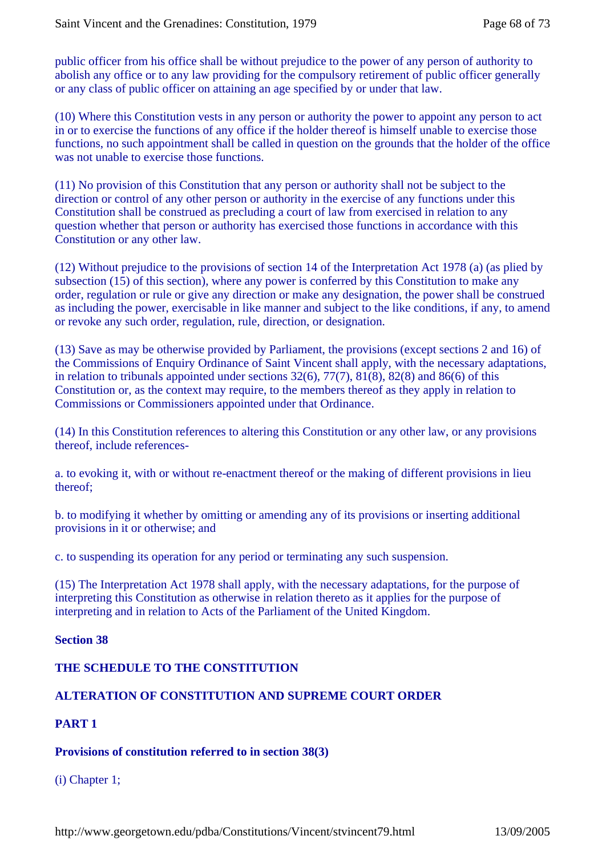public officer from his office shall be without prejudice to the power of any person of authority to abolish any office or to any law providing for the compulsory retirement of public officer generally or any class of public officer on attaining an age specified by or under that law.

(10) Where this Constitution vests in any person or authority the power to appoint any person to act in or to exercise the functions of any office if the holder thereof is himself unable to exercise those functions, no such appointment shall be called in question on the grounds that the holder of the office was not unable to exercise those functions.

(11) No provision of this Constitution that any person or authority shall not be subject to the direction or control of any other person or authority in the exercise of any functions under this Constitution shall be construed as precluding a court of law from exercised in relation to any question whether that person or authority has exercised those functions in accordance with this Constitution or any other law.

(12) Without prejudice to the provisions of section 14 of the Interpretation Act 1978 (a) (as plied by subsection (15) of this section), where any power is conferred by this Constitution to make any order, regulation or rule or give any direction or make any designation, the power shall be construed as including the power, exercisable in like manner and subject to the like conditions, if any, to amend or revoke any such order, regulation, rule, direction, or designation.

(13) Save as may be otherwise provided by Parliament, the provisions (except sections 2 and 16) of the Commissions of Enquiry Ordinance of Saint Vincent shall apply, with the necessary adaptations, in relation to tribunals appointed under sections 32(6), 77(7), 81(8), 82(8) and 86(6) of this Constitution or, as the context may require, to the members thereof as they apply in relation to Commissions or Commissioners appointed under that Ordinance.

(14) In this Constitution references to altering this Constitution or any other law, or any provisions thereof, include references-

a. to evoking it, with or without re-enactment thereof or the making of different provisions in lieu thereof;

b. to modifying it whether by omitting or amending any of its provisions or inserting additional provisions in it or otherwise; and

c. to suspending its operation for any period or terminating any such suspension.

(15) The Interpretation Act 1978 shall apply, with the necessary adaptations, for the purpose of interpreting this Constitution as otherwise in relation thereto as it applies for the purpose of interpreting and in relation to Acts of the Parliament of the United Kingdom.

#### **Section 38**

## **THE SCHEDULE TO THE CONSTITUTION**

## **ALTERATION OF CONSTITUTION AND SUPREME COURT ORDER**

## **PART 1**

#### **Provisions of constitution referred to in section 38(3)**

(i) Chapter 1;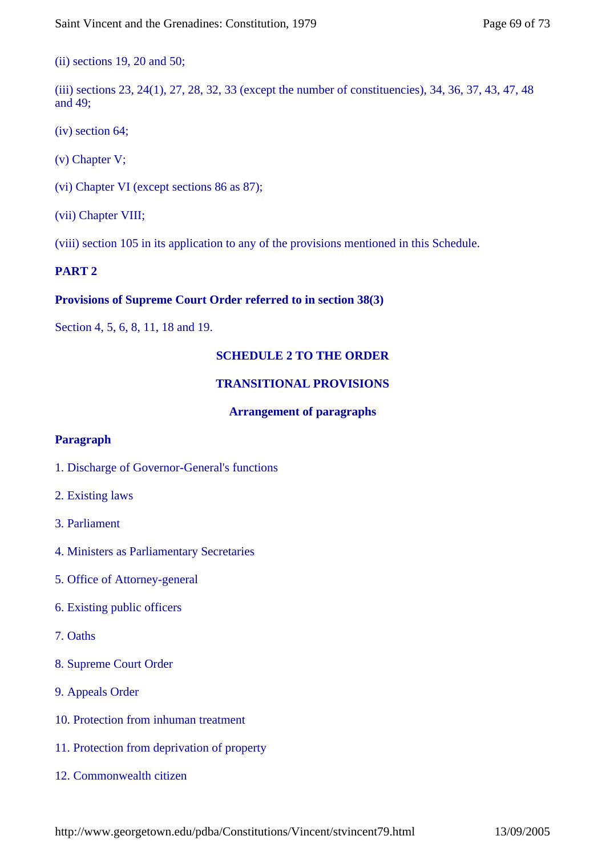(ii) sections 19, 20 and 50;

(iii) sections 23, 24(1), 27, 28, 32, 33 (except the number of constituencies), 34, 36, 37, 43, 47, 48 and 49;

(iv) section 64;

(v) Chapter V;

(vi) Chapter VI (except sections 86 as 87);

(vii) Chapter VIII;

(viii) section 105 in its application to any of the provisions mentioned in this Schedule.

### **PART 2**

#### **Provisions of Supreme Court Order referred to in section 38(3)**

Section 4, 5, 6, 8, 11, 18 and 19.

#### **SCHEDULE 2 TO THE ORDER**

### **TRANSITIONAL PROVISIONS**

### **Arrangement of paragraphs**

### **Paragraph**

- 1. Discharge of Governor-General's functions
- 2. Existing laws
- 3. Parliament
- 4. Ministers as Parliamentary Secretaries
- 5. Office of Attorney-general
- 6. Existing public officers
- 7. Oaths
- 8. Supreme Court Order
- 9. Appeals Order
- 10. Protection from inhuman treatment
- 11. Protection from deprivation of property
- 12. Commonwealth citizen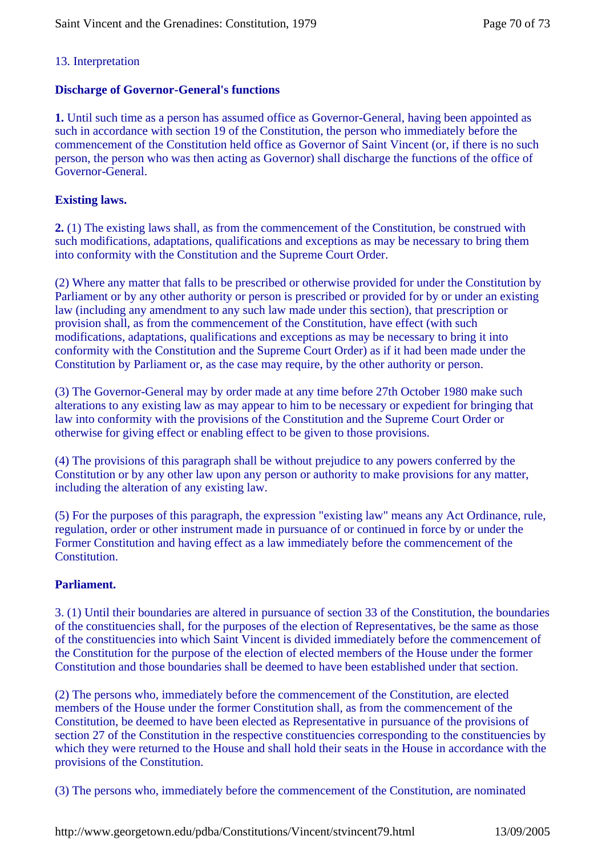## 13. Interpretation

### **Discharge of Governor-General's functions**

**1.** Until such time as a person has assumed office as Governor-General, having been appointed as such in accordance with section 19 of the Constitution, the person who immediately before the commencement of the Constitution held office as Governor of Saint Vincent (or, if there is no such person, the person who was then acting as Governor) shall discharge the functions of the office of Governor-General.

### **Existing laws.**

**2.** (1) The existing laws shall, as from the commencement of the Constitution, be construed with such modifications, adaptations, qualifications and exceptions as may be necessary to bring them into conformity with the Constitution and the Supreme Court Order.

(2) Where any matter that falls to be prescribed or otherwise provided for under the Constitution by Parliament or by any other authority or person is prescribed or provided for by or under an existing law (including any amendment to any such law made under this section), that prescription or provision shall, as from the commencement of the Constitution, have effect (with such modifications, adaptations, qualifications and exceptions as may be necessary to bring it into conformity with the Constitution and the Supreme Court Order) as if it had been made under the Constitution by Parliament or, as the case may require, by the other authority or person.

(3) The Governor-General may by order made at any time before 27th October 1980 make such alterations to any existing law as may appear to him to be necessary or expedient for bringing that law into conformity with the provisions of the Constitution and the Supreme Court Order or otherwise for giving effect or enabling effect to be given to those provisions.

(4) The provisions of this paragraph shall be without prejudice to any powers conferred by the Constitution or by any other law upon any person or authority to make provisions for any matter, including the alteration of any existing law.

(5) For the purposes of this paragraph, the expression "existing law" means any Act Ordinance, rule, regulation, order or other instrument made in pursuance of or continued in force by or under the Former Constitution and having effect as a law immediately before the commencement of the Constitution.

#### **Parliament.**

3. (1) Until their boundaries are altered in pursuance of section 33 of the Constitution, the boundaries of the constituencies shall, for the purposes of the election of Representatives, be the same as those of the constituencies into which Saint Vincent is divided immediately before the commencement of the Constitution for the purpose of the election of elected members of the House under the former Constitution and those boundaries shall be deemed to have been established under that section.

(2) The persons who, immediately before the commencement of the Constitution, are elected members of the House under the former Constitution shall, as from the commencement of the Constitution, be deemed to have been elected as Representative in pursuance of the provisions of section 27 of the Constitution in the respective constituencies corresponding to the constituencies by which they were returned to the House and shall hold their seats in the House in accordance with the provisions of the Constitution.

(3) The persons who, immediately before the commencement of the Constitution, are nominated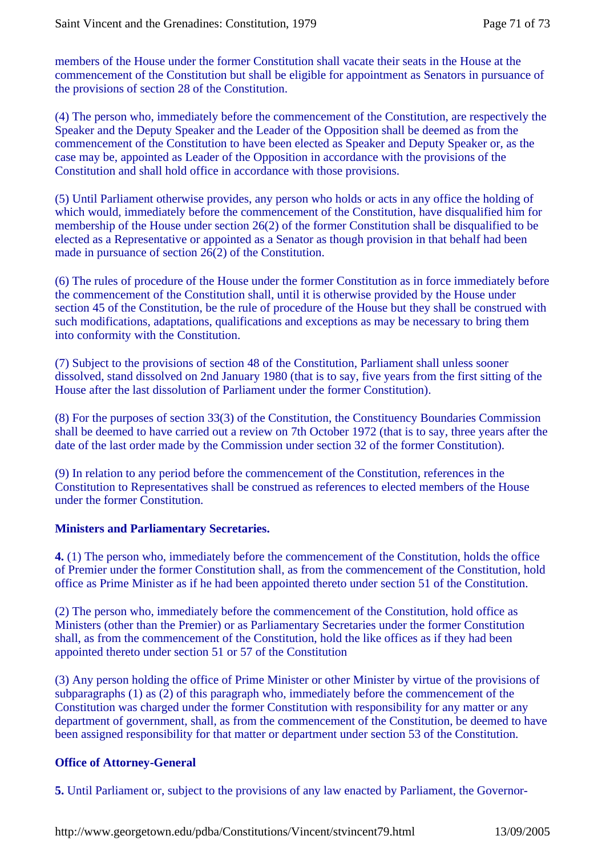members of the House under the former Constitution shall vacate their seats in the House at the commencement of the Constitution but shall be eligible for appointment as Senators in pursuance of the provisions of section 28 of the Constitution.

(4) The person who, immediately before the commencement of the Constitution, are respectively the Speaker and the Deputy Speaker and the Leader of the Opposition shall be deemed as from the commencement of the Constitution to have been elected as Speaker and Deputy Speaker or, as the case may be, appointed as Leader of the Opposition in accordance with the provisions of the Constitution and shall hold office in accordance with those provisions.

(5) Until Parliament otherwise provides, any person who holds or acts in any office the holding of which would, immediately before the commencement of the Constitution, have disqualified him for membership of the House under section 26(2) of the former Constitution shall be disqualified to be elected as a Representative or appointed as a Senator as though provision in that behalf had been made in pursuance of section 26(2) of the Constitution.

(6) The rules of procedure of the House under the former Constitution as in force immediately before the commencement of the Constitution shall, until it is otherwise provided by the House under section 45 of the Constitution, be the rule of procedure of the House but they shall be construed with such modifications, adaptations, qualifications and exceptions as may be necessary to bring them into conformity with the Constitution.

(7) Subject to the provisions of section 48 of the Constitution, Parliament shall unless sooner dissolved, stand dissolved on 2nd January 1980 (that is to say, five years from the first sitting of the House after the last dissolution of Parliament under the former Constitution).

(8) For the purposes of section 33(3) of the Constitution, the Constituency Boundaries Commission shall be deemed to have carried out a review on 7th October 1972 (that is to say, three years after the date of the last order made by the Commission under section 32 of the former Constitution).

(9) In relation to any period before the commencement of the Constitution, references in the Constitution to Representatives shall be construed as references to elected members of the House under the former Constitution.

#### **Ministers and Parliamentary Secretaries.**

**4.** (1) The person who, immediately before the commencement of the Constitution, holds the office of Premier under the former Constitution shall, as from the commencement of the Constitution, hold office as Prime Minister as if he had been appointed thereto under section 51 of the Constitution.

(2) The person who, immediately before the commencement of the Constitution, hold office as Ministers (other than the Premier) or as Parliamentary Secretaries under the former Constitution shall, as from the commencement of the Constitution, hold the like offices as if they had been appointed thereto under section 51 or 57 of the Constitution

(3) Any person holding the office of Prime Minister or other Minister by virtue of the provisions of subparagraphs (1) as (2) of this paragraph who, immediately before the commencement of the Constitution was charged under the former Constitution with responsibility for any matter or any department of government, shall, as from the commencement of the Constitution, be deemed to have been assigned responsibility for that matter or department under section 53 of the Constitution.

#### **Office of Attorney-General**

**5.** Until Parliament or, subject to the provisions of any law enacted by Parliament, the Governor-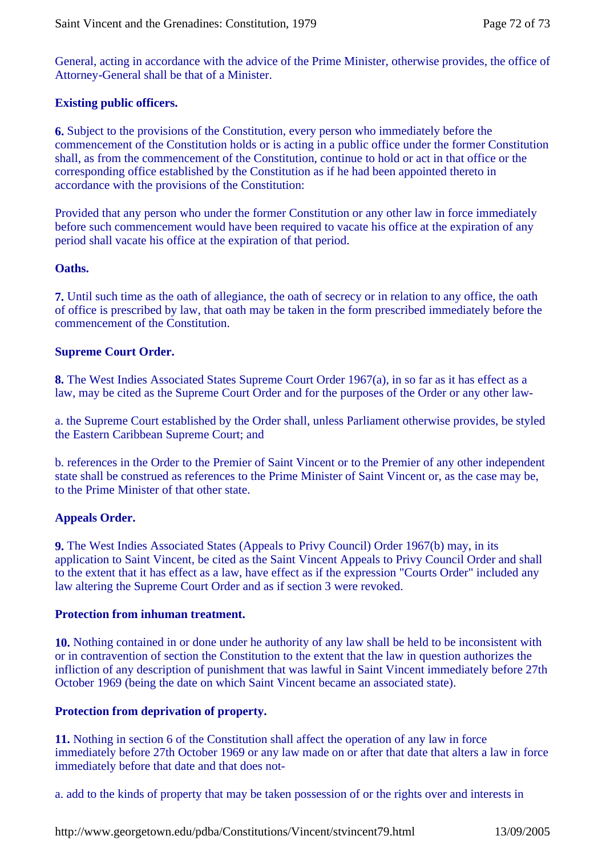General, acting in accordance with the advice of the Prime Minister, otherwise provides, the office of Attorney-General shall be that of a Minister.

### **Existing public officers.**

**6.** Subject to the provisions of the Constitution, every person who immediately before the commencement of the Constitution holds or is acting in a public office under the former Constitution shall, as from the commencement of the Constitution, continue to hold or act in that office or the corresponding office established by the Constitution as if he had been appointed thereto in accordance with the provisions of the Constitution:

Provided that any person who under the former Constitution or any other law in force immediately before such commencement would have been required to vacate his office at the expiration of any period shall vacate his office at the expiration of that period.

#### **Oaths.**

**7.** Until such time as the oath of allegiance, the oath of secrecy or in relation to any office, the oath of office is prescribed by law, that oath may be taken in the form prescribed immediately before the commencement of the Constitution.

#### **Supreme Court Order.**

**8.** The West Indies Associated States Supreme Court Order 1967(a), in so far as it has effect as a law, may be cited as the Supreme Court Order and for the purposes of the Order or any other law-

a. the Supreme Court established by the Order shall, unless Parliament otherwise provides, be styled the Eastern Caribbean Supreme Court; and

b. references in the Order to the Premier of Saint Vincent or to the Premier of any other independent state shall be construed as references to the Prime Minister of Saint Vincent or, as the case may be, to the Prime Minister of that other state.

#### **Appeals Order.**

**9.** The West Indies Associated States (Appeals to Privy Council) Order 1967(b) may, in its application to Saint Vincent, be cited as the Saint Vincent Appeals to Privy Council Order and shall to the extent that it has effect as a law, have effect as if the expression "Courts Order" included any law altering the Supreme Court Order and as if section 3 were revoked.

#### **Protection from inhuman treatment.**

**10.** Nothing contained in or done under he authority of any law shall be held to be inconsistent with or in contravention of section the Constitution to the extent that the law in question authorizes the infliction of any description of punishment that was lawful in Saint Vincent immediately before 27th October 1969 (being the date on which Saint Vincent became an associated state).

### **Protection from deprivation of property.**

**11.** Nothing in section 6 of the Constitution shall affect the operation of any law in force immediately before 27th October 1969 or any law made on or after that date that alters a law in force immediately before that date and that does not-

a. add to the kinds of property that may be taken possession of or the rights over and interests in

http://www.georgetown.edu/pdba/Constitutions/Vincent/stvincent79.html 13/09/2005